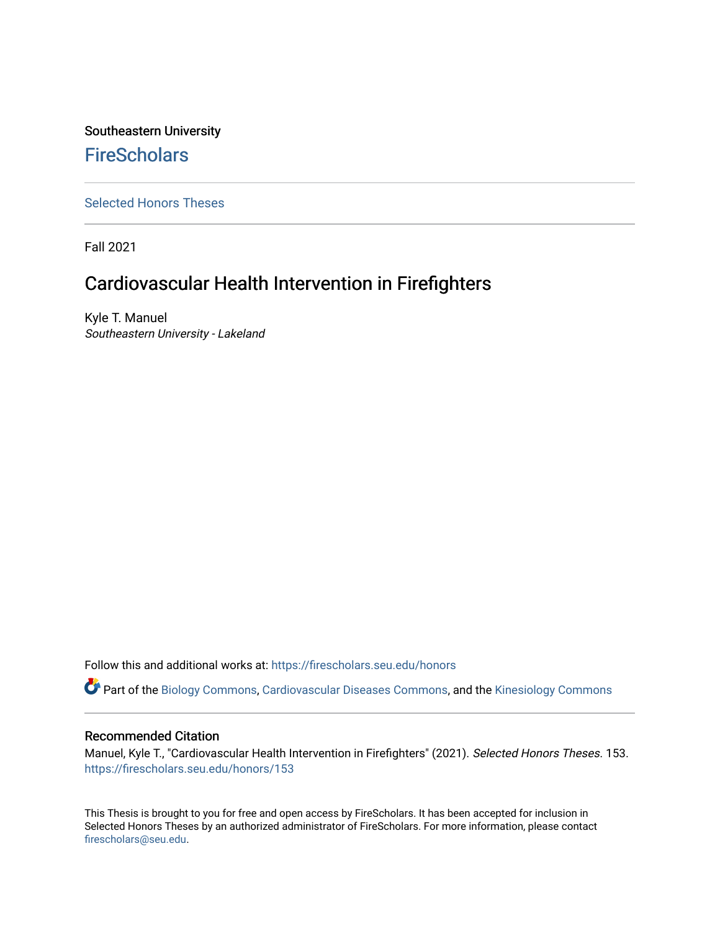# Southeastern University **FireScholars**

[Selected Honors Theses](https://firescholars.seu.edu/honors)

Fall 2021

# Cardiovascular Health Intervention in Firefighters

Kyle T. Manuel Southeastern University - Lakeland

Follow this and additional works at: [https://firescholars.seu.edu/honors](https://firescholars.seu.edu/honors?utm_source=firescholars.seu.edu%2Fhonors%2F153&utm_medium=PDF&utm_campaign=PDFCoverPages)

Part of the [Biology Commons,](http://network.bepress.com/hgg/discipline/41?utm_source=firescholars.seu.edu%2Fhonors%2F153&utm_medium=PDF&utm_campaign=PDFCoverPages) [Cardiovascular Diseases Commons,](http://network.bepress.com/hgg/discipline/929?utm_source=firescholars.seu.edu%2Fhonors%2F153&utm_medium=PDF&utm_campaign=PDFCoverPages) and the [Kinesiology Commons](http://network.bepress.com/hgg/discipline/42?utm_source=firescholars.seu.edu%2Fhonors%2F153&utm_medium=PDF&utm_campaign=PDFCoverPages) 

#### Recommended Citation

Manuel, Kyle T., "Cardiovascular Health Intervention in Firefighters" (2021). Selected Honors Theses. 153. [https://firescholars.seu.edu/honors/153](https://firescholars.seu.edu/honors/153?utm_source=firescholars.seu.edu%2Fhonors%2F153&utm_medium=PDF&utm_campaign=PDFCoverPages)

This Thesis is brought to you for free and open access by FireScholars. It has been accepted for inclusion in Selected Honors Theses by an authorized administrator of FireScholars. For more information, please contact [firescholars@seu.edu.](mailto:firescholars@seu.edu)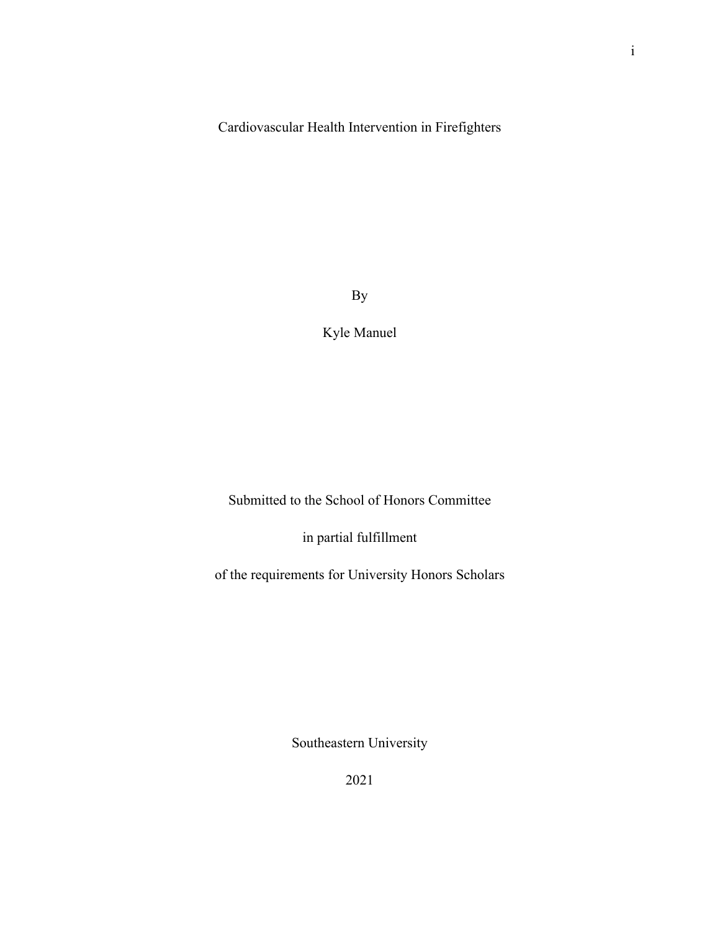Cardiovascular Health Intervention in Firefighters

By

Kyle Manuel

Submitted to the School of Honors Committee

in partial fulfillment

of the requirements for University Honors Scholars

Southeastern University

2021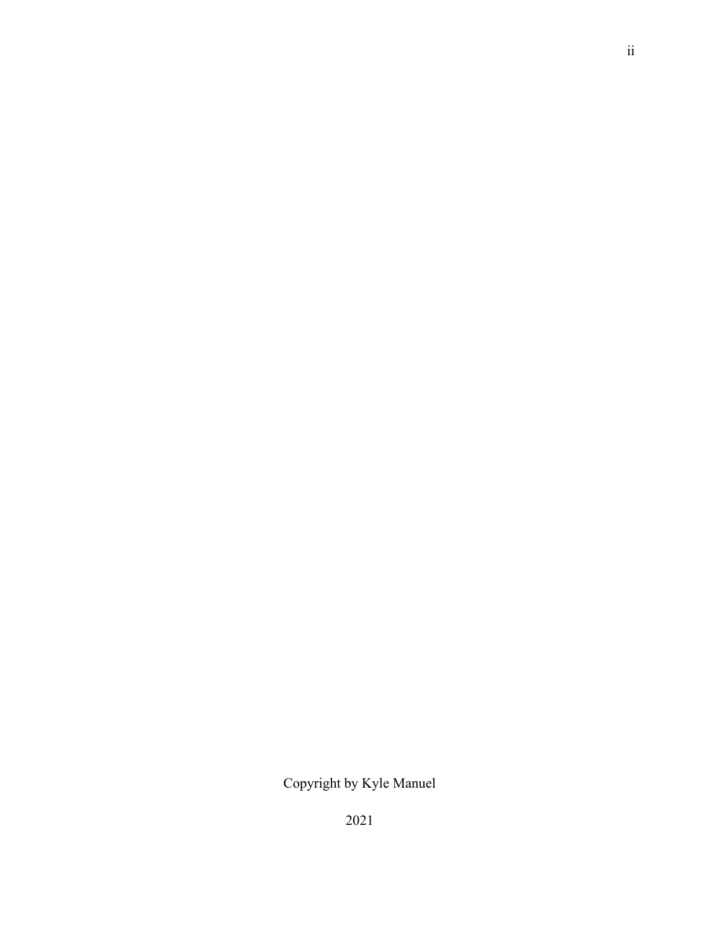Copyright by Kyle Manuel

2021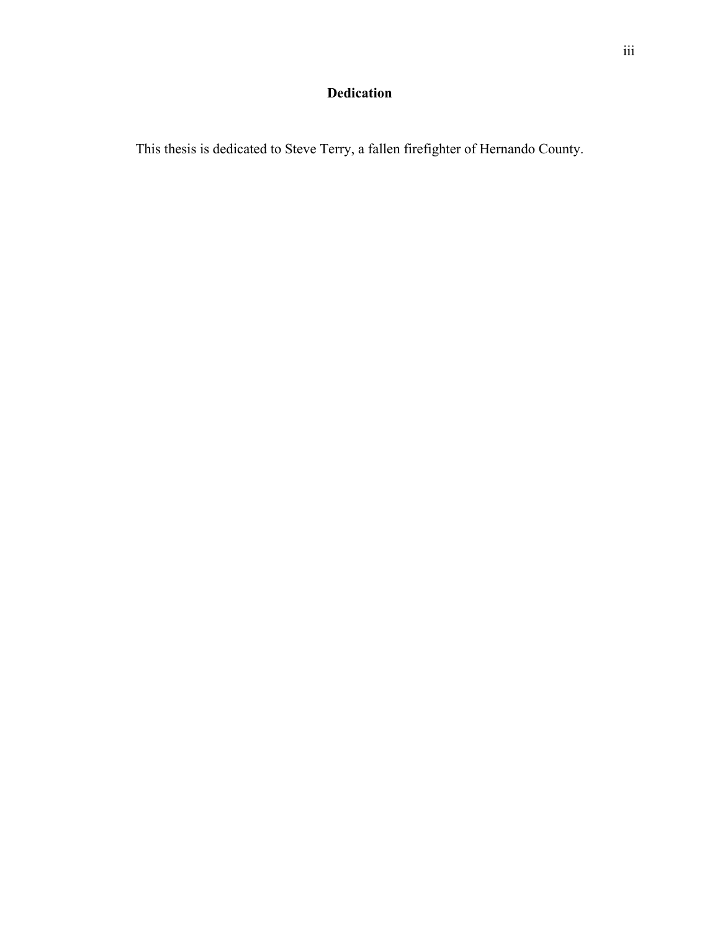# **Dedication**

This thesis is dedicated to Steve Terry, a fallen firefighter of Hernando County.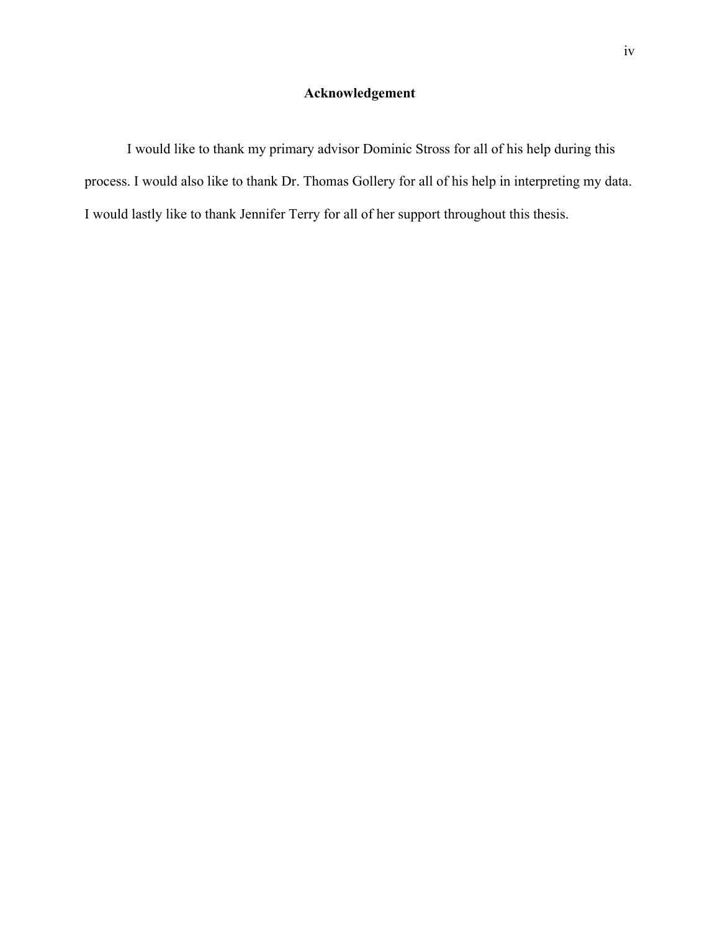# **Acknowledgement**

I would like to thank my primary advisor Dominic Stross for all of his help during this process. I would also like to thank Dr. Thomas Gollery for all of his help in interpreting my data. I would lastly like to thank Jennifer Terry for all of her support throughout this thesis.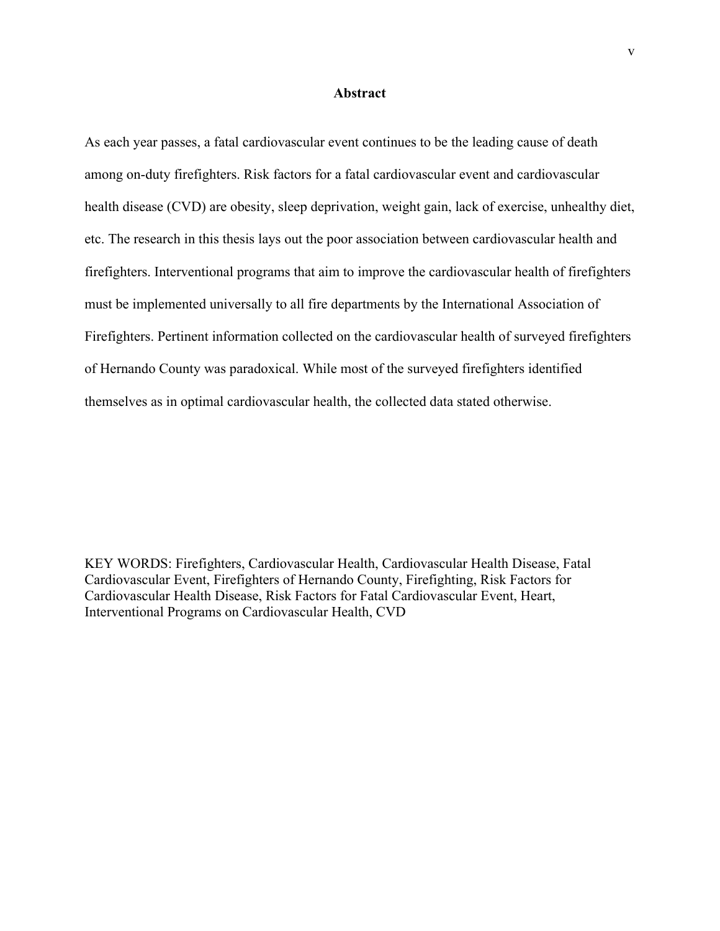#### **Abstract**

As each year passes, a fatal cardiovascular event continues to be the leading cause of death among on-duty firefighters. Risk factors for a fatal cardiovascular event and cardiovascular health disease (CVD) are obesity, sleep deprivation, weight gain, lack of exercise, unhealthy diet, etc. The research in this thesis lays out the poor association between cardiovascular health and firefighters. Interventional programs that aim to improve the cardiovascular health of firefighters must be implemented universally to all fire departments by the International Association of Firefighters. Pertinent information collected on the cardiovascular health of surveyed firefighters of Hernando County was paradoxical. While most of the surveyed firefighters identified themselves as in optimal cardiovascular health, the collected data stated otherwise.

KEY WORDS: Firefighters, Cardiovascular Health, Cardiovascular Health Disease, Fatal Cardiovascular Event, Firefighters of Hernando County, Firefighting, Risk Factors for Cardiovascular Health Disease, Risk Factors for Fatal Cardiovascular Event, Heart, Interventional Programs on Cardiovascular Health, CVD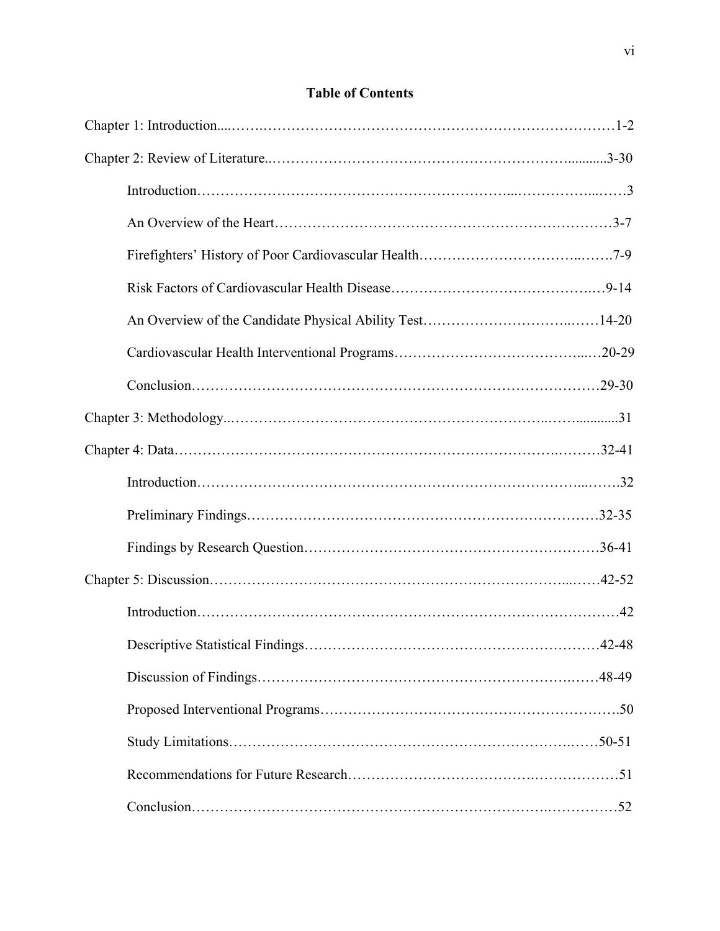# **Table of Contents**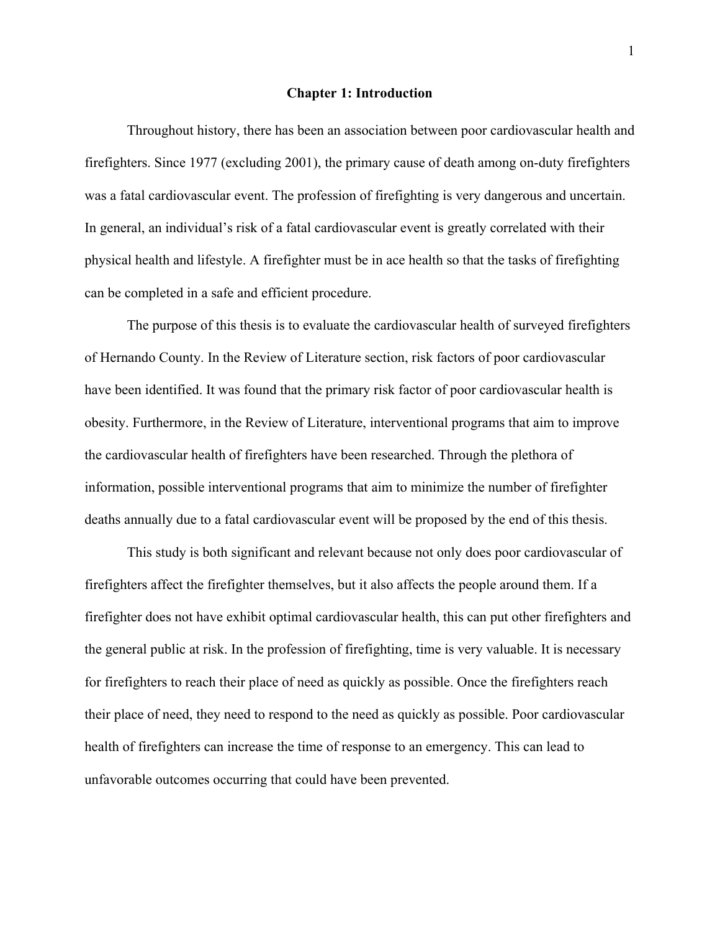#### **Chapter 1: Introduction**

Throughout history, there has been an association between poor cardiovascular health and firefighters. Since 1977 (excluding 2001), the primary cause of death among on-duty firefighters was a fatal cardiovascular event. The profession of firefighting is very dangerous and uncertain. In general, an individual's risk of a fatal cardiovascular event is greatly correlated with their physical health and lifestyle. A firefighter must be in ace health so that the tasks of firefighting can be completed in a safe and efficient procedure.

The purpose of this thesis is to evaluate the cardiovascular health of surveyed firefighters of Hernando County. In the Review of Literature section, risk factors of poor cardiovascular have been identified. It was found that the primary risk factor of poor cardiovascular health is obesity. Furthermore, in the Review of Literature, interventional programs that aim to improve the cardiovascular health of firefighters have been researched. Through the plethora of information, possible interventional programs that aim to minimize the number of firefighter deaths annually due to a fatal cardiovascular event will be proposed by the end of this thesis.

This study is both significant and relevant because not only does poor cardiovascular of firefighters affect the firefighter themselves, but it also affects the people around them. If a firefighter does not have exhibit optimal cardiovascular health, this can put other firefighters and the general public at risk. In the profession of firefighting, time is very valuable. It is necessary for firefighters to reach their place of need as quickly as possible. Once the firefighters reach their place of need, they need to respond to the need as quickly as possible. Poor cardiovascular health of firefighters can increase the time of response to an emergency. This can lead to unfavorable outcomes occurring that could have been prevented.

1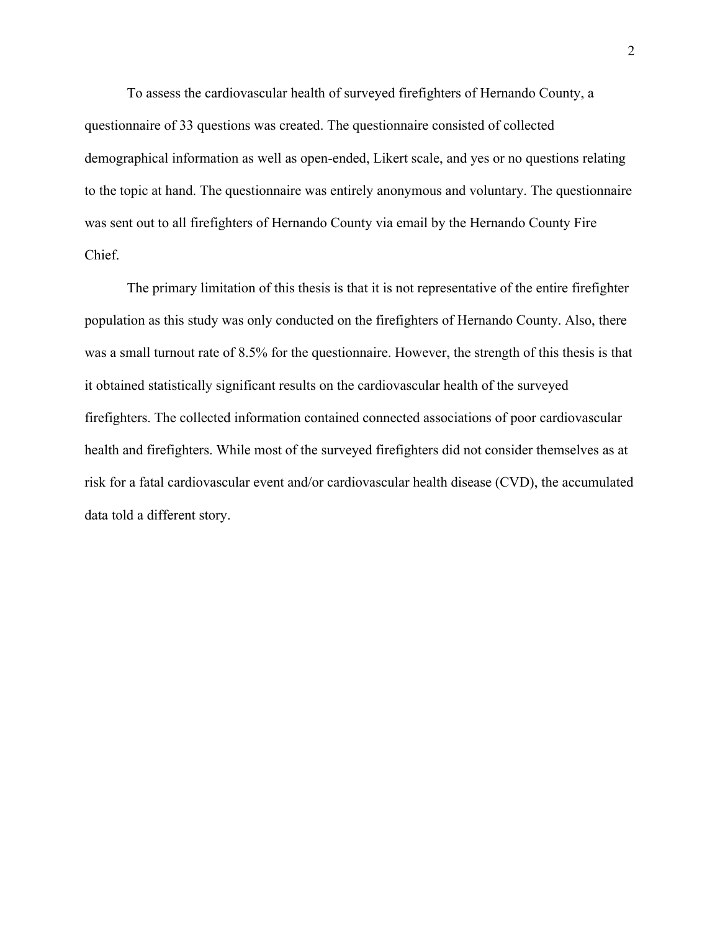To assess the cardiovascular health of surveyed firefighters of Hernando County, a questionnaire of 33 questions was created. The questionnaire consisted of collected demographical information as well as open-ended, Likert scale, and yes or no questions relating to the topic at hand. The questionnaire was entirely anonymous and voluntary. The questionnaire was sent out to all firefighters of Hernando County via email by the Hernando County Fire Chief.

The primary limitation of this thesis is that it is not representative of the entire firefighter population as this study was only conducted on the firefighters of Hernando County. Also, there was a small turnout rate of 8.5% for the questionnaire. However, the strength of this thesis is that it obtained statistically significant results on the cardiovascular health of the surveyed firefighters. The collected information contained connected associations of poor cardiovascular health and firefighters. While most of the surveyed firefighters did not consider themselves as at risk for a fatal cardiovascular event and/or cardiovascular health disease (CVD), the accumulated data told a different story.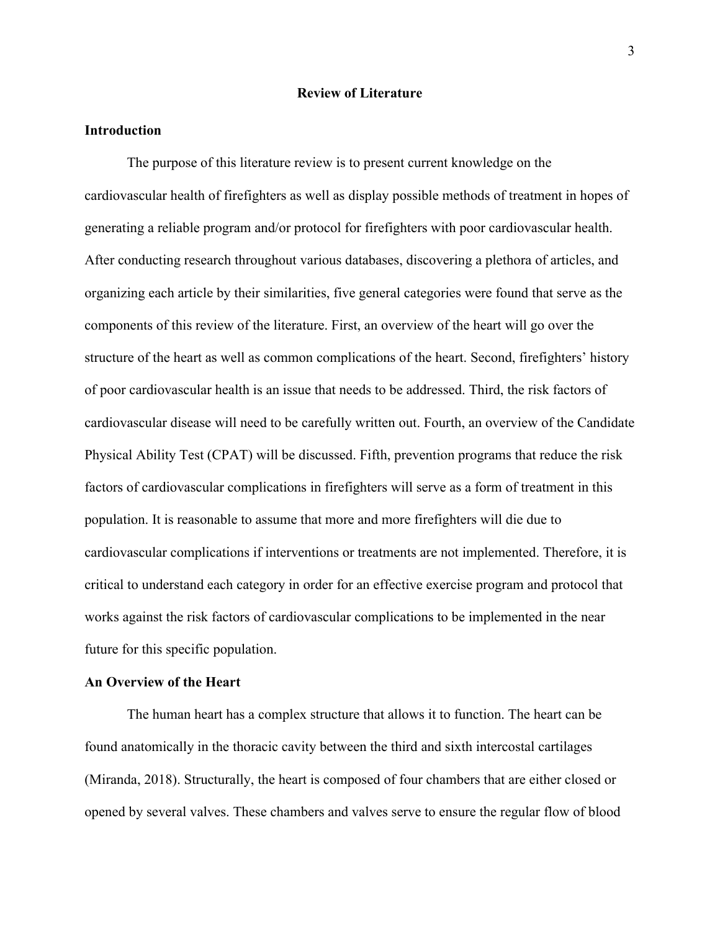#### **Review of Literature**

### **Introduction**

The purpose of this literature review is to present current knowledge on the cardiovascular health of firefighters as well as display possible methods of treatment in hopes of generating a reliable program and/or protocol for firefighters with poor cardiovascular health. After conducting research throughout various databases, discovering a plethora of articles, and organizing each article by their similarities, five general categories were found that serve as the components of this review of the literature. First, an overview of the heart will go over the structure of the heart as well as common complications of the heart. Second, firefighters' history of poor cardiovascular health is an issue that needs to be addressed. Third, the risk factors of cardiovascular disease will need to be carefully written out. Fourth, an overview of the Candidate Physical Ability Test (CPAT) will be discussed. Fifth, prevention programs that reduce the risk factors of cardiovascular complications in firefighters will serve as a form of treatment in this population. It is reasonable to assume that more and more firefighters will die due to cardiovascular complications if interventions or treatments are not implemented. Therefore, it is critical to understand each category in order for an effective exercise program and protocol that works against the risk factors of cardiovascular complications to be implemented in the near future for this specific population.

## **An Overview of the Heart**

The human heart has a complex structure that allows it to function. The heart can be found anatomically in the thoracic cavity between the third and sixth intercostal cartilages (Miranda, 2018). Structurally, the heart is composed of four chambers that are either closed or opened by several valves. These chambers and valves serve to ensure the regular flow of blood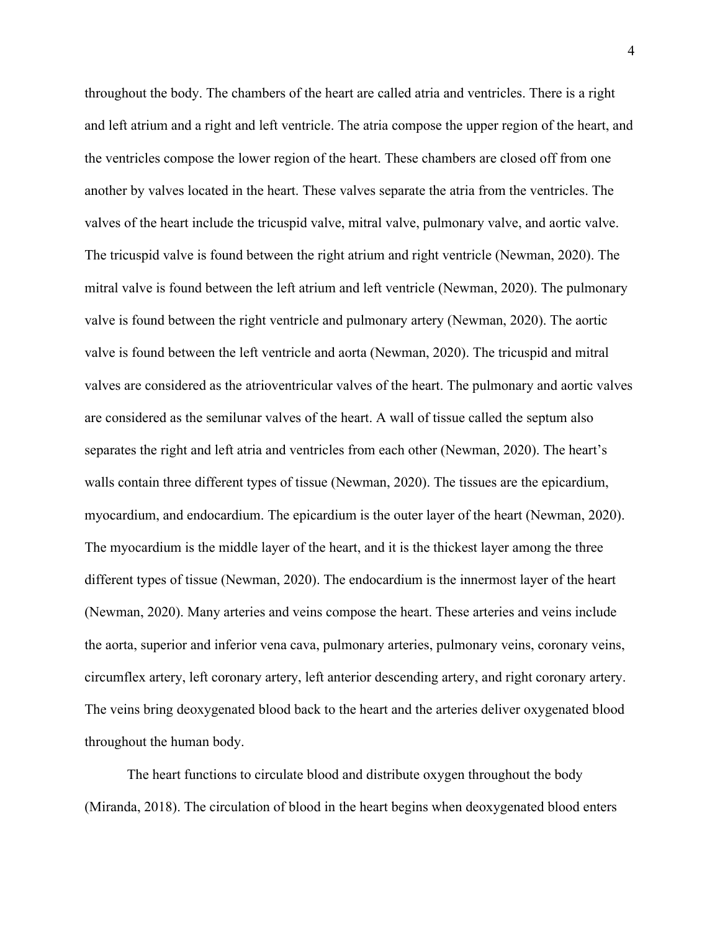throughout the body. The chambers of the heart are called atria and ventricles. There is a right and left atrium and a right and left ventricle. The atria compose the upper region of the heart, and the ventricles compose the lower region of the heart. These chambers are closed off from one another by valves located in the heart. These valves separate the atria from the ventricles. The valves of the heart include the tricuspid valve, mitral valve, pulmonary valve, and aortic valve. The tricuspid valve is found between the right atrium and right ventricle (Newman, 2020). The mitral valve is found between the left atrium and left ventricle (Newman, 2020). The pulmonary valve is found between the right ventricle and pulmonary artery (Newman, 2020). The aortic valve is found between the left ventricle and aorta (Newman, 2020). The tricuspid and mitral valves are considered as the atrioventricular valves of the heart. The pulmonary and aortic valves are considered as the semilunar valves of the heart. A wall of tissue called the septum also separates the right and left atria and ventricles from each other (Newman, 2020). The heart's walls contain three different types of tissue (Newman, 2020). The tissues are the epicardium, myocardium, and endocardium. The epicardium is the outer layer of the heart (Newman, 2020). The myocardium is the middle layer of the heart, and it is the thickest layer among the three different types of tissue (Newman, 2020). The endocardium is the innermost layer of the heart (Newman, 2020). Many arteries and veins compose the heart. These arteries and veins include the aorta, superior and inferior vena cava, pulmonary arteries, pulmonary veins, coronary veins, circumflex artery, left coronary artery, left anterior descending artery, and right coronary artery. The veins bring deoxygenated blood back to the heart and the arteries deliver oxygenated blood throughout the human body.

The heart functions to circulate blood and distribute oxygen throughout the body (Miranda, 2018). The circulation of blood in the heart begins when deoxygenated blood enters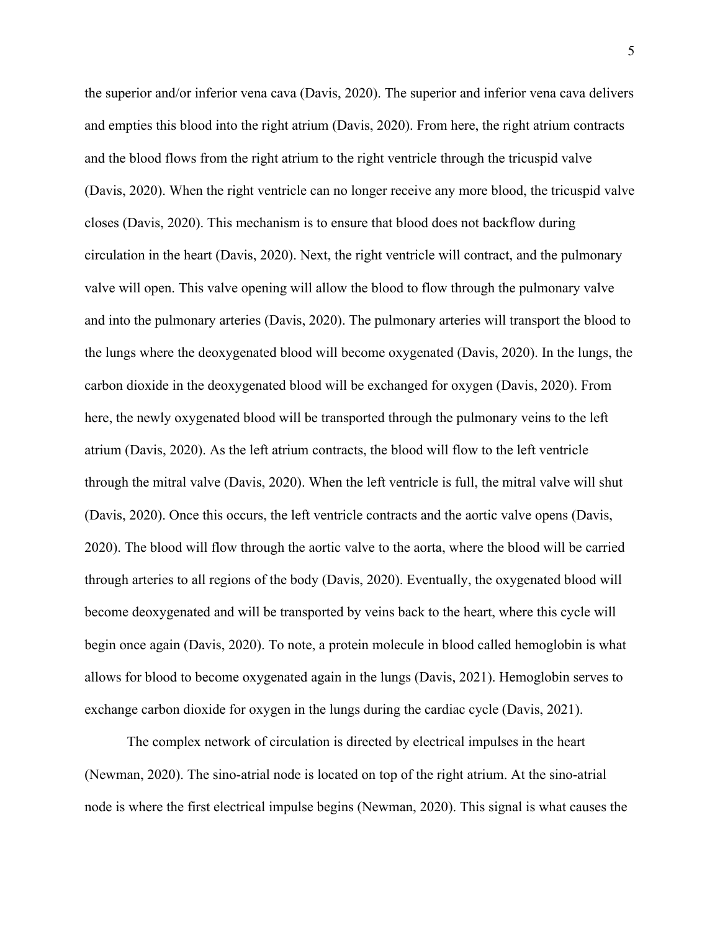the superior and/or inferior vena cava (Davis, 2020). The superior and inferior vena cava delivers and empties this blood into the right atrium (Davis, 2020). From here, the right atrium contracts and the blood flows from the right atrium to the right ventricle through the tricuspid valve (Davis, 2020). When the right ventricle can no longer receive any more blood, the tricuspid valve closes (Davis, 2020). This mechanism is to ensure that blood does not backflow during circulation in the heart (Davis, 2020). Next, the right ventricle will contract, and the pulmonary valve will open. This valve opening will allow the blood to flow through the pulmonary valve and into the pulmonary arteries (Davis, 2020). The pulmonary arteries will transport the blood to the lungs where the deoxygenated blood will become oxygenated (Davis, 2020). In the lungs, the carbon dioxide in the deoxygenated blood will be exchanged for oxygen (Davis, 2020). From here, the newly oxygenated blood will be transported through the pulmonary veins to the left atrium (Davis, 2020). As the left atrium contracts, the blood will flow to the left ventricle through the mitral valve (Davis, 2020). When the left ventricle is full, the mitral valve will shut (Davis, 2020). Once this occurs, the left ventricle contracts and the aortic valve opens (Davis, 2020). The blood will flow through the aortic valve to the aorta, where the blood will be carried through arteries to all regions of the body (Davis, 2020). Eventually, the oxygenated blood will become deoxygenated and will be transported by veins back to the heart, where this cycle will begin once again (Davis, 2020). To note, a protein molecule in blood called hemoglobin is what allows for blood to become oxygenated again in the lungs (Davis, 2021). Hemoglobin serves to exchange carbon dioxide for oxygen in the lungs during the cardiac cycle (Davis, 2021).

The complex network of circulation is directed by electrical impulses in the heart (Newman, 2020). The sino-atrial node is located on top of the right atrium. At the sino-atrial node is where the first electrical impulse begins (Newman, 2020). This signal is what causes the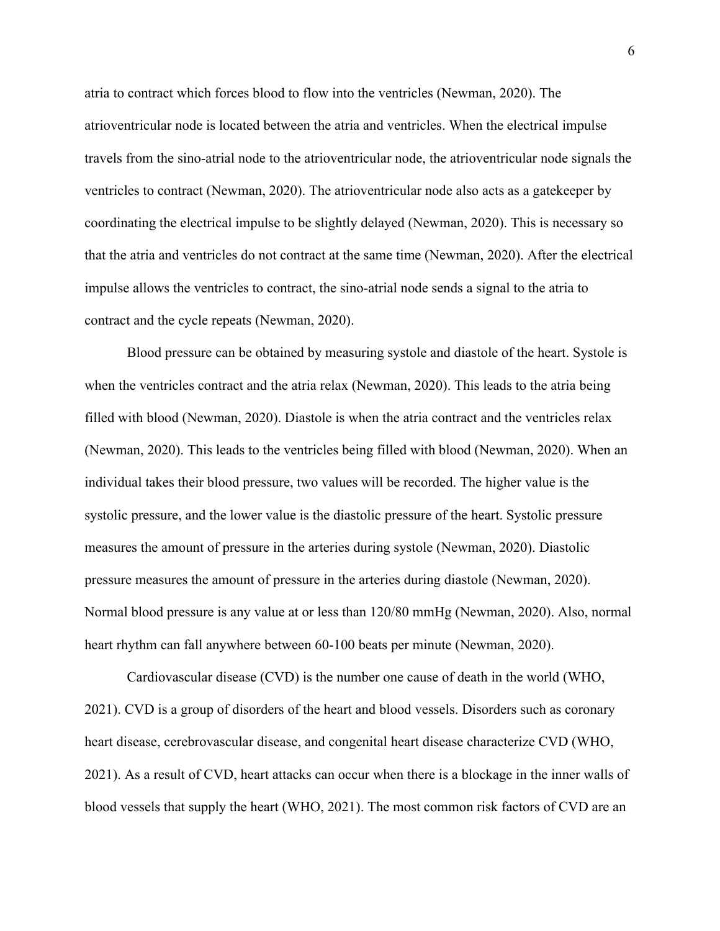atria to contract which forces blood to flow into the ventricles (Newman, 2020). The atrioventricular node is located between the atria and ventricles. When the electrical impulse travels from the sino-atrial node to the atrioventricular node, the atrioventricular node signals the ventricles to contract (Newman, 2020). The atrioventricular node also acts as a gatekeeper by coordinating the electrical impulse to be slightly delayed (Newman, 2020). This is necessary so that the atria and ventricles do not contract at the same time (Newman, 2020). After the electrical impulse allows the ventricles to contract, the sino-atrial node sends a signal to the atria to contract and the cycle repeats (Newman, 2020).

Blood pressure can be obtained by measuring systole and diastole of the heart. Systole is when the ventricles contract and the atria relax (Newman, 2020). This leads to the atria being filled with blood (Newman, 2020). Diastole is when the atria contract and the ventricles relax (Newman, 2020). This leads to the ventricles being filled with blood (Newman, 2020). When an individual takes their blood pressure, two values will be recorded. The higher value is the systolic pressure, and the lower value is the diastolic pressure of the heart. Systolic pressure measures the amount of pressure in the arteries during systole (Newman, 2020). Diastolic pressure measures the amount of pressure in the arteries during diastole (Newman, 2020). Normal blood pressure is any value at or less than 120/80 mmHg (Newman, 2020). Also, normal heart rhythm can fall anywhere between 60-100 beats per minute (Newman, 2020).

Cardiovascular disease (CVD) is the number one cause of death in the world (WHO, 2021). CVD is a group of disorders of the heart and blood vessels. Disorders such as coronary heart disease, cerebrovascular disease, and congenital heart disease characterize CVD (WHO, 2021). As a result of CVD, heart attacks can occur when there is a blockage in the inner walls of blood vessels that supply the heart (WHO, 2021). The most common risk factors of CVD are an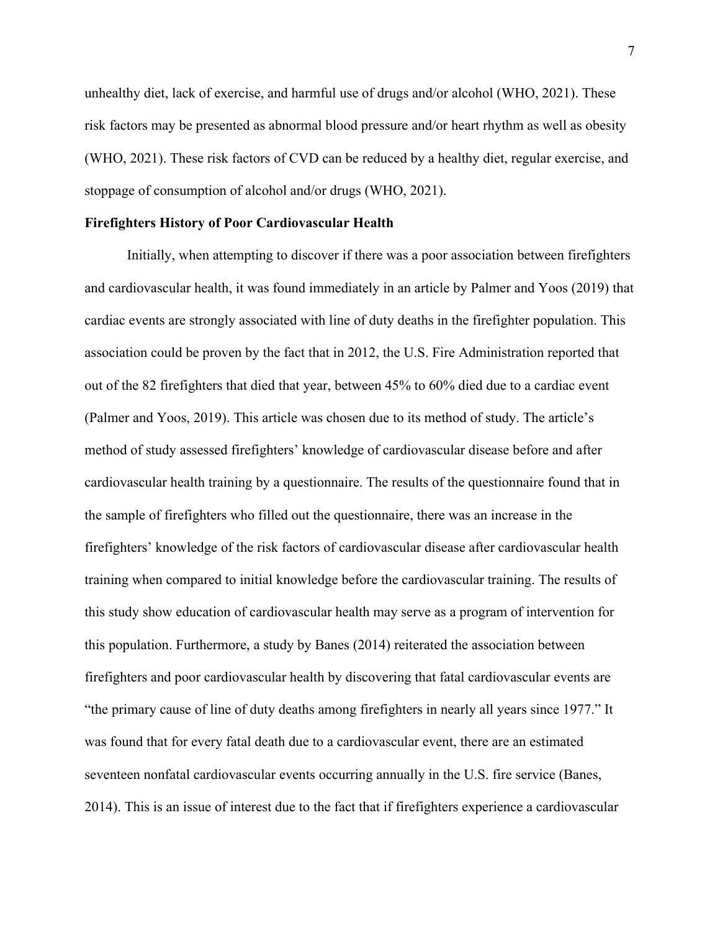unhealthy diet, lack of exercise, and harmful use of drugs and/or alcohol (WHO, 2021). These risk factors may be presented as abnormal blood pressure and/or heart rhythm as well as obesity (WHO, 2021). These risk factors of CVD can be reduced by a healthy diet, regular exercise, and stoppage of consumption of alcohol and/or drugs (WHO, 2021).

#### **Firefighters History of Poor Cardiovascular Health**

Initially, when attempting to discover if there was a poor association between firefighters and cardiovascular health, it was found immediately in an article by Palmer and Yoos (2019) that cardiac events are strongly associated with line of duty deaths in the firefighter population. This association could be proven by the fact that in 2012, the U.S. Fire Administration reported that out of the 82 firefighters that died that year, between 45% to 60% died due to a cardiac event (Palmer and Yoos, 2019). This article was chosen due to its method of study. The article's method of study assessed firefighters' knowledge of cardiovascular disease before and after cardiovascular health training by a questionnaire. The results of the questionnaire found that in the sample of firefighters who filled out the questionnaire, there was an increase in the firefighters' knowledge of the risk factors of cardiovascular disease after cardiovascular health training when compared to initial knowledge before the cardiovascular training. The results of this study show education of cardiovascular health may serve as a program of intervention for this population. Furthermore, a study by Banes (2014) reiterated the association between firefighters and poor cardiovascular health by discovering that fatal cardiovascular events are "the primary cause of line of duty deaths among firefighters in nearly all years since 1977." It was found that for every fatal death due to a cardiovascular event, there are an estimated seventeen nonfatal cardiovascular events occurring annually in the U.S. fire service (Banes, 2014). This is an issue of interest due to the fact that if firefighters experience a cardiovascular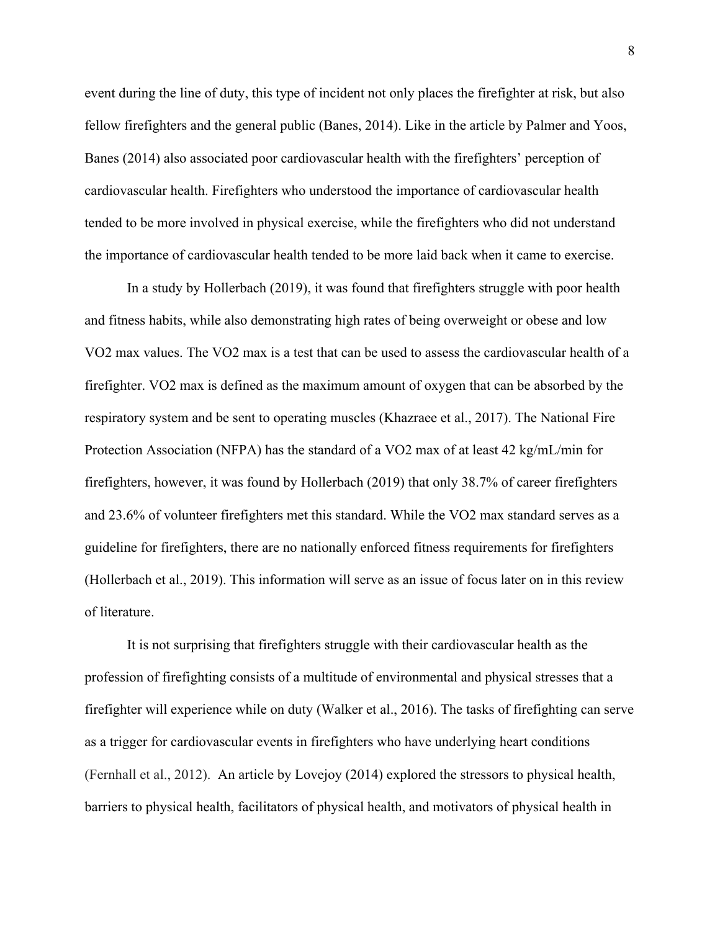event during the line of duty, this type of incident not only places the firefighter at risk, but also fellow firefighters and the general public (Banes, 2014). Like in the article by Palmer and Yoos, Banes (2014) also associated poor cardiovascular health with the firefighters' perception of cardiovascular health. Firefighters who understood the importance of cardiovascular health tended to be more involved in physical exercise, while the firefighters who did not understand the importance of cardiovascular health tended to be more laid back when it came to exercise.

In a study by Hollerbach (2019), it was found that firefighters struggle with poor health and fitness habits, while also demonstrating high rates of being overweight or obese and low VO2 max values. The VO2 max is a test that can be used to assess the cardiovascular health of a firefighter. VO2 max is defined as the maximum amount of oxygen that can be absorbed by the respiratory system and be sent to operating muscles (Khazraee et al., 2017). The National Fire Protection Association (NFPA) has the standard of a VO2 max of at least 42 kg/mL/min for firefighters, however, it was found by Hollerbach (2019) that only 38.7% of career firefighters and 23.6% of volunteer firefighters met this standard. While the VO2 max standard serves as a guideline for firefighters, there are no nationally enforced fitness requirements for firefighters (Hollerbach et al., 2019). This information will serve as an issue of focus later on in this review of literature.

It is not surprising that firefighters struggle with their cardiovascular health as the profession of firefighting consists of a multitude of environmental and physical stresses that a firefighter will experience while on duty (Walker et al., 2016). The tasks of firefighting can serve as a trigger for cardiovascular events in firefighters who have underlying heart conditions (Fernhall et al., 2012). An article by Lovejoy (2014) explored the stressors to physical health, barriers to physical health, facilitators of physical health, and motivators of physical health in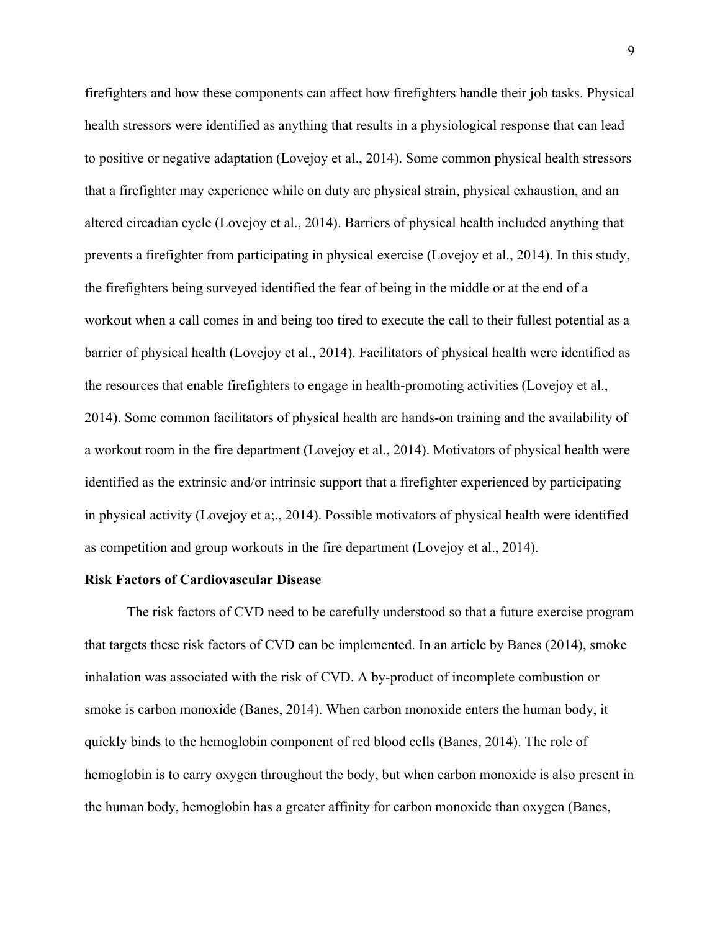firefighters and how these components can affect how firefighters handle their job tasks. Physical health stressors were identified as anything that results in a physiological response that can lead to positive or negative adaptation (Lovejoy et al., 2014). Some common physical health stressors that a firefighter may experience while on duty are physical strain, physical exhaustion, and an altered circadian cycle (Lovejoy et al., 2014). Barriers of physical health included anything that prevents a firefighter from participating in physical exercise (Lovejoy et al., 2014). In this study, the firefighters being surveyed identified the fear of being in the middle or at the end of a workout when a call comes in and being too tired to execute the call to their fullest potential as a barrier of physical health (Lovejoy et al., 2014). Facilitators of physical health were identified as the resources that enable firefighters to engage in health-promoting activities (Lovejoy et al., 2014). Some common facilitators of physical health are hands-on training and the availability of a workout room in the fire department (Lovejoy et al., 2014). Motivators of physical health were identified as the extrinsic and/or intrinsic support that a firefighter experienced by participating in physical activity (Lovejoy et a;., 2014). Possible motivators of physical health were identified as competition and group workouts in the fire department (Lovejoy et al., 2014).

#### **Risk Factors of Cardiovascular Disease**

The risk factors of CVD need to be carefully understood so that a future exercise program that targets these risk factors of CVD can be implemented. In an article by Banes (2014), smoke inhalation was associated with the risk of CVD. A by-product of incomplete combustion or smoke is carbon monoxide (Banes, 2014). When carbon monoxide enters the human body, it quickly binds to the hemoglobin component of red blood cells (Banes, 2014). The role of hemoglobin is to carry oxygen throughout the body, but when carbon monoxide is also present in the human body, hemoglobin has a greater affinity for carbon monoxide than oxygen (Banes,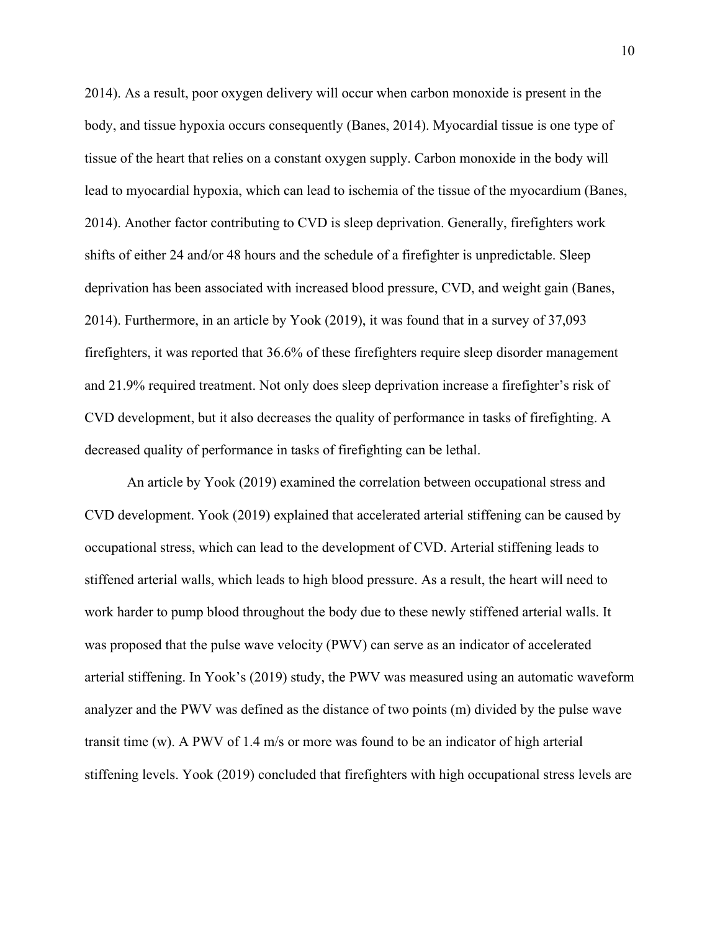2014). As a result, poor oxygen delivery will occur when carbon monoxide is present in the body, and tissue hypoxia occurs consequently (Banes, 2014). Myocardial tissue is one type of tissue of the heart that relies on a constant oxygen supply. Carbon monoxide in the body will lead to myocardial hypoxia, which can lead to ischemia of the tissue of the myocardium (Banes, 2014). Another factor contributing to CVD is sleep deprivation. Generally, firefighters work shifts of either 24 and/or 48 hours and the schedule of a firefighter is unpredictable. Sleep deprivation has been associated with increased blood pressure, CVD, and weight gain (Banes, 2014). Furthermore, in an article by Yook (2019), it was found that in a survey of 37,093 firefighters, it was reported that 36.6% of these firefighters require sleep disorder management and 21.9% required treatment. Not only does sleep deprivation increase a firefighter's risk of CVD development, but it also decreases the quality of performance in tasks of firefighting. A decreased quality of performance in tasks of firefighting can be lethal.

An article by Yook (2019) examined the correlation between occupational stress and CVD development. Yook (2019) explained that accelerated arterial stiffening can be caused by occupational stress, which can lead to the development of CVD. Arterial stiffening leads to stiffened arterial walls, which leads to high blood pressure. As a result, the heart will need to work harder to pump blood throughout the body due to these newly stiffened arterial walls. It was proposed that the pulse wave velocity (PWV) can serve as an indicator of accelerated arterial stiffening. In Yook's (2019) study, the PWV was measured using an automatic waveform analyzer and the PWV was defined as the distance of two points (m) divided by the pulse wave transit time (w). A PWV of 1.4 m/s or more was found to be an indicator of high arterial stiffening levels. Yook (2019) concluded that firefighters with high occupational stress levels are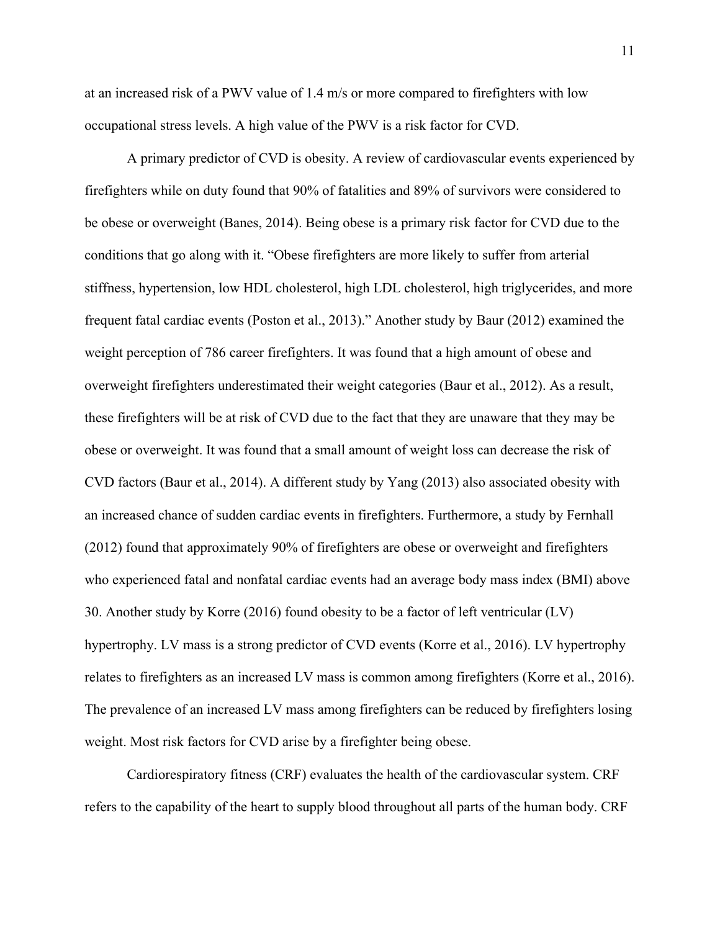at an increased risk of a PWV value of 1.4 m/s or more compared to firefighters with low occupational stress levels. A high value of the PWV is a risk factor for CVD.

A primary predictor of CVD is obesity. A review of cardiovascular events experienced by firefighters while on duty found that 90% of fatalities and 89% of survivors were considered to be obese or overweight (Banes, 2014). Being obese is a primary risk factor for CVD due to the conditions that go along with it. "Obese firefighters are more likely to suffer from arterial stiffness, hypertension, low HDL cholesterol, high LDL cholesterol, high triglycerides, and more frequent fatal cardiac events (Poston et al., 2013)." Another study by Baur (2012) examined the weight perception of 786 career firefighters. It was found that a high amount of obese and overweight firefighters underestimated their weight categories (Baur et al., 2012). As a result, these firefighters will be at risk of CVD due to the fact that they are unaware that they may be obese or overweight. It was found that a small amount of weight loss can decrease the risk of CVD factors (Baur et al., 2014). A different study by Yang (2013) also associated obesity with an increased chance of sudden cardiac events in firefighters. Furthermore, a study by Fernhall (2012) found that approximately 90% of firefighters are obese or overweight and firefighters who experienced fatal and nonfatal cardiac events had an average body mass index (BMI) above 30. Another study by Korre (2016) found obesity to be a factor of left ventricular (LV) hypertrophy. LV mass is a strong predictor of CVD events (Korre et al., 2016). LV hypertrophy relates to firefighters as an increased LV mass is common among firefighters (Korre et al., 2016). The prevalence of an increased LV mass among firefighters can be reduced by firefighters losing weight. Most risk factors for CVD arise by a firefighter being obese.

Cardiorespiratory fitness (CRF) evaluates the health of the cardiovascular system. CRF refers to the capability of the heart to supply blood throughout all parts of the human body. CRF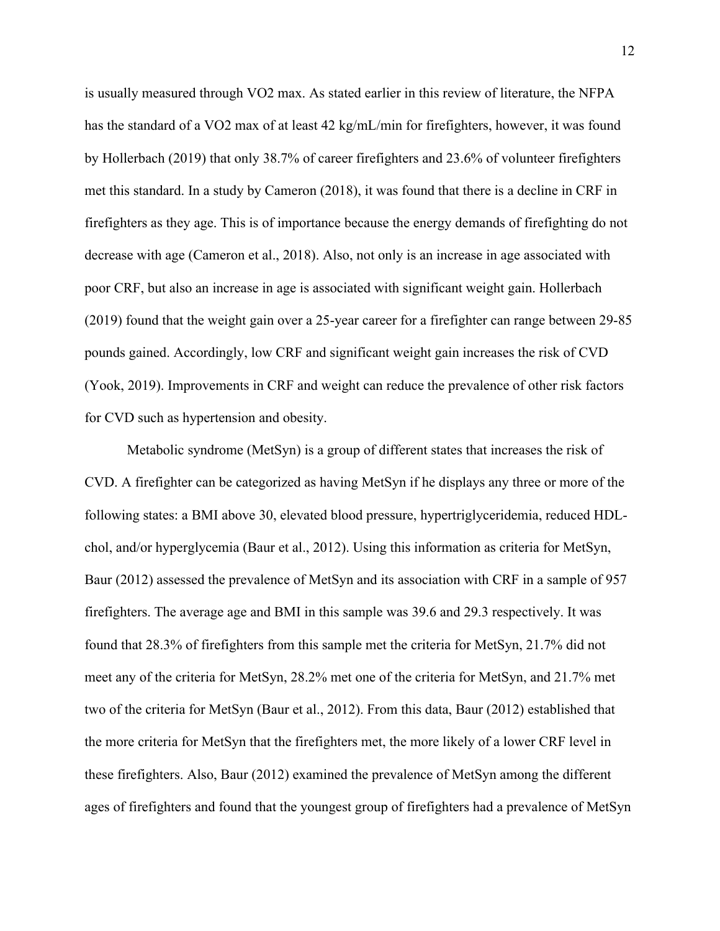is usually measured through VO2 max. As stated earlier in this review of literature, the NFPA has the standard of a VO2 max of at least 42 kg/mL/min for firefighters, however, it was found by Hollerbach (2019) that only 38.7% of career firefighters and 23.6% of volunteer firefighters met this standard. In a study by Cameron (2018), it was found that there is a decline in CRF in firefighters as they age. This is of importance because the energy demands of firefighting do not decrease with age (Cameron et al., 2018). Also, not only is an increase in age associated with poor CRF, but also an increase in age is associated with significant weight gain. Hollerbach (2019) found that the weight gain over a 25-year career for a firefighter can range between 29-85 pounds gained. Accordingly, low CRF and significant weight gain increases the risk of CVD (Yook, 2019). Improvements in CRF and weight can reduce the prevalence of other risk factors for CVD such as hypertension and obesity.

Metabolic syndrome (MetSyn) is a group of different states that increases the risk of CVD. A firefighter can be categorized as having MetSyn if he displays any three or more of the following states: a BMI above 30, elevated blood pressure, hypertriglyceridemia, reduced HDLchol, and/or hyperglycemia (Baur et al., 2012). Using this information as criteria for MetSyn, Baur (2012) assessed the prevalence of MetSyn and its association with CRF in a sample of 957 firefighters. The average age and BMI in this sample was 39.6 and 29.3 respectively. It was found that 28.3% of firefighters from this sample met the criteria for MetSyn, 21.7% did not meet any of the criteria for MetSyn, 28.2% met one of the criteria for MetSyn, and 21.7% met two of the criteria for MetSyn (Baur et al., 2012). From this data, Baur (2012) established that the more criteria for MetSyn that the firefighters met, the more likely of a lower CRF level in these firefighters. Also, Baur (2012) examined the prevalence of MetSyn among the different ages of firefighters and found that the youngest group of firefighters had a prevalence of MetSyn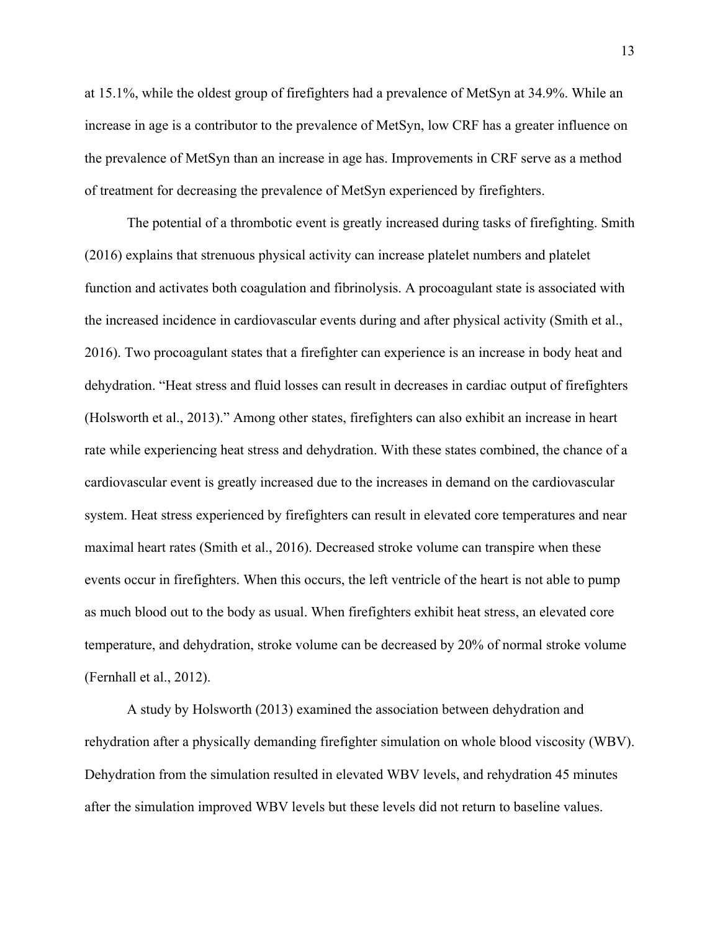at 15.1%, while the oldest group of firefighters had a prevalence of MetSyn at 34.9%. While an increase in age is a contributor to the prevalence of MetSyn, low CRF has a greater influence on the prevalence of MetSyn than an increase in age has. Improvements in CRF serve as a method of treatment for decreasing the prevalence of MetSyn experienced by firefighters.

The potential of a thrombotic event is greatly increased during tasks of firefighting. Smith (2016) explains that strenuous physical activity can increase platelet numbers and platelet function and activates both coagulation and fibrinolysis. A procoagulant state is associated with the increased incidence in cardiovascular events during and after physical activity (Smith et al., 2016). Two procoagulant states that a firefighter can experience is an increase in body heat and dehydration. "Heat stress and fluid losses can result in decreases in cardiac output of firefighters (Holsworth et al., 2013)." Among other states, firefighters can also exhibit an increase in heart rate while experiencing heat stress and dehydration. With these states combined, the chance of a cardiovascular event is greatly increased due to the increases in demand on the cardiovascular system. Heat stress experienced by firefighters can result in elevated core temperatures and near maximal heart rates (Smith et al., 2016). Decreased stroke volume can transpire when these events occur in firefighters. When this occurs, the left ventricle of the heart is not able to pump as much blood out to the body as usual. When firefighters exhibit heat stress, an elevated core temperature, and dehydration, stroke volume can be decreased by 20% of normal stroke volume (Fernhall et al., 2012).

A study by Holsworth (2013) examined the association between dehydration and rehydration after a physically demanding firefighter simulation on whole blood viscosity (WBV). Dehydration from the simulation resulted in elevated WBV levels, and rehydration 45 minutes after the simulation improved WBV levels but these levels did not return to baseline values.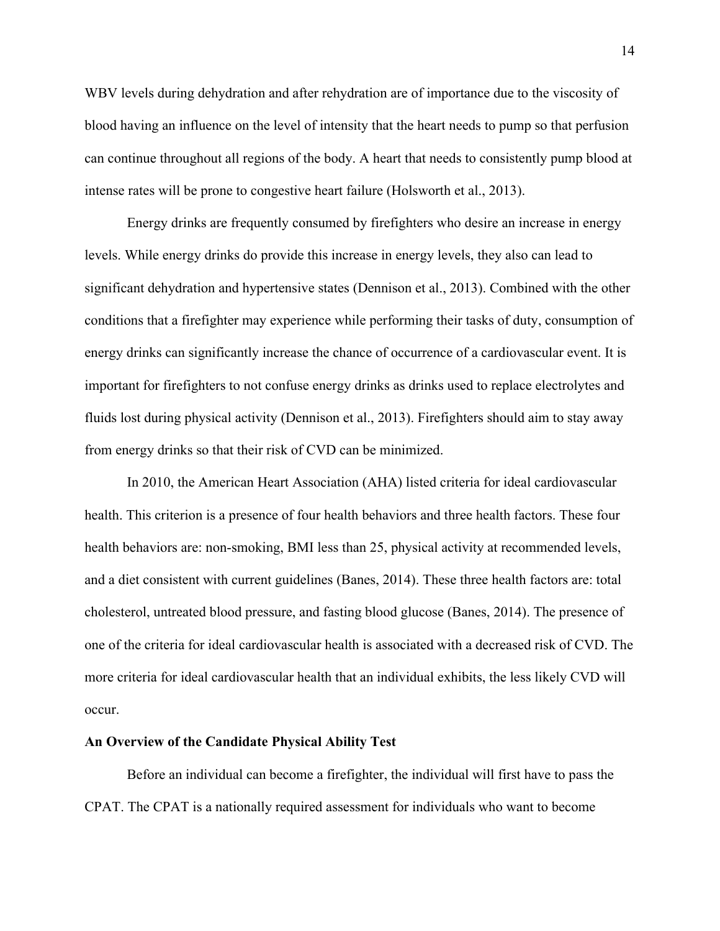WBV levels during dehydration and after rehydration are of importance due to the viscosity of blood having an influence on the level of intensity that the heart needs to pump so that perfusion can continue throughout all regions of the body. A heart that needs to consistently pump blood at intense rates will be prone to congestive heart failure (Holsworth et al., 2013).

Energy drinks are frequently consumed by firefighters who desire an increase in energy levels. While energy drinks do provide this increase in energy levels, they also can lead to significant dehydration and hypertensive states (Dennison et al., 2013). Combined with the other conditions that a firefighter may experience while performing their tasks of duty, consumption of energy drinks can significantly increase the chance of occurrence of a cardiovascular event. It is important for firefighters to not confuse energy drinks as drinks used to replace electrolytes and fluids lost during physical activity (Dennison et al., 2013). Firefighters should aim to stay away from energy drinks so that their risk of CVD can be minimized.

In 2010, the American Heart Association (AHA) listed criteria for ideal cardiovascular health. This criterion is a presence of four health behaviors and three health factors. These four health behaviors are: non-smoking, BMI less than 25, physical activity at recommended levels, and a diet consistent with current guidelines (Banes, 2014). These three health factors are: total cholesterol, untreated blood pressure, and fasting blood glucose (Banes, 2014). The presence of one of the criteria for ideal cardiovascular health is associated with a decreased risk of CVD. The more criteria for ideal cardiovascular health that an individual exhibits, the less likely CVD will occur.

#### **An Overview of the Candidate Physical Ability Test**

Before an individual can become a firefighter, the individual will first have to pass the CPAT. The CPAT is a nationally required assessment for individuals who want to become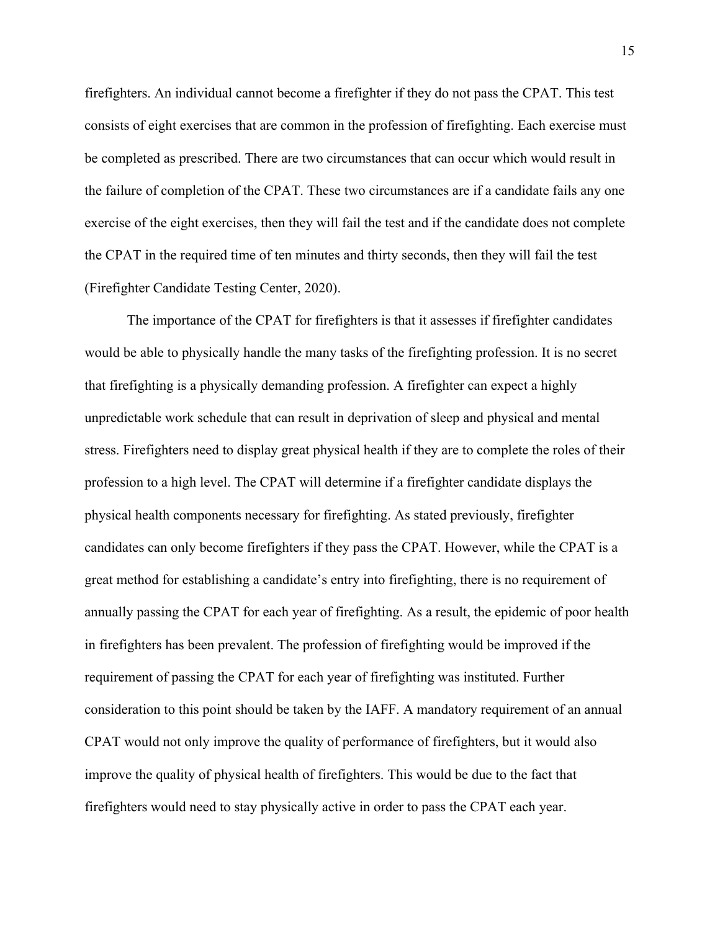firefighters. An individual cannot become a firefighter if they do not pass the CPAT. This test consists of eight exercises that are common in the profession of firefighting. Each exercise must be completed as prescribed. There are two circumstances that can occur which would result in the failure of completion of the CPAT. These two circumstances are if a candidate fails any one exercise of the eight exercises, then they will fail the test and if the candidate does not complete the CPAT in the required time of ten minutes and thirty seconds, then they will fail the test (Firefighter Candidate Testing Center, 2020).

The importance of the CPAT for firefighters is that it assesses if firefighter candidates would be able to physically handle the many tasks of the firefighting profession. It is no secret that firefighting is a physically demanding profession. A firefighter can expect a highly unpredictable work schedule that can result in deprivation of sleep and physical and mental stress. Firefighters need to display great physical health if they are to complete the roles of their profession to a high level. The CPAT will determine if a firefighter candidate displays the physical health components necessary for firefighting. As stated previously, firefighter candidates can only become firefighters if they pass the CPAT. However, while the CPAT is a great method for establishing a candidate's entry into firefighting, there is no requirement of annually passing the CPAT for each year of firefighting. As a result, the epidemic of poor health in firefighters has been prevalent. The profession of firefighting would be improved if the requirement of passing the CPAT for each year of firefighting was instituted. Further consideration to this point should be taken by the IAFF. A mandatory requirement of an annual CPAT would not only improve the quality of performance of firefighters, but it would also improve the quality of physical health of firefighters. This would be due to the fact that firefighters would need to stay physically active in order to pass the CPAT each year.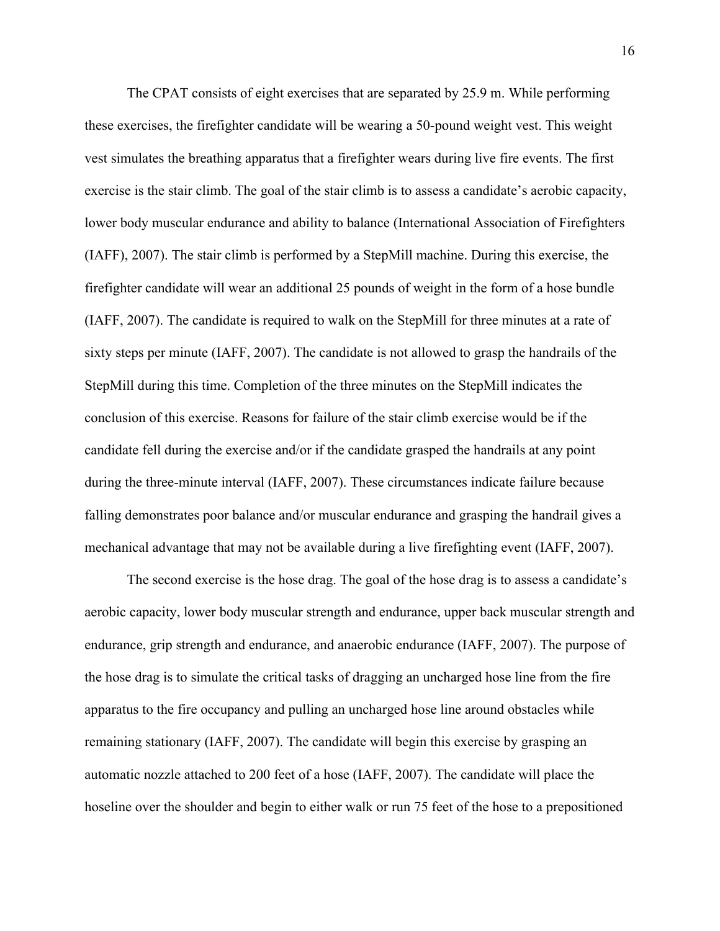The CPAT consists of eight exercises that are separated by 25.9 m. While performing these exercises, the firefighter candidate will be wearing a 50-pound weight vest. This weight vest simulates the breathing apparatus that a firefighter wears during live fire events. The first exercise is the stair climb. The goal of the stair climb is to assess a candidate's aerobic capacity, lower body muscular endurance and ability to balance (International Association of Firefighters (IAFF), 2007). The stair climb is performed by a StepMill machine. During this exercise, the firefighter candidate will wear an additional 25 pounds of weight in the form of a hose bundle (IAFF, 2007). The candidate is required to walk on the StepMill for three minutes at a rate of sixty steps per minute (IAFF, 2007). The candidate is not allowed to grasp the handrails of the StepMill during this time. Completion of the three minutes on the StepMill indicates the conclusion of this exercise. Reasons for failure of the stair climb exercise would be if the candidate fell during the exercise and/or if the candidate grasped the handrails at any point during the three-minute interval (IAFF, 2007). These circumstances indicate failure because falling demonstrates poor balance and/or muscular endurance and grasping the handrail gives a mechanical advantage that may not be available during a live firefighting event (IAFF, 2007).

The second exercise is the hose drag. The goal of the hose drag is to assess a candidate's aerobic capacity, lower body muscular strength and endurance, upper back muscular strength and endurance, grip strength and endurance, and anaerobic endurance (IAFF, 2007). The purpose of the hose drag is to simulate the critical tasks of dragging an uncharged hose line from the fire apparatus to the fire occupancy and pulling an uncharged hose line around obstacles while remaining stationary (IAFF, 2007). The candidate will begin this exercise by grasping an automatic nozzle attached to 200 feet of a hose (IAFF, 2007). The candidate will place the hoseline over the shoulder and begin to either walk or run 75 feet of the hose to a prepositioned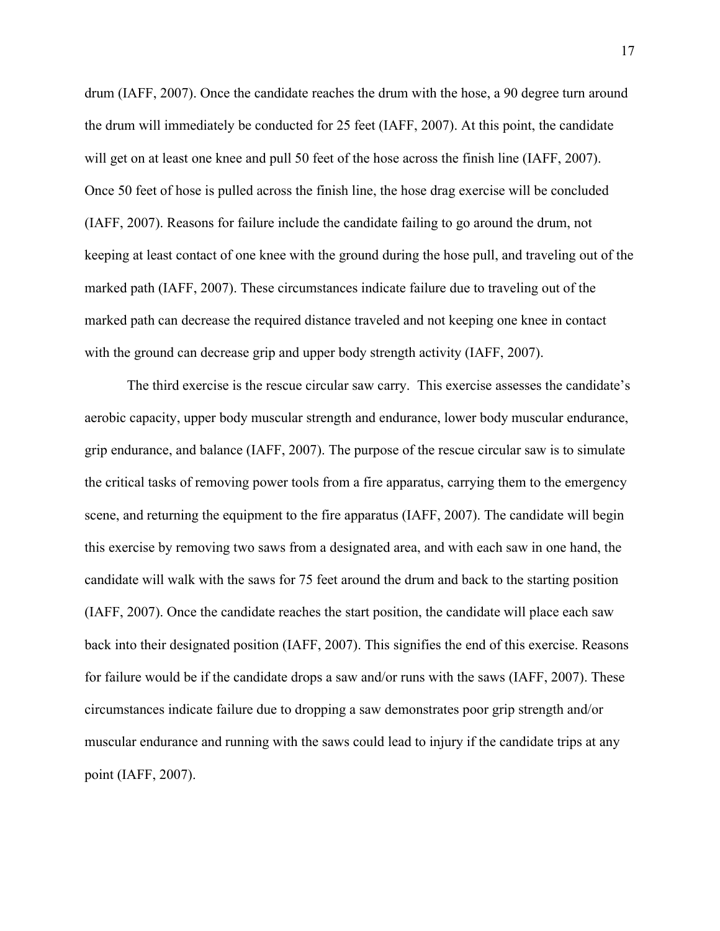drum (IAFF, 2007). Once the candidate reaches the drum with the hose, a 90 degree turn around the drum will immediately be conducted for 25 feet (IAFF, 2007). At this point, the candidate will get on at least one knee and pull 50 feet of the hose across the finish line (IAFF, 2007). Once 50 feet of hose is pulled across the finish line, the hose drag exercise will be concluded (IAFF, 2007). Reasons for failure include the candidate failing to go around the drum, not keeping at least contact of one knee with the ground during the hose pull, and traveling out of the marked path (IAFF, 2007). These circumstances indicate failure due to traveling out of the marked path can decrease the required distance traveled and not keeping one knee in contact with the ground can decrease grip and upper body strength activity (IAFF, 2007).

The third exercise is the rescue circular saw carry. This exercise assesses the candidate's aerobic capacity, upper body muscular strength and endurance, lower body muscular endurance, grip endurance, and balance (IAFF, 2007). The purpose of the rescue circular saw is to simulate the critical tasks of removing power tools from a fire apparatus, carrying them to the emergency scene, and returning the equipment to the fire apparatus (IAFF, 2007). The candidate will begin this exercise by removing two saws from a designated area, and with each saw in one hand, the candidate will walk with the saws for 75 feet around the drum and back to the starting position (IAFF, 2007). Once the candidate reaches the start position, the candidate will place each saw back into their designated position (IAFF, 2007). This signifies the end of this exercise. Reasons for failure would be if the candidate drops a saw and/or runs with the saws (IAFF, 2007). These circumstances indicate failure due to dropping a saw demonstrates poor grip strength and/or muscular endurance and running with the saws could lead to injury if the candidate trips at any point (IAFF, 2007).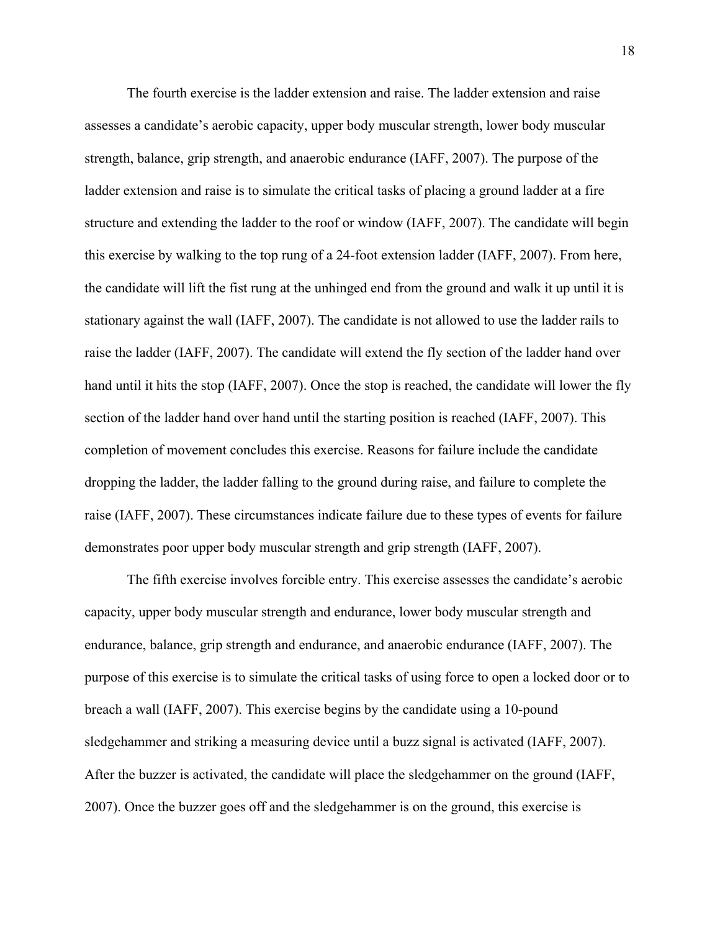The fourth exercise is the ladder extension and raise. The ladder extension and raise assesses a candidate's aerobic capacity, upper body muscular strength, lower body muscular strength, balance, grip strength, and anaerobic endurance (IAFF, 2007). The purpose of the ladder extension and raise is to simulate the critical tasks of placing a ground ladder at a fire structure and extending the ladder to the roof or window (IAFF, 2007). The candidate will begin this exercise by walking to the top rung of a 24-foot extension ladder (IAFF, 2007). From here, the candidate will lift the fist rung at the unhinged end from the ground and walk it up until it is stationary against the wall (IAFF, 2007). The candidate is not allowed to use the ladder rails to raise the ladder (IAFF, 2007). The candidate will extend the fly section of the ladder hand over hand until it hits the stop (IAFF, 2007). Once the stop is reached, the candidate will lower the fly section of the ladder hand over hand until the starting position is reached (IAFF, 2007). This completion of movement concludes this exercise. Reasons for failure include the candidate dropping the ladder, the ladder falling to the ground during raise, and failure to complete the raise (IAFF, 2007). These circumstances indicate failure due to these types of events for failure demonstrates poor upper body muscular strength and grip strength (IAFF, 2007).

The fifth exercise involves forcible entry. This exercise assesses the candidate's aerobic capacity, upper body muscular strength and endurance, lower body muscular strength and endurance, balance, grip strength and endurance, and anaerobic endurance (IAFF, 2007). The purpose of this exercise is to simulate the critical tasks of using force to open a locked door or to breach a wall (IAFF, 2007). This exercise begins by the candidate using a 10-pound sledgehammer and striking a measuring device until a buzz signal is activated (IAFF, 2007). After the buzzer is activated, the candidate will place the sledgehammer on the ground (IAFF, 2007). Once the buzzer goes off and the sledgehammer is on the ground, this exercise is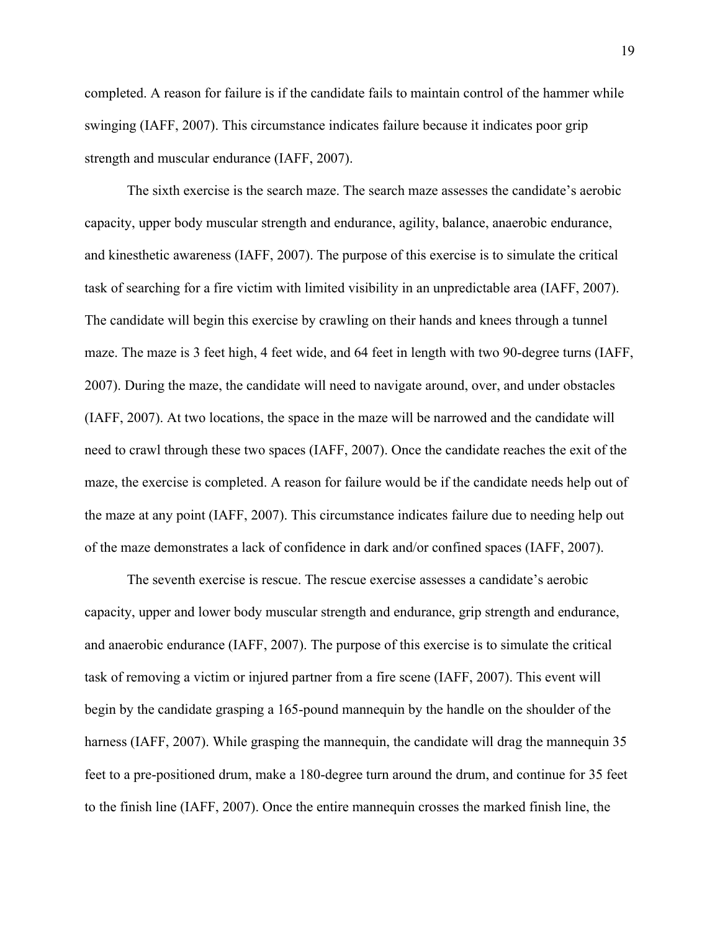completed. A reason for failure is if the candidate fails to maintain control of the hammer while swinging (IAFF, 2007). This circumstance indicates failure because it indicates poor grip strength and muscular endurance (IAFF, 2007).

The sixth exercise is the search maze. The search maze assesses the candidate's aerobic capacity, upper body muscular strength and endurance, agility, balance, anaerobic endurance, and kinesthetic awareness (IAFF, 2007). The purpose of this exercise is to simulate the critical task of searching for a fire victim with limited visibility in an unpredictable area (IAFF, 2007). The candidate will begin this exercise by crawling on their hands and knees through a tunnel maze. The maze is 3 feet high, 4 feet wide, and 64 feet in length with two 90-degree turns (IAFF, 2007). During the maze, the candidate will need to navigate around, over, and under obstacles (IAFF, 2007). At two locations, the space in the maze will be narrowed and the candidate will need to crawl through these two spaces (IAFF, 2007). Once the candidate reaches the exit of the maze, the exercise is completed. A reason for failure would be if the candidate needs help out of the maze at any point (IAFF, 2007). This circumstance indicates failure due to needing help out of the maze demonstrates a lack of confidence in dark and/or confined spaces (IAFF, 2007).

The seventh exercise is rescue. The rescue exercise assesses a candidate's aerobic capacity, upper and lower body muscular strength and endurance, grip strength and endurance, and anaerobic endurance (IAFF, 2007). The purpose of this exercise is to simulate the critical task of removing a victim or injured partner from a fire scene (IAFF, 2007). This event will begin by the candidate grasping a 165-pound mannequin by the handle on the shoulder of the harness (IAFF, 2007). While grasping the mannequin, the candidate will drag the mannequin 35 feet to a pre-positioned drum, make a 180-degree turn around the drum, and continue for 35 feet to the finish line (IAFF, 2007). Once the entire mannequin crosses the marked finish line, the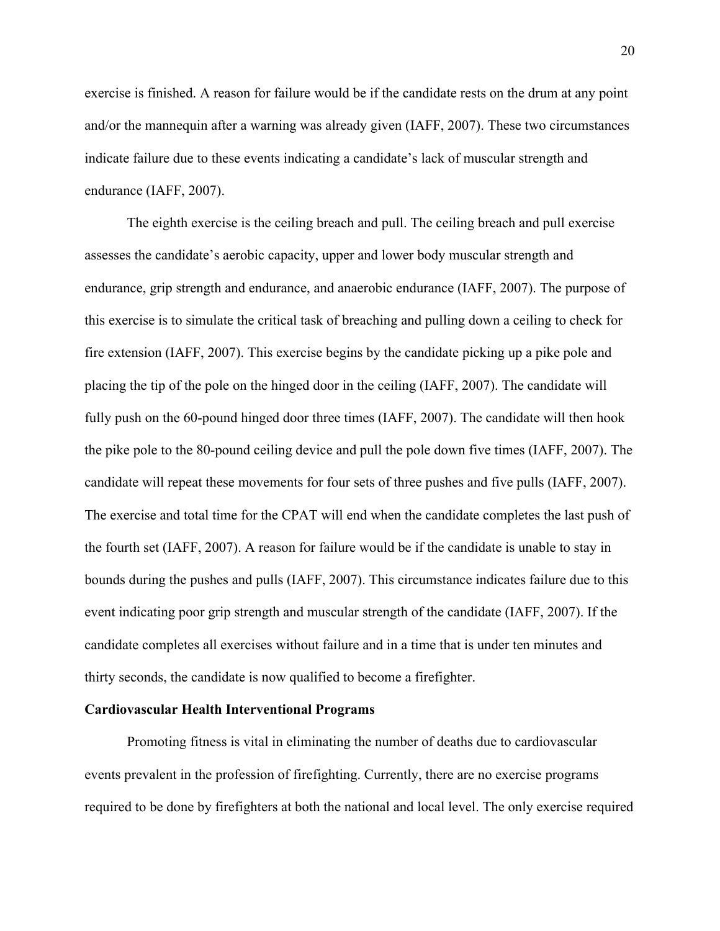exercise is finished. A reason for failure would be if the candidate rests on the drum at any point and/or the mannequin after a warning was already given (IAFF, 2007). These two circumstances indicate failure due to these events indicating a candidate's lack of muscular strength and endurance (IAFF, 2007).

The eighth exercise is the ceiling breach and pull. The ceiling breach and pull exercise assesses the candidate's aerobic capacity, upper and lower body muscular strength and endurance, grip strength and endurance, and anaerobic endurance (IAFF, 2007). The purpose of this exercise is to simulate the critical task of breaching and pulling down a ceiling to check for fire extension (IAFF, 2007). This exercise begins by the candidate picking up a pike pole and placing the tip of the pole on the hinged door in the ceiling (IAFF, 2007). The candidate will fully push on the 60-pound hinged door three times (IAFF, 2007). The candidate will then hook the pike pole to the 80-pound ceiling device and pull the pole down five times (IAFF, 2007). The candidate will repeat these movements for four sets of three pushes and five pulls (IAFF, 2007). The exercise and total time for the CPAT will end when the candidate completes the last push of the fourth set (IAFF, 2007). A reason for failure would be if the candidate is unable to stay in bounds during the pushes and pulls (IAFF, 2007). This circumstance indicates failure due to this event indicating poor grip strength and muscular strength of the candidate (IAFF, 2007). If the candidate completes all exercises without failure and in a time that is under ten minutes and thirty seconds, the candidate is now qualified to become a firefighter.

#### **Cardiovascular Health Interventional Programs**

Promoting fitness is vital in eliminating the number of deaths due to cardiovascular events prevalent in the profession of firefighting. Currently, there are no exercise programs required to be done by firefighters at both the national and local level. The only exercise required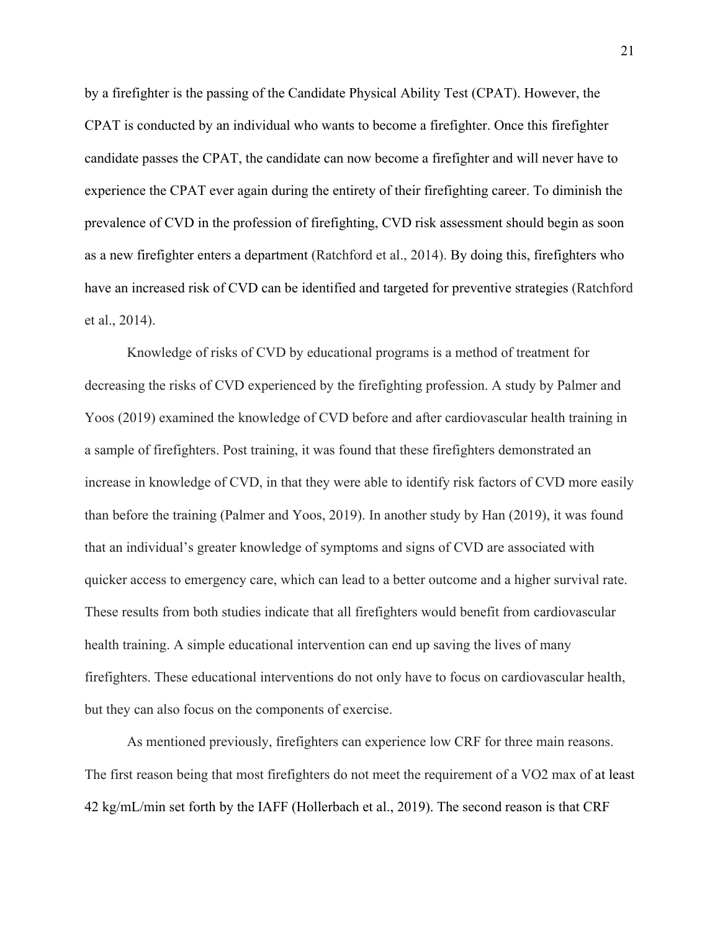by a firefighter is the passing of the Candidate Physical Ability Test (CPAT). However, the CPAT is conducted by an individual who wants to become a firefighter. Once this firefighter candidate passes the CPAT, the candidate can now become a firefighter and will never have to experience the CPAT ever again during the entirety of their firefighting career. To diminish the prevalence of CVD in the profession of firefighting, CVD risk assessment should begin as soon as a new firefighter enters a department (Ratchford et al., 2014). By doing this, firefighters who have an increased risk of CVD can be identified and targeted for preventive strategies (Ratchford et al., 2014).

Knowledge of risks of CVD by educational programs is a method of treatment for decreasing the risks of CVD experienced by the firefighting profession. A study by Palmer and Yoos (2019) examined the knowledge of CVD before and after cardiovascular health training in a sample of firefighters. Post training, it was found that these firefighters demonstrated an increase in knowledge of CVD, in that they were able to identify risk factors of CVD more easily than before the training (Palmer and Yoos, 2019). In another study by Han (2019), it was found that an individual's greater knowledge of symptoms and signs of CVD are associated with quicker access to emergency care, which can lead to a better outcome and a higher survival rate. These results from both studies indicate that all firefighters would benefit from cardiovascular health training. A simple educational intervention can end up saving the lives of many firefighters. These educational interventions do not only have to focus on cardiovascular health, but they can also focus on the components of exercise.

As mentioned previously, firefighters can experience low CRF for three main reasons. The first reason being that most firefighters do not meet the requirement of a VO2 max of at least 42 kg/mL/min set forth by the IAFF (Hollerbach et al., 2019). The second reason is that CRF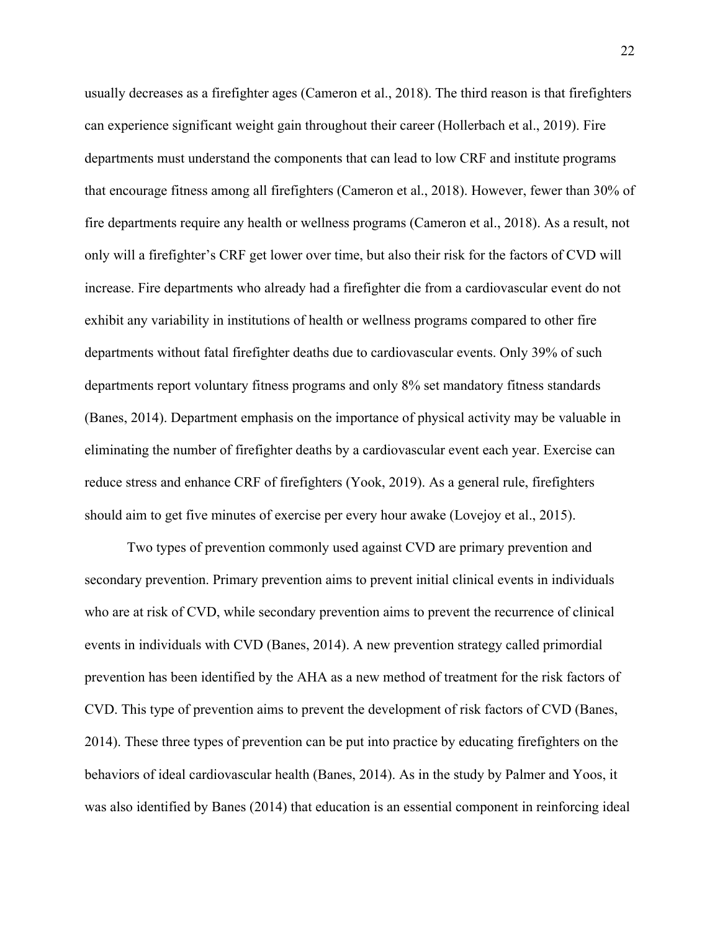usually decreases as a firefighter ages (Cameron et al., 2018). The third reason is that firefighters can experience significant weight gain throughout their career (Hollerbach et al., 2019). Fire departments must understand the components that can lead to low CRF and institute programs that encourage fitness among all firefighters (Cameron et al., 2018). However, fewer than 30% of fire departments require any health or wellness programs (Cameron et al., 2018). As a result, not only will a firefighter's CRF get lower over time, but also their risk for the factors of CVD will increase. Fire departments who already had a firefighter die from a cardiovascular event do not exhibit any variability in institutions of health or wellness programs compared to other fire departments without fatal firefighter deaths due to cardiovascular events. Only 39% of such departments report voluntary fitness programs and only 8% set mandatory fitness standards (Banes, 2014). Department emphasis on the importance of physical activity may be valuable in eliminating the number of firefighter deaths by a cardiovascular event each year. Exercise can reduce stress and enhance CRF of firefighters (Yook, 2019). As a general rule, firefighters should aim to get five minutes of exercise per every hour awake (Lovejoy et al., 2015).

Two types of prevention commonly used against CVD are primary prevention and secondary prevention. Primary prevention aims to prevent initial clinical events in individuals who are at risk of CVD, while secondary prevention aims to prevent the recurrence of clinical events in individuals with CVD (Banes, 2014). A new prevention strategy called primordial prevention has been identified by the AHA as a new method of treatment for the risk factors of CVD. This type of prevention aims to prevent the development of risk factors of CVD (Banes, 2014). These three types of prevention can be put into practice by educating firefighters on the behaviors of ideal cardiovascular health (Banes, 2014). As in the study by Palmer and Yoos, it was also identified by Banes (2014) that education is an essential component in reinforcing ideal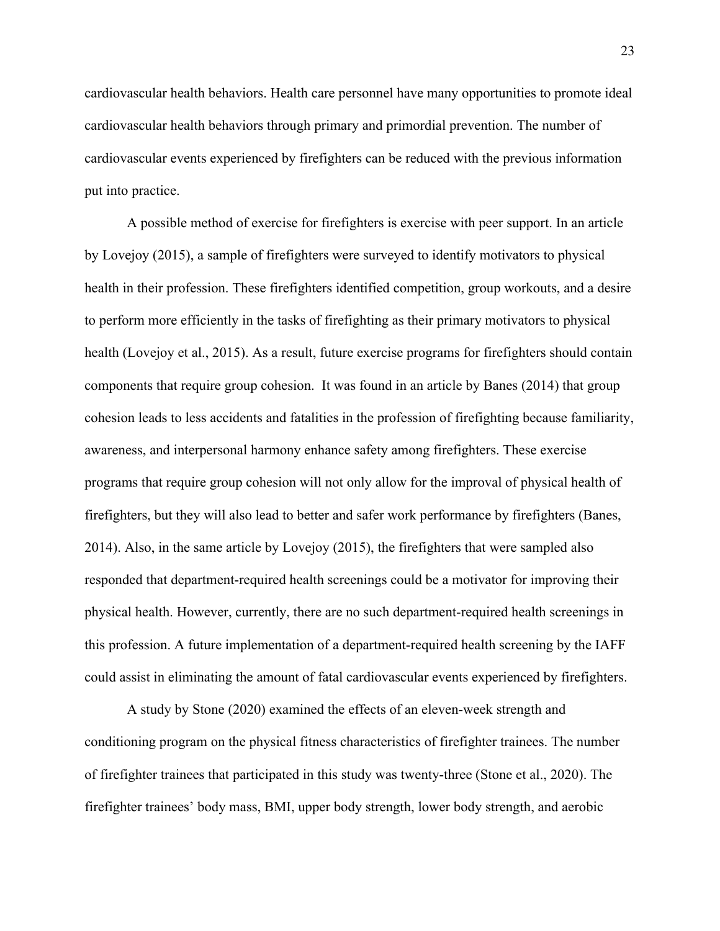cardiovascular health behaviors. Health care personnel have many opportunities to promote ideal cardiovascular health behaviors through primary and primordial prevention. The number of cardiovascular events experienced by firefighters can be reduced with the previous information put into practice.

A possible method of exercise for firefighters is exercise with peer support. In an article by Lovejoy (2015), a sample of firefighters were surveyed to identify motivators to physical health in their profession. These firefighters identified competition, group workouts, and a desire to perform more efficiently in the tasks of firefighting as their primary motivators to physical health (Lovejoy et al., 2015). As a result, future exercise programs for firefighters should contain components that require group cohesion. It was found in an article by Banes (2014) that group cohesion leads to less accidents and fatalities in the profession of firefighting because familiarity, awareness, and interpersonal harmony enhance safety among firefighters. These exercise programs that require group cohesion will not only allow for the improval of physical health of firefighters, but they will also lead to better and safer work performance by firefighters (Banes, 2014). Also, in the same article by Lovejoy (2015), the firefighters that were sampled also responded that department-required health screenings could be a motivator for improving their physical health. However, currently, there are no such department-required health screenings in this profession. A future implementation of a department-required health screening by the IAFF could assist in eliminating the amount of fatal cardiovascular events experienced by firefighters.

A study by Stone (2020) examined the effects of an eleven-week strength and conditioning program on the physical fitness characteristics of firefighter trainees. The number of firefighter trainees that participated in this study was twenty-three (Stone et al., 2020). The firefighter trainees' body mass, BMI, upper body strength, lower body strength, and aerobic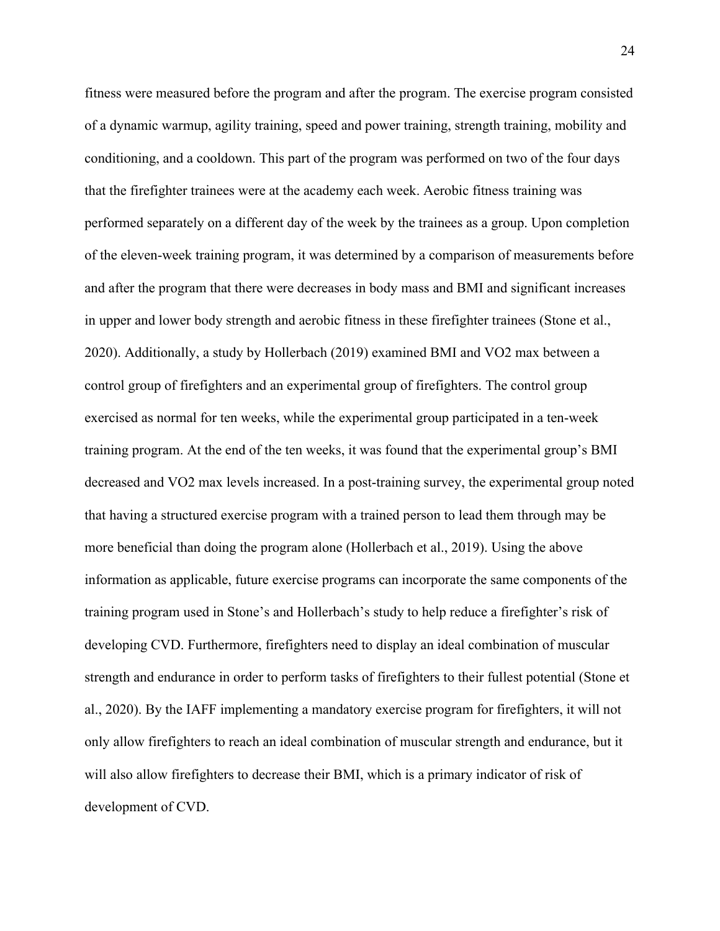fitness were measured before the program and after the program. The exercise program consisted of a dynamic warmup, agility training, speed and power training, strength training, mobility and conditioning, and a cooldown. This part of the program was performed on two of the four days that the firefighter trainees were at the academy each week. Aerobic fitness training was performed separately on a different day of the week by the trainees as a group. Upon completion of the eleven-week training program, it was determined by a comparison of measurements before and after the program that there were decreases in body mass and BMI and significant increases in upper and lower body strength and aerobic fitness in these firefighter trainees (Stone et al., 2020). Additionally, a study by Hollerbach (2019) examined BMI and VO2 max between a control group of firefighters and an experimental group of firefighters. The control group exercised as normal for ten weeks, while the experimental group participated in a ten-week training program. At the end of the ten weeks, it was found that the experimental group's BMI decreased and VO2 max levels increased. In a post-training survey, the experimental group noted that having a structured exercise program with a trained person to lead them through may be more beneficial than doing the program alone (Hollerbach et al., 2019). Using the above information as applicable, future exercise programs can incorporate the same components of the training program used in Stone's and Hollerbach's study to help reduce a firefighter's risk of developing CVD. Furthermore, firefighters need to display an ideal combination of muscular strength and endurance in order to perform tasks of firefighters to their fullest potential (Stone et al., 2020). By the IAFF implementing a mandatory exercise program for firefighters, it will not only allow firefighters to reach an ideal combination of muscular strength and endurance, but it will also allow firefighters to decrease their BMI, which is a primary indicator of risk of development of CVD.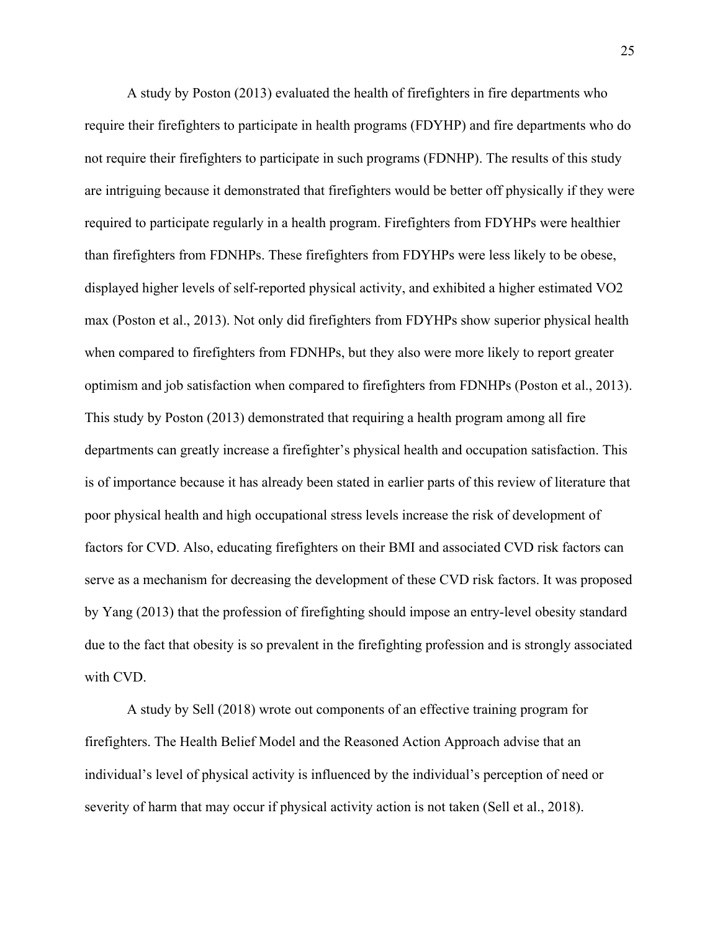A study by Poston (2013) evaluated the health of firefighters in fire departments who require their firefighters to participate in health programs (FDYHP) and fire departments who do not require their firefighters to participate in such programs (FDNHP). The results of this study are intriguing because it demonstrated that firefighters would be better off physically if they were required to participate regularly in a health program. Firefighters from FDYHPs were healthier than firefighters from FDNHPs. These firefighters from FDYHPs were less likely to be obese, displayed higher levels of self-reported physical activity, and exhibited a higher estimated VO2 max (Poston et al., 2013). Not only did firefighters from FDYHPs show superior physical health when compared to firefighters from FDNHPs, but they also were more likely to report greater optimism and job satisfaction when compared to firefighters from FDNHPs (Poston et al., 2013). This study by Poston (2013) demonstrated that requiring a health program among all fire departments can greatly increase a firefighter's physical health and occupation satisfaction. This is of importance because it has already been stated in earlier parts of this review of literature that poor physical health and high occupational stress levels increase the risk of development of factors for CVD. Also, educating firefighters on their BMI and associated CVD risk factors can serve as a mechanism for decreasing the development of these CVD risk factors. It was proposed by Yang (2013) that the profession of firefighting should impose an entry-level obesity standard due to the fact that obesity is so prevalent in the firefighting profession and is strongly associated with CVD.

A study by Sell (2018) wrote out components of an effective training program for firefighters. The Health Belief Model and the Reasoned Action Approach advise that an individual's level of physical activity is influenced by the individual's perception of need or severity of harm that may occur if physical activity action is not taken (Sell et al., 2018).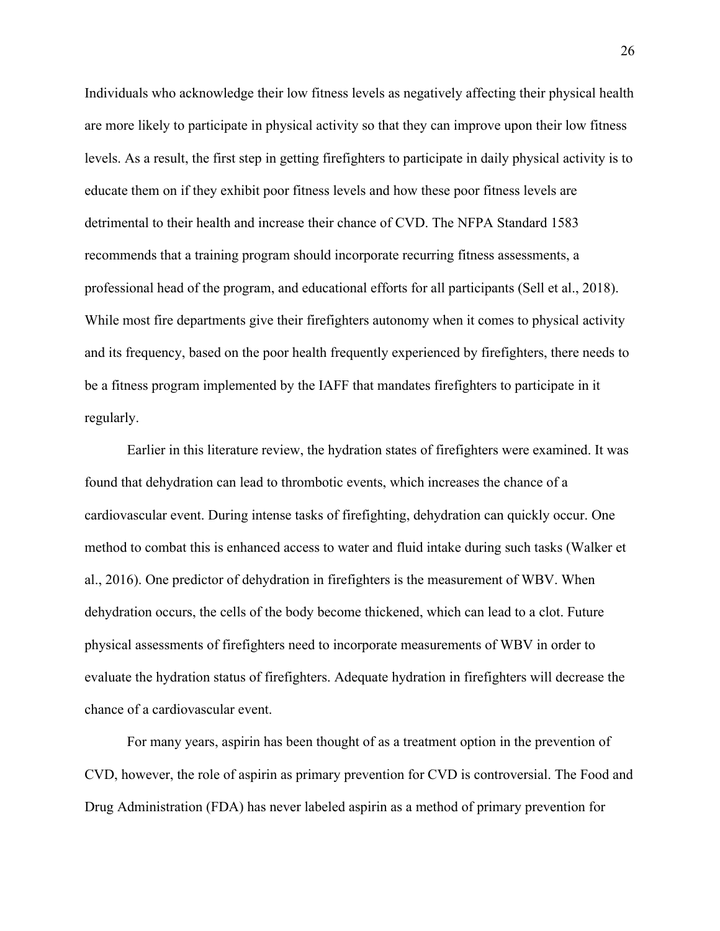Individuals who acknowledge their low fitness levels as negatively affecting their physical health are more likely to participate in physical activity so that they can improve upon their low fitness levels. As a result, the first step in getting firefighters to participate in daily physical activity is to educate them on if they exhibit poor fitness levels and how these poor fitness levels are detrimental to their health and increase their chance of CVD. The NFPA Standard 1583 recommends that a training program should incorporate recurring fitness assessments, a professional head of the program, and educational efforts for all participants (Sell et al., 2018). While most fire departments give their firefighters autonomy when it comes to physical activity and its frequency, based on the poor health frequently experienced by firefighters, there needs to be a fitness program implemented by the IAFF that mandates firefighters to participate in it regularly.

Earlier in this literature review, the hydration states of firefighters were examined. It was found that dehydration can lead to thrombotic events, which increases the chance of a cardiovascular event. During intense tasks of firefighting, dehydration can quickly occur. One method to combat this is enhanced access to water and fluid intake during such tasks (Walker et al., 2016). One predictor of dehydration in firefighters is the measurement of WBV. When dehydration occurs, the cells of the body become thickened, which can lead to a clot. Future physical assessments of firefighters need to incorporate measurements of WBV in order to evaluate the hydration status of firefighters. Adequate hydration in firefighters will decrease the chance of a cardiovascular event.

For many years, aspirin has been thought of as a treatment option in the prevention of CVD, however, the role of aspirin as primary prevention for CVD is controversial. The Food and Drug Administration (FDA) has never labeled aspirin as a method of primary prevention for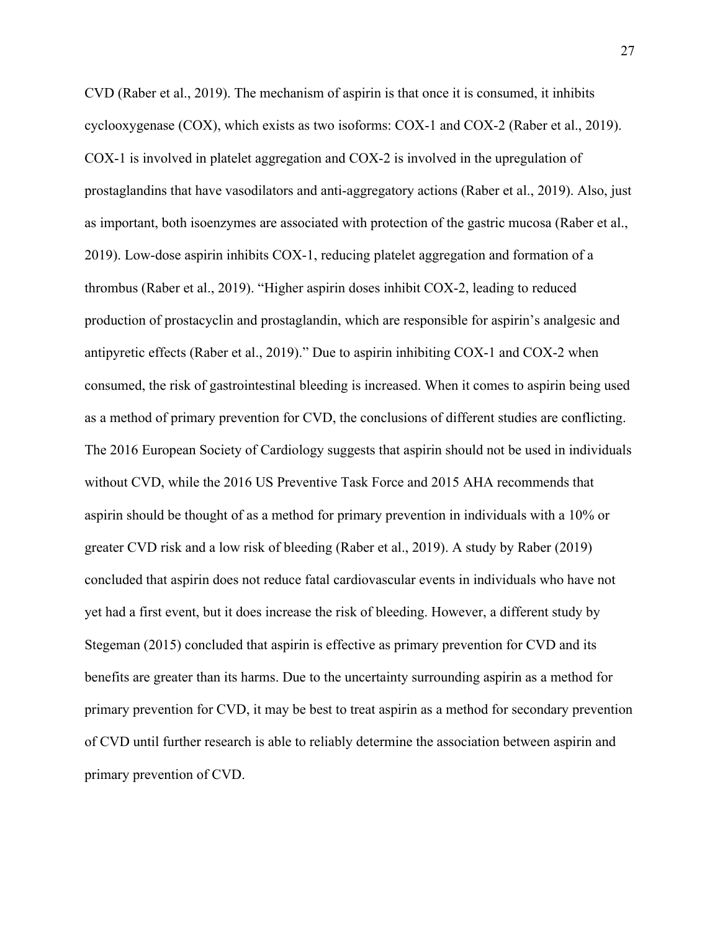CVD (Raber et al., 2019). The mechanism of aspirin is that once it is consumed, it inhibits cyclooxygenase (COX), which exists as two isoforms: COX-1 and COX-2 (Raber et al., 2019). COX-1 is involved in platelet aggregation and COX-2 is involved in the upregulation of prostaglandins that have vasodilators and anti-aggregatory actions (Raber et al., 2019). Also, just as important, both isoenzymes are associated with protection of the gastric mucosa (Raber et al., 2019). Low-dose aspirin inhibits COX-1, reducing platelet aggregation and formation of a thrombus (Raber et al., 2019). "Higher aspirin doses inhibit COX-2, leading to reduced production of prostacyclin and prostaglandin, which are responsible for aspirin's analgesic and antipyretic effects (Raber et al., 2019)." Due to aspirin inhibiting COX-1 and COX-2 when consumed, the risk of gastrointestinal bleeding is increased. When it comes to aspirin being used as a method of primary prevention for CVD, the conclusions of different studies are conflicting. The 2016 European Society of Cardiology suggests that aspirin should not be used in individuals without CVD, while the 2016 US Preventive Task Force and 2015 AHA recommends that aspirin should be thought of as a method for primary prevention in individuals with a 10% or greater CVD risk and a low risk of bleeding (Raber et al., 2019). A study by Raber (2019) concluded that aspirin does not reduce fatal cardiovascular events in individuals who have not yet had a first event, but it does increase the risk of bleeding. However, a different study by Stegeman (2015) concluded that aspirin is effective as primary prevention for CVD and its benefits are greater than its harms. Due to the uncertainty surrounding aspirin as a method for primary prevention for CVD, it may be best to treat aspirin as a method for secondary prevention of CVD until further research is able to reliably determine the association between aspirin and primary prevention of CVD.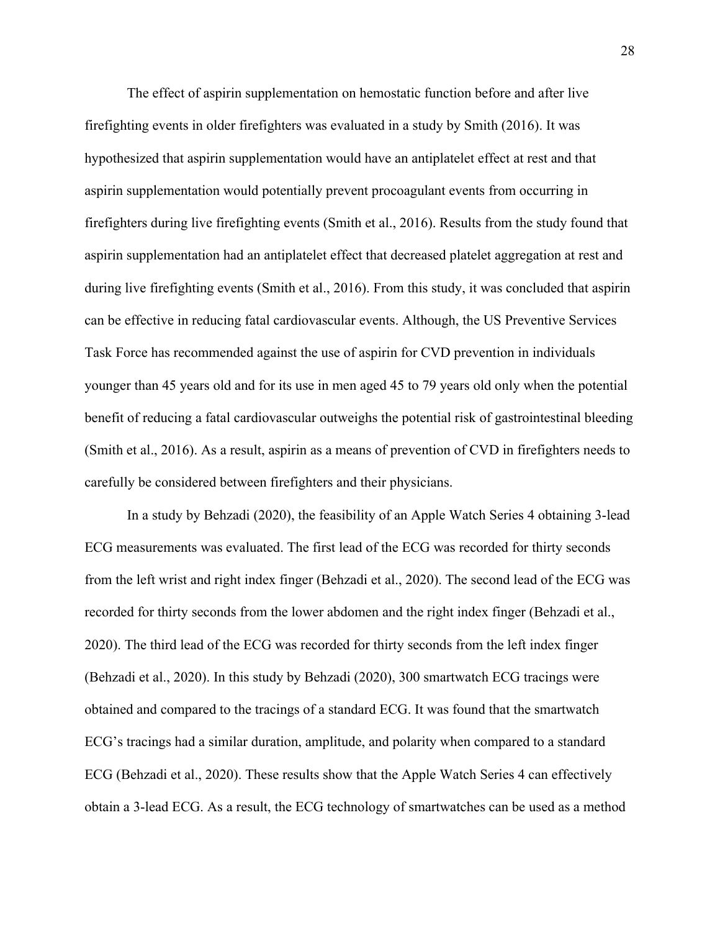The effect of aspirin supplementation on hemostatic function before and after live firefighting events in older firefighters was evaluated in a study by Smith (2016). It was hypothesized that aspirin supplementation would have an antiplatelet effect at rest and that aspirin supplementation would potentially prevent procoagulant events from occurring in firefighters during live firefighting events (Smith et al., 2016). Results from the study found that aspirin supplementation had an antiplatelet effect that decreased platelet aggregation at rest and during live firefighting events (Smith et al., 2016). From this study, it was concluded that aspirin can be effective in reducing fatal cardiovascular events. Although, the US Preventive Services Task Force has recommended against the use of aspirin for CVD prevention in individuals younger than 45 years old and for its use in men aged 45 to 79 years old only when the potential benefit of reducing a fatal cardiovascular outweighs the potential risk of gastrointestinal bleeding (Smith et al., 2016). As a result, aspirin as a means of prevention of CVD in firefighters needs to carefully be considered between firefighters and their physicians.

In a study by Behzadi (2020), the feasibility of an Apple Watch Series 4 obtaining 3-lead ECG measurements was evaluated. The first lead of the ECG was recorded for thirty seconds from the left wrist and right index finger (Behzadi et al., 2020). The second lead of the ECG was recorded for thirty seconds from the lower abdomen and the right index finger (Behzadi et al., 2020). The third lead of the ECG was recorded for thirty seconds from the left index finger (Behzadi et al., 2020). In this study by Behzadi (2020), 300 smartwatch ECG tracings were obtained and compared to the tracings of a standard ECG. It was found that the smartwatch ECG's tracings had a similar duration, amplitude, and polarity when compared to a standard ECG (Behzadi et al., 2020). These results show that the Apple Watch Series 4 can effectively obtain a 3-lead ECG. As a result, the ECG technology of smartwatches can be used as a method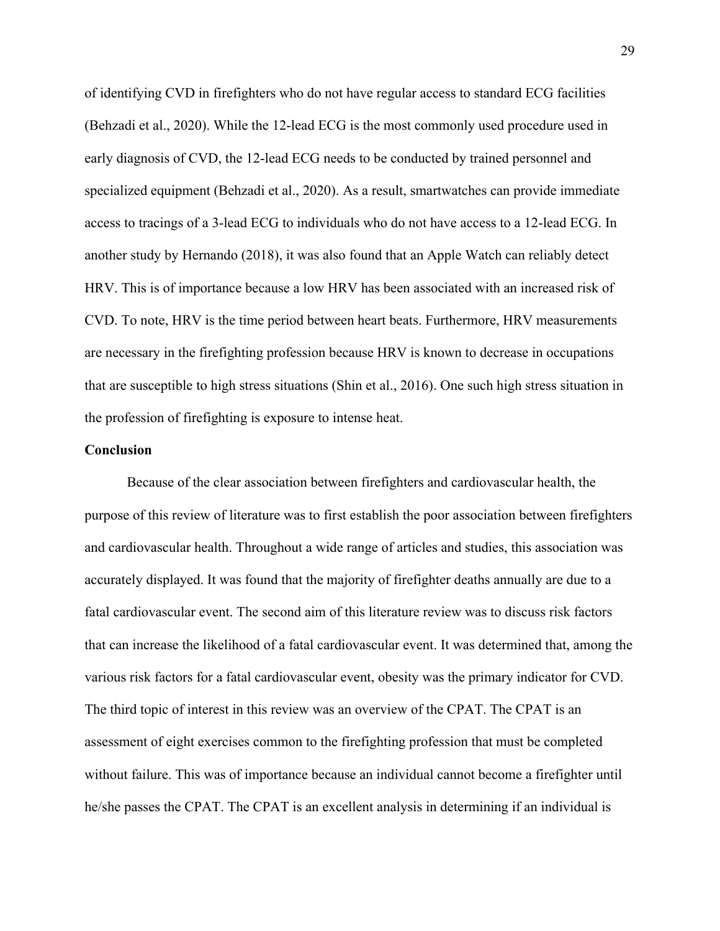of identifying CVD in firefighters who do not have regular access to standard ECG facilities (Behzadi et al., 2020). While the 12-lead ECG is the most commonly used procedure used in early diagnosis of CVD, the 12-lead ECG needs to be conducted by trained personnel and specialized equipment (Behzadi et al., 2020). As a result, smartwatches can provide immediate access to tracings of a 3-lead ECG to individuals who do not have access to a 12-lead ECG. In another study by Hernando (2018), it was also found that an Apple Watch can reliably detect HRV. This is of importance because a low HRV has been associated with an increased risk of CVD. To note, HRV is the time period between heart beats. Furthermore, HRV measurements are necessary in the firefighting profession because HRV is known to decrease in occupations that are susceptible to high stress situations (Shin et al., 2016). One such high stress situation in the profession of firefighting is exposure to intense heat.

#### **Conclusion**

Because of the clear association between firefighters and cardiovascular health, the purpose of this review of literature was to first establish the poor association between firefighters and cardiovascular health. Throughout a wide range of articles and studies, this association was accurately displayed. It was found that the majority of firefighter deaths annually are due to a fatal cardiovascular event. The second aim of this literature review was to discuss risk factors that can increase the likelihood of a fatal cardiovascular event. It was determined that, among the various risk factors for a fatal cardiovascular event, obesity was the primary indicator for CVD. The third topic of interest in this review was an overview of the CPAT. The CPAT is an assessment of eight exercises common to the firefighting profession that must be completed without failure. This was of importance because an individual cannot become a firefighter until he/she passes the CPAT. The CPAT is an excellent analysis in determining if an individual is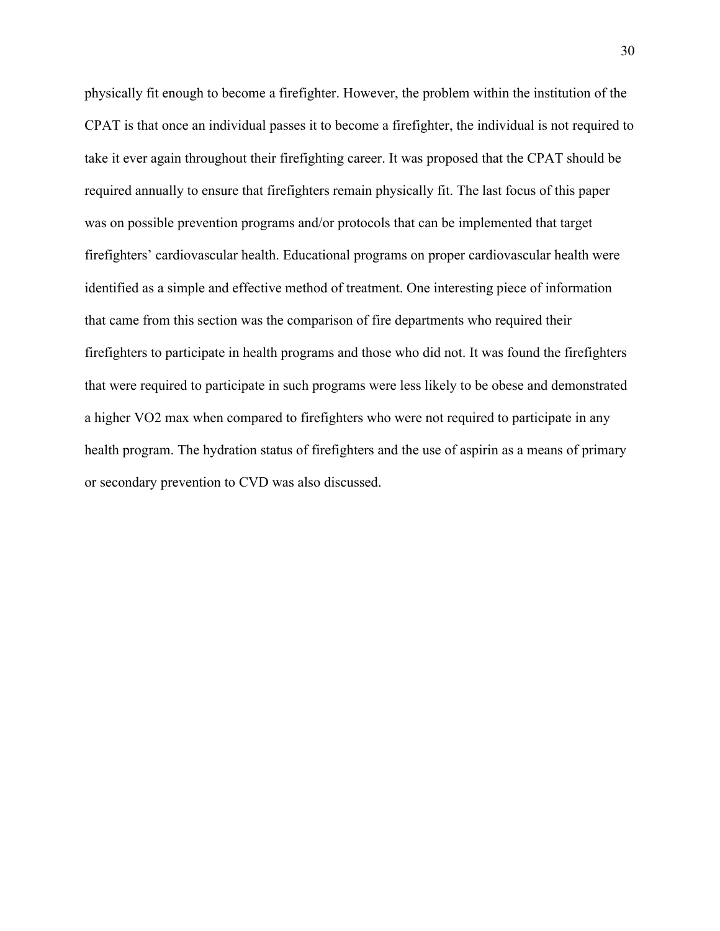physically fit enough to become a firefighter. However, the problem within the institution of the CPAT is that once an individual passes it to become a firefighter, the individual is not required to take it ever again throughout their firefighting career. It was proposed that the CPAT should be required annually to ensure that firefighters remain physically fit. The last focus of this paper was on possible prevention programs and/or protocols that can be implemented that target firefighters' cardiovascular health. Educational programs on proper cardiovascular health were identified as a simple and effective method of treatment. One interesting piece of information that came from this section was the comparison of fire departments who required their firefighters to participate in health programs and those who did not. It was found the firefighters that were required to participate in such programs were less likely to be obese and demonstrated a higher VO2 max when compared to firefighters who were not required to participate in any health program. The hydration status of firefighters and the use of aspirin as a means of primary or secondary prevention to CVD was also discussed.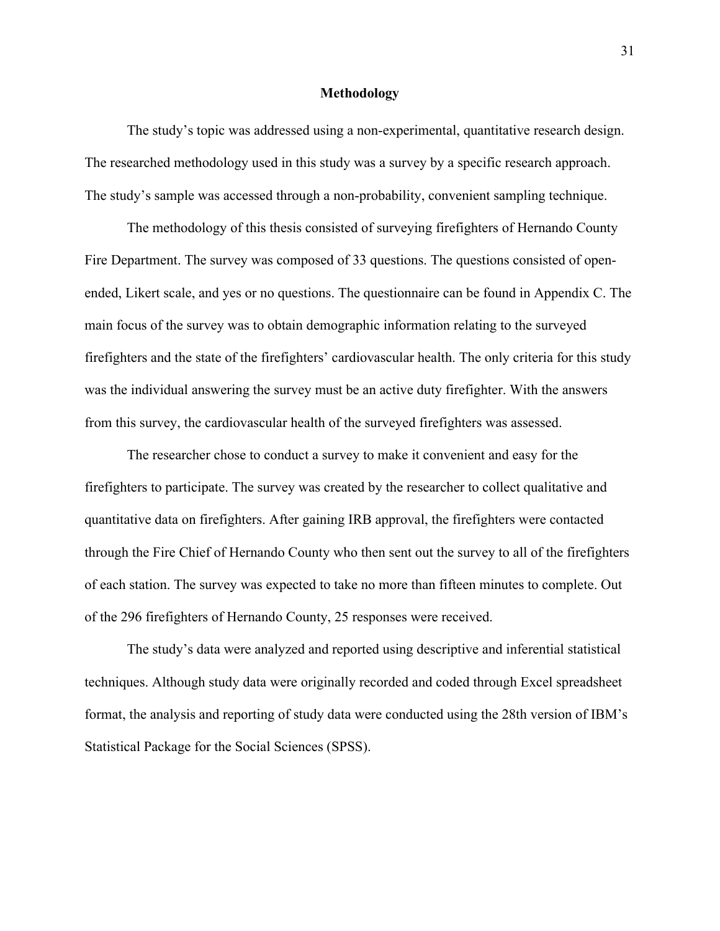#### **Methodology**

The study's topic was addressed using a non-experimental, quantitative research design. The researched methodology used in this study was a survey by a specific research approach. The study's sample was accessed through a non-probability, convenient sampling technique.

The methodology of this thesis consisted of surveying firefighters of Hernando County Fire Department. The survey was composed of 33 questions. The questions consisted of openended, Likert scale, and yes or no questions. The questionnaire can be found in Appendix C. The main focus of the survey was to obtain demographic information relating to the surveyed firefighters and the state of the firefighters' cardiovascular health. The only criteria for this study was the individual answering the survey must be an active duty firefighter. With the answers from this survey, the cardiovascular health of the surveyed firefighters was assessed.

The researcher chose to conduct a survey to make it convenient and easy for the firefighters to participate. The survey was created by the researcher to collect qualitative and quantitative data on firefighters. After gaining IRB approval, the firefighters were contacted through the Fire Chief of Hernando County who then sent out the survey to all of the firefighters of each station. The survey was expected to take no more than fifteen minutes to complete. Out of the 296 firefighters of Hernando County, 25 responses were received.

The study's data were analyzed and reported using descriptive and inferential statistical techniques. Although study data were originally recorded and coded through Excel spreadsheet format, the analysis and reporting of study data were conducted using the 28th version of IBM's Statistical Package for the Social Sciences (SPSS).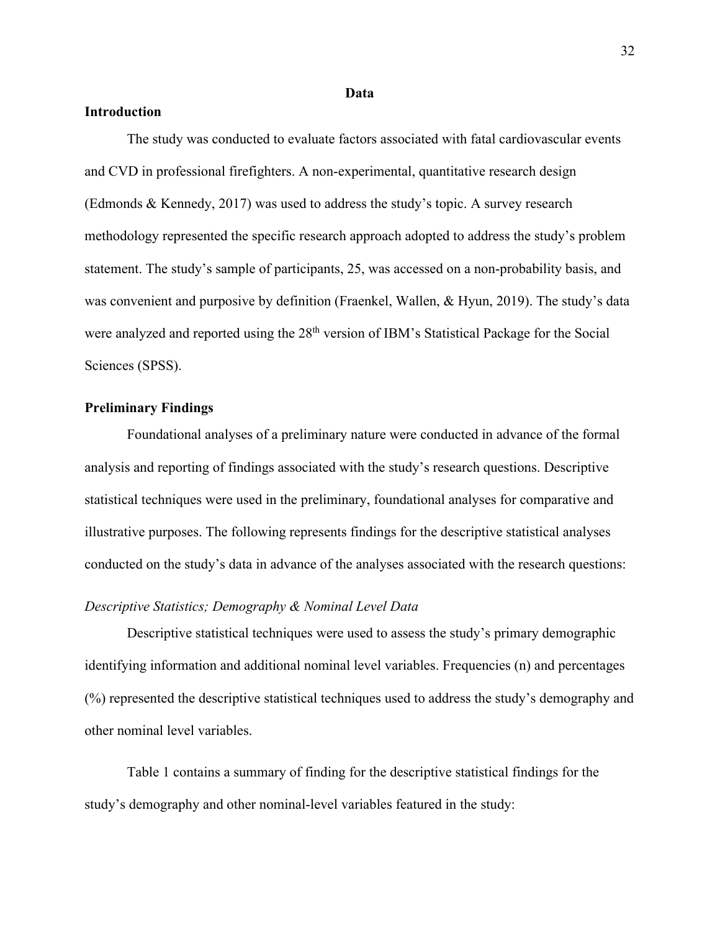#### **Data**

### **Introduction**

The study was conducted to evaluate factors associated with fatal cardiovascular events and CVD in professional firefighters. A non-experimental, quantitative research design (Edmonds & Kennedy, 2017) was used to address the study's topic. A survey research methodology represented the specific research approach adopted to address the study's problem statement. The study's sample of participants, 25, was accessed on a non-probability basis, and was convenient and purposive by definition (Fraenkel, Wallen, & Hyun, 2019). The study's data were analyzed and reported using the 28<sup>th</sup> version of IBM's Statistical Package for the Social Sciences (SPSS).

### **Preliminary Findings**

Foundational analyses of a preliminary nature were conducted in advance of the formal analysis and reporting of findings associated with the study's research questions. Descriptive statistical techniques were used in the preliminary, foundational analyses for comparative and illustrative purposes. The following represents findings for the descriptive statistical analyses conducted on the study's data in advance of the analyses associated with the research questions:

#### *Descriptive Statistics; Demography & Nominal Level Data*

Descriptive statistical techniques were used to assess the study's primary demographic identifying information and additional nominal level variables. Frequencies (n) and percentages (%) represented the descriptive statistical techniques used to address the study's demography and other nominal level variables.

Table 1 contains a summary of finding for the descriptive statistical findings for the study's demography and other nominal-level variables featured in the study: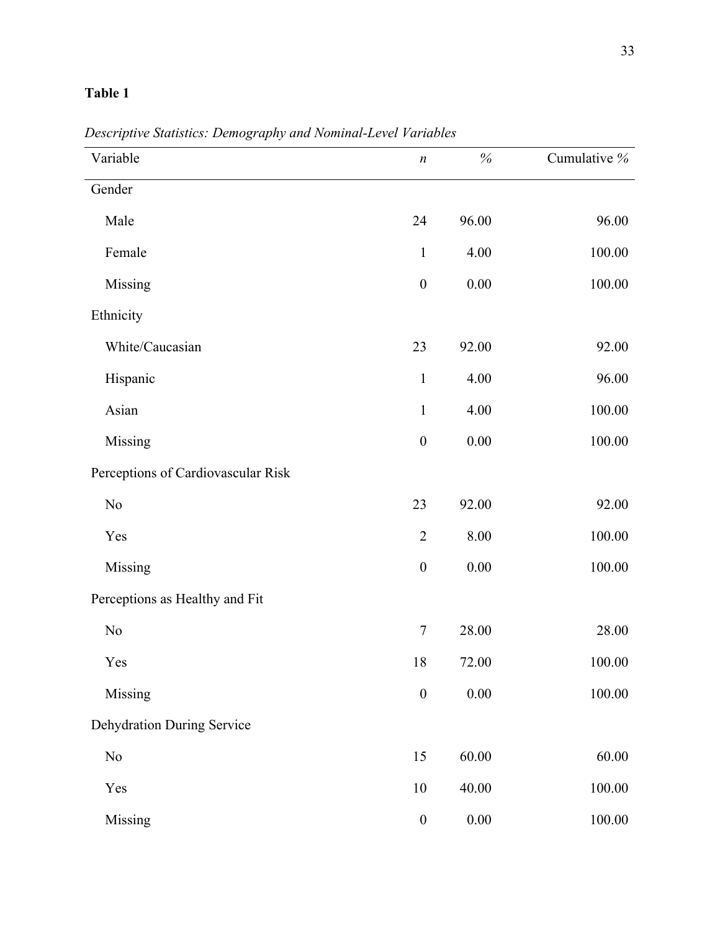| Variable                           | $\boldsymbol{n}$ | $\%$     | Cumulative % |
|------------------------------------|------------------|----------|--------------|
| Gender                             |                  |          |              |
| Male                               | 24               | 96.00    | 96.00        |
| Female                             | $\mathbf{1}$     | 4.00     | 100.00       |
| Missing                            | $\boldsymbol{0}$ | $0.00\,$ | 100.00       |
| Ethnicity                          |                  |          |              |
| White/Caucasian                    | 23               | 92.00    | 92.00        |
| Hispanic                           | $\mathbf{1}$     | 4.00     | 96.00        |
| Asian                              | $\mathbf 1$      | 4.00     | 100.00       |
| Missing                            | $\boldsymbol{0}$ | 0.00     | 100.00       |
| Perceptions of Cardiovascular Risk |                  |          |              |
| No                                 | 23               | 92.00    | 92.00        |
| Yes                                | $\overline{2}$   | 8.00     | 100.00       |
| Missing                            | $\boldsymbol{0}$ | $0.00\,$ | 100.00       |
| Perceptions as Healthy and Fit     |                  |          |              |
| No                                 | $\tau$           | 28.00    | 28.00        |
| Yes                                | 18               | 72.00    | 100.00       |
| Missing                            | $\boldsymbol{0}$ | $0.00\,$ | 100.00       |
| <b>Dehydration During Service</b>  |                  |          |              |
| No                                 | 15               | 60.00    | 60.00        |
| Yes                                | 10               | 40.00    | 100.00       |
| Missing                            | $\boldsymbol{0}$ | $0.00\,$ | 100.00       |

*Descriptive Statistics: Demography and Nominal-Level Variables*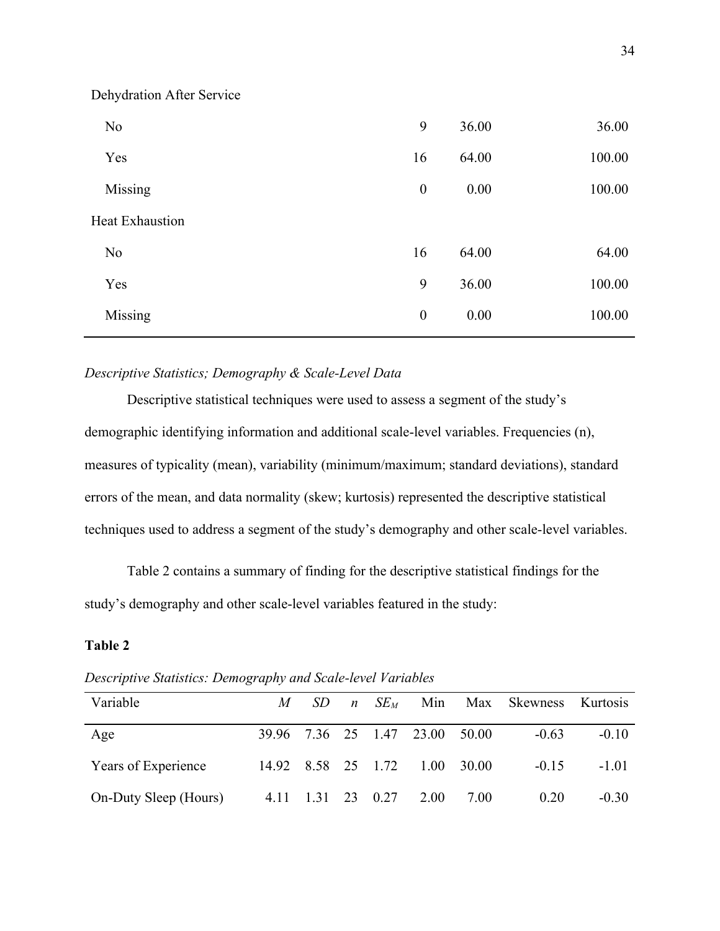| N <sub>o</sub>         | 9                | 36.00 | 36.00  |
|------------------------|------------------|-------|--------|
| Yes                    | 16               | 64.00 | 100.00 |
| Missing                | $\boldsymbol{0}$ | 0.00  | 100.00 |
| <b>Heat Exhaustion</b> |                  |       |        |
| N <sub>o</sub>         | 16               | 64.00 | 64.00  |
| Yes                    | 9                | 36.00 | 100.00 |
| Missing                | $\boldsymbol{0}$ | 0.00  | 100.00 |
|                        |                  |       |        |

## *Descriptive Statistics; Demography & Scale-Level Data*

Dehydration After Service

Descriptive statistical techniques were used to assess a segment of the study's demographic identifying information and additional scale-level variables. Frequencies (n), measures of typicality (mean), variability (minimum/maximum; standard deviations), standard errors of the mean, and data normality (skew; kurtosis) represented the descriptive statistical techniques used to address a segment of the study's demography and other scale-level variables.

Table 2 contains a summary of finding for the descriptive statistical findings for the study's demography and other scale-level variables featured in the study:

| Variable              | M                  | SD. | $n$ SE <sub>M</sub> |                                |      | Min Max Skewness Kurtosis |         |
|-----------------------|--------------------|-----|---------------------|--------------------------------|------|---------------------------|---------|
| Age                   |                    |     |                     | 39.96 7.36 25 1.47 23.00 50.00 |      | $-0.63$                   | $-0.10$ |
| Years of Experience   | 14.92 8.58 25 1.72 |     |                     | $1.00 \quad 30.00$             |      | $-0.15$                   | $-1.01$ |
| On-Duty Sleep (Hours) |                    |     |                     | 4.11 1.31 23 0.27 2.00         | 7.00 | 0.20                      | $-0.30$ |

*Descriptive Statistics: Demography and Scale-level Variables*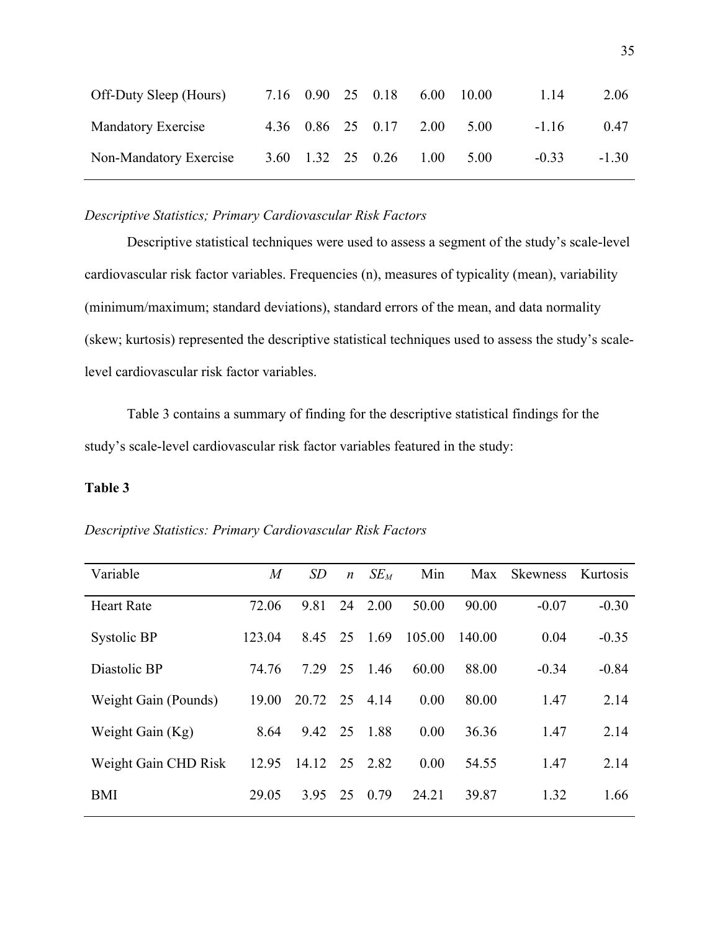| Off-Duty Sleep (Hours) |  | 7.16 0.90 25 0.18 6.00 10.00 |  | 1.14    | 2.06    |
|------------------------|--|------------------------------|--|---------|---------|
| Mandatory Exercise     |  | 4.36 0.86 25 0.17 2.00 5.00  |  | $-1.16$ | 0.47    |
| Non-Mandatory Exercise |  | 3.60 1.32 25 0.26 1.00 5.00  |  | $-0.33$ | $-1.30$ |

### *Descriptive Statistics; Primary Cardiovascular Risk Factors*

Descriptive statistical techniques were used to assess a segment of the study's scale-level cardiovascular risk factor variables. Frequencies (n), measures of typicality (mean), variability (minimum/maximum; standard deviations), standard errors of the mean, and data normality (skew; kurtosis) represented the descriptive statistical techniques used to assess the study's scalelevel cardiovascular risk factor variables.

Table 3 contains a summary of finding for the descriptive statistical findings for the study's scale-level cardiovascular risk factor variables featured in the study:

| Descriptive Statistics: Primary Cardiovascular Risk Factors |  |  |
|-------------------------------------------------------------|--|--|
|-------------------------------------------------------------|--|--|

| Variable             | $\overline{M}$ | SD    | $\boldsymbol{n}$ | $SE_M$ | Min    | Max    | <b>Skewness</b> | Kurtosis |
|----------------------|----------------|-------|------------------|--------|--------|--------|-----------------|----------|
| <b>Heart Rate</b>    | 72.06          | 9.81  | 24               | 2.00   | 50.00  | 90.00  | $-0.07$         | $-0.30$  |
| Systolic BP          | 123.04         | 8.45  | 25               | 1.69   | 105.00 | 140.00 | 0.04            | $-0.35$  |
| Diastolic BP         | 74.76          | 7.29  | 25               | 1.46   | 60.00  | 88.00  | $-0.34$         | $-0.84$  |
| Weight Gain (Pounds) | 19.00          | 20.72 | 25               | 4.14   | 0.00   | 80.00  | 1.47            | 2.14     |
| Weight Gain (Kg)     | 8.64           | 9.42  | 25               | 1.88   | 0.00   | 36.36  | 1.47            | 2.14     |
| Weight Gain CHD Risk | 12.95          | 14.12 | 25               | 2.82   | 0.00   | 54.55  | 1.47            | 2.14     |
| <b>BMI</b>           | 29.05          | 3.95  | 25               | 0.79   | 24.21  | 39.87  | 1.32            | 1.66     |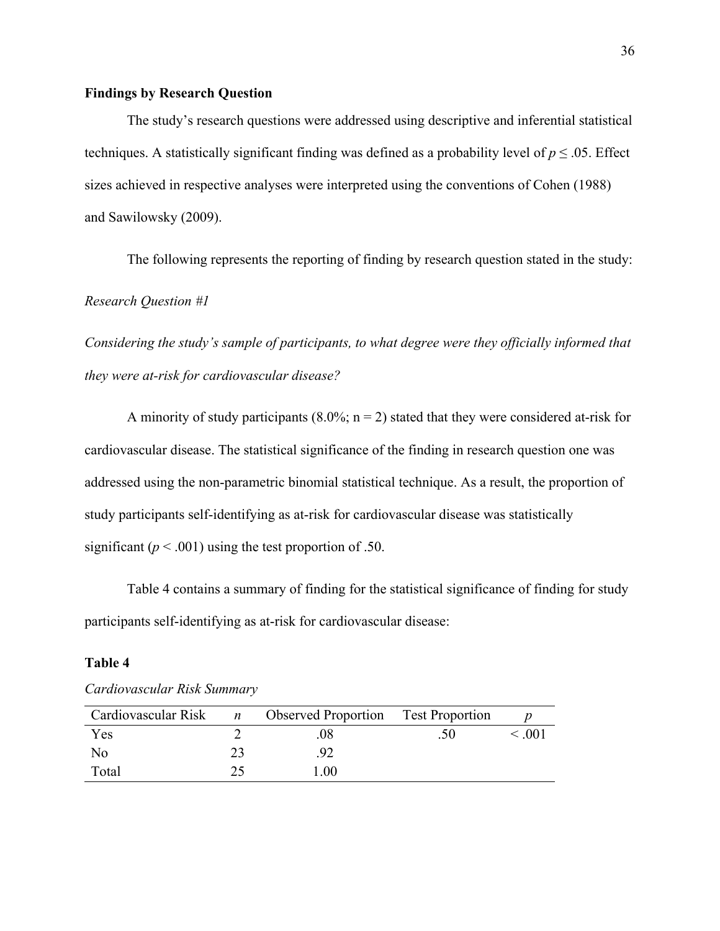#### **Findings by Research Question**

The study's research questions were addressed using descriptive and inferential statistical techniques. A statistically significant finding was defined as a probability level of  $p \le 0.05$ . Effect sizes achieved in respective analyses were interpreted using the conventions of Cohen (1988) and Sawilowsky (2009).

The following represents the reporting of finding by research question stated in the study:

#### *Research Question #1*

*Considering the study's sample of participants, to what degree were they officially informed that they were at-risk for cardiovascular disease?*

A minority of study participants  $(8.0\%; n = 2)$  stated that they were considered at-risk for cardiovascular disease. The statistical significance of the finding in research question one was addressed using the non-parametric binomial statistical technique. As a result, the proportion of study participants self-identifying as at-risk for cardiovascular disease was statistically significant ( $p < .001$ ) using the test proportion of .50.

Table 4 contains a summary of finding for the statistical significance of finding for study participants self-identifying as at-risk for cardiovascular disease:

|                |    | Cardiovascular Risk $n$ Observed Proportion Test Proportion |                  |        |
|----------------|----|-------------------------------------------------------------|------------------|--------|
| Yes            |    | 08                                                          | .50 <sub>1</sub> | < 0.01 |
| N <sub>0</sub> | 23 | .92 <sub>0</sub>                                            |                  |        |
| Total          |    | 1.00                                                        |                  |        |

*Cardiovascular Risk Summary*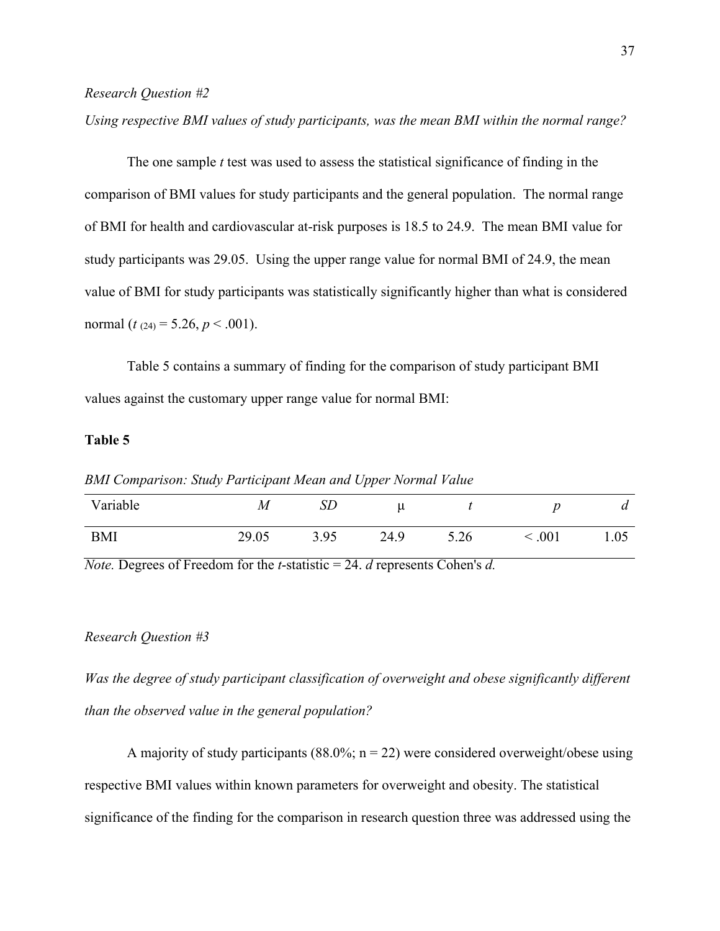#### *Research Question #2*

*Using respective BMI values of study participants, was the mean BMI within the normal range?*

The one sample *t* test was used to assess the statistical significance of finding in the comparison of BMI values for study participants and the general population. The normal range of BMI for health and cardiovascular at-risk purposes is 18.5 to 24.9. The mean BMI value for study participants was 29.05. Using the upper range value for normal BMI of 24.9, the mean value of BMI for study participants was statistically significantly higher than what is considered normal (*t* (24) = 5.26, *p* < .001).

Table 5 contains a summary of finding for the comparison of study participant BMI values against the customary upper range value for normal BMI:

#### **Table 5**

*BMI Comparison: Study Participant Mean and Upper Normal Value*

| Variable   | M     | SD   | u    |      |      | a    |
|------------|-------|------|------|------|------|------|
| <b>BMI</b> | 29.05 | 3.95 | 24.9 | 5.26 | .001 | 1.05 |

*Note.* Degrees of Freedom for the *t*-statistic = 24. *d* represents Cohen's *d.*

#### *Research Question #3*

*Was the degree of study participant classification of overweight and obese significantly different than the observed value in the general population?*

A majority of study participants (88.0%;  $n = 22$ ) were considered overweight/obese using respective BMI values within known parameters for overweight and obesity. The statistical significance of the finding for the comparison in research question three was addressed using the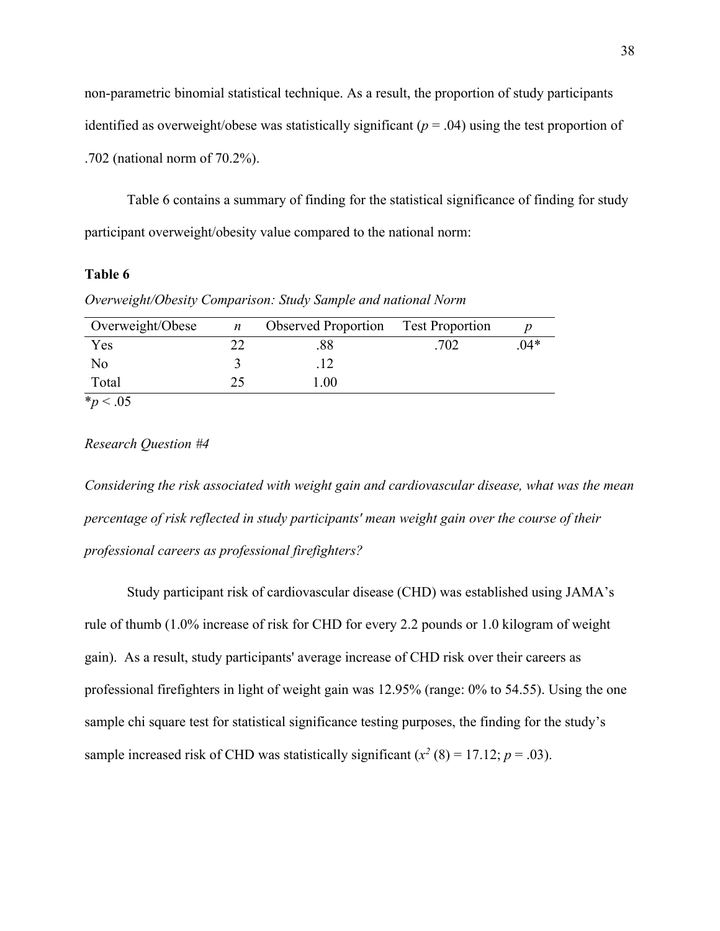non-parametric binomial statistical technique. As a result, the proportion of study participants identified as overweight/obese was statistically significant  $(p = .04)$  using the test proportion of .702 (national norm of 70.2%).

Table 6 contains a summary of finding for the statistical significance of finding for study participant overweight/obesity value compared to the national norm:

## **Table 6**

*Overweight/Obesity Comparison: Study Sample and national Norm*

| Yes            | 88   |      |       |
|----------------|------|------|-------|
|                |      | .702 | $04*$ |
| N <sub>0</sub> |      |      |       |
| Total          | 1.00 |      |       |

 $*_{p}$  < .05

#### *Research Question #4*

*Considering the risk associated with weight gain and cardiovascular disease, what was the mean percentage of risk reflected in study participants' mean weight gain over the course of their professional careers as professional firefighters?* 

Study participant risk of cardiovascular disease (CHD) was established using JAMA's rule of thumb (1.0% increase of risk for CHD for every 2.2 pounds or 1.0 kilogram of weight gain). As a result, study participants' average increase of CHD risk over their careers as professional firefighters in light of weight gain was 12.95% (range: 0% to 54.55). Using the one sample chi square test for statistical significance testing purposes, the finding for the study's sample increased risk of CHD was statistically significant  $(x^2 (8) = 17.12; p = .03)$ .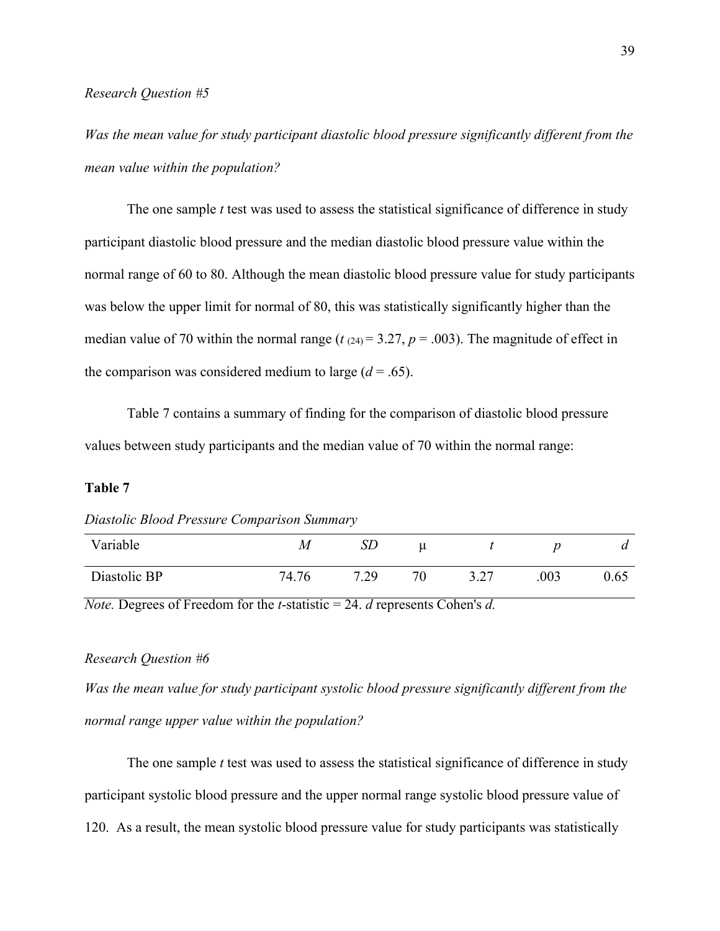*Was the mean value for study participant diastolic blood pressure significantly different from the mean value within the population?*

The one sample *t* test was used to assess the statistical significance of difference in study participant diastolic blood pressure and the median diastolic blood pressure value within the normal range of 60 to 80. Although the mean diastolic blood pressure value for study participants was below the upper limit for normal of 80, this was statistically significantly higher than the median value of 70 within the normal range ( $t(24) = 3.27$ ,  $p = .003$ ). The magnitude of effect in the comparison was considered medium to large  $(d = .65)$ .

Table 7 contains a summary of finding for the comparison of diastolic blood pressure values between study participants and the median value of 70 within the normal range:

### **Table 7**

*Diastolic Blood Pressure Comparison Summary*

| Variable     | M     | SD   | u  |                |      | $\boldsymbol{a}$ |
|--------------|-------|------|----|----------------|------|------------------|
| Diastolic BP | 74.76 | 7.29 | 70 | 3.27<br>ا ڪي پ | .003 | 0.65             |

*Note.* Degrees of Freedom for the *t*-statistic = 24. *d* represents Cohen's *d.*

#### *Research Question #6*

*Was the mean value for study participant systolic blood pressure significantly different from the normal range upper value within the population?*

The one sample *t* test was used to assess the statistical significance of difference in study participant systolic blood pressure and the upper normal range systolic blood pressure value of 120. As a result, the mean systolic blood pressure value for study participants was statistically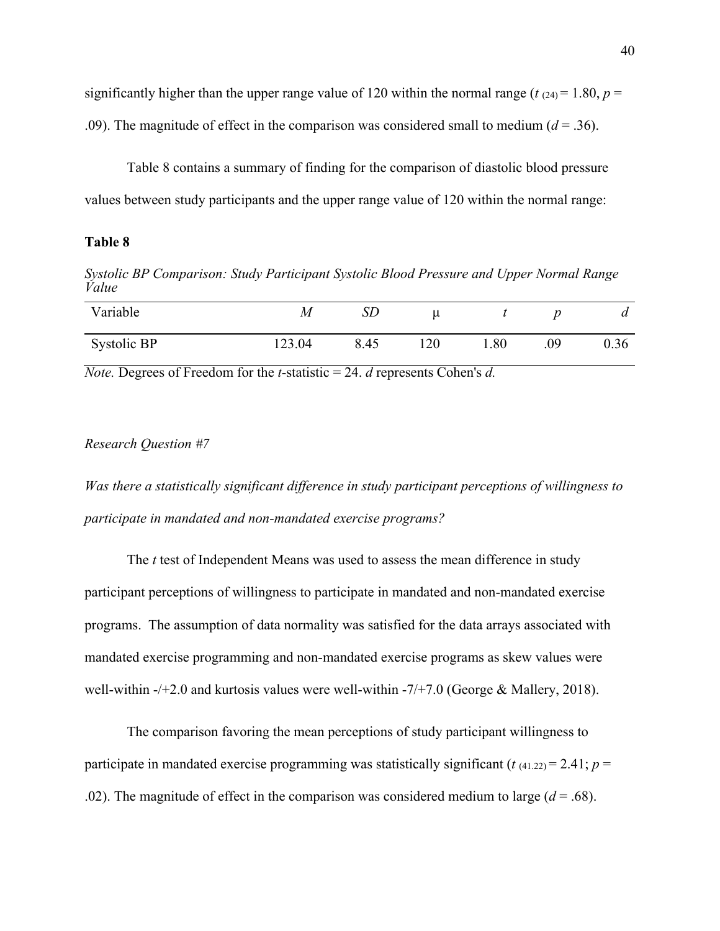significantly higher than the upper range value of 120 within the normal range ( $t$   $(24) = 1.80$ ,  $p =$ .09). The magnitude of effect in the comparison was considered small to medium  $(d = .36)$ .

Table 8 contains a summary of finding for the comparison of diastolic blood pressure values between study participants and the upper range value of 120 within the normal range:

#### **Table 8**

*Systolic BP Comparison: Study Participant Systolic Blood Pressure and Upper Normal Range Value*

| Variable    | $\boldsymbol{M}$ | $\mathcal{S}\mathcal{L}$ |     |      |     | $\boldsymbol{a}$ |
|-------------|------------------|--------------------------|-----|------|-----|------------------|
| Systolic BP | 123.04           | 8.45                     | 120 | 08.1 | .09 | 0.36             |

*Note.* Degrees of Freedom for the *t*-statistic = 24. *d* represents Cohen's *d.*

#### *Research Question #7*

*Was there a statistically significant difference in study participant perceptions of willingness to participate in mandated and non-mandated exercise programs?*

The *t* test of Independent Means was used to assess the mean difference in study participant perceptions of willingness to participate in mandated and non-mandated exercise programs. The assumption of data normality was satisfied for the data arrays associated with mandated exercise programming and non-mandated exercise programs as skew values were well-within -/+2.0 and kurtosis values were well-within -7/+7.0 (George & Mallery, 2018).

The comparison favoring the mean perceptions of study participant willingness to participate in mandated exercise programming was statistically significant ( $t$   $(41.22) = 2.41$ ;  $p =$ .02). The magnitude of effect in the comparison was considered medium to large  $(d = .68)$ .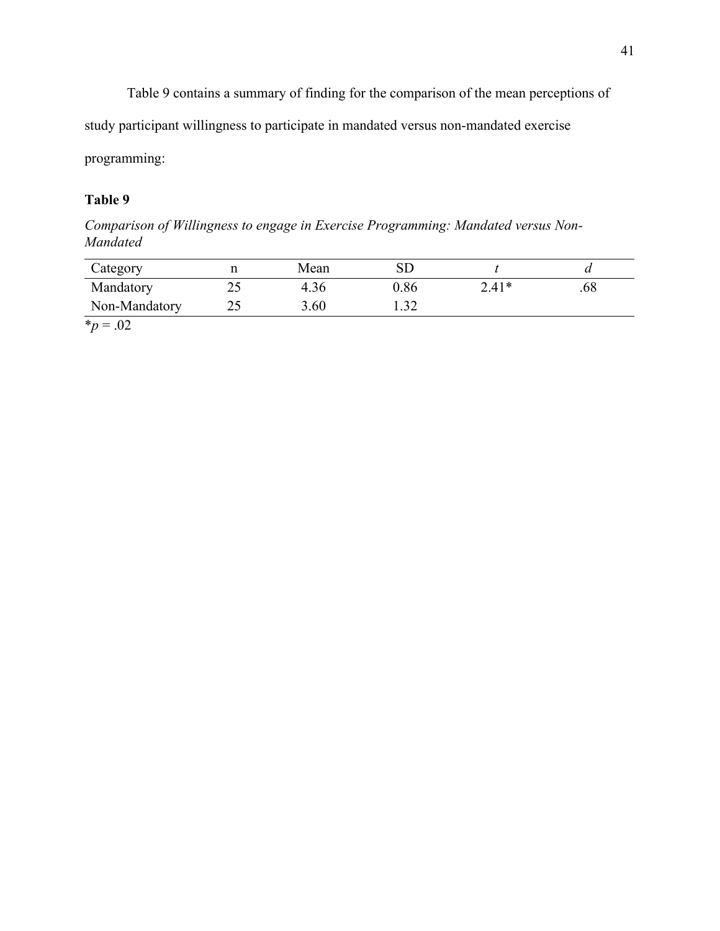Table 9 contains a summary of finding for the comparison of the mean perceptions of

study participant willingness to participate in mandated versus non-mandated exercise

programming:

# **Table 9**

*Comparison of Willingness to engage in Exercise Programming: Mandated versus Non-Mandated*

| Category      |             | Mean | $\operatorname{SD}$ |         |     |
|---------------|-------------|------|---------------------|---------|-----|
| Mandatory     | ገ ሩ<br>ل کے | 4.36 | 0.86                | $2.41*$ | .68 |
| Non-Mandatory | າ ເ<br>ر 2  | 3.60 | ے ر…                |         |     |

 $*_{p} = .02$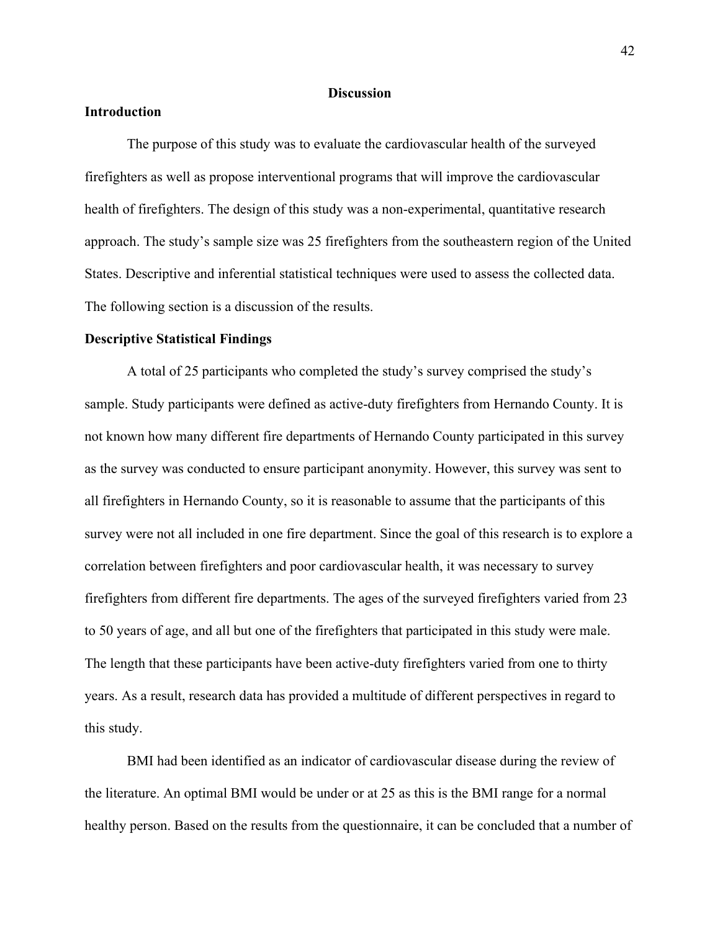#### **Discussion**

#### **Introduction**

The purpose of this study was to evaluate the cardiovascular health of the surveyed firefighters as well as propose interventional programs that will improve the cardiovascular health of firefighters. The design of this study was a non-experimental, quantitative research approach. The study's sample size was 25 firefighters from the southeastern region of the United States. Descriptive and inferential statistical techniques were used to assess the collected data. The following section is a discussion of the results.

#### **Descriptive Statistical Findings**

A total of 25 participants who completed the study's survey comprised the study's sample. Study participants were defined as active-duty firefighters from Hernando County. It is not known how many different fire departments of Hernando County participated in this survey as the survey was conducted to ensure participant anonymity. However, this survey was sent to all firefighters in Hernando County, so it is reasonable to assume that the participants of this survey were not all included in one fire department. Since the goal of this research is to explore a correlation between firefighters and poor cardiovascular health, it was necessary to survey firefighters from different fire departments. The ages of the surveyed firefighters varied from 23 to 50 years of age, and all but one of the firefighters that participated in this study were male. The length that these participants have been active-duty firefighters varied from one to thirty years. As a result, research data has provided a multitude of different perspectives in regard to this study.

BMI had been identified as an indicator of cardiovascular disease during the review of the literature. An optimal BMI would be under or at 25 as this is the BMI range for a normal healthy person. Based on the results from the questionnaire, it can be concluded that a number of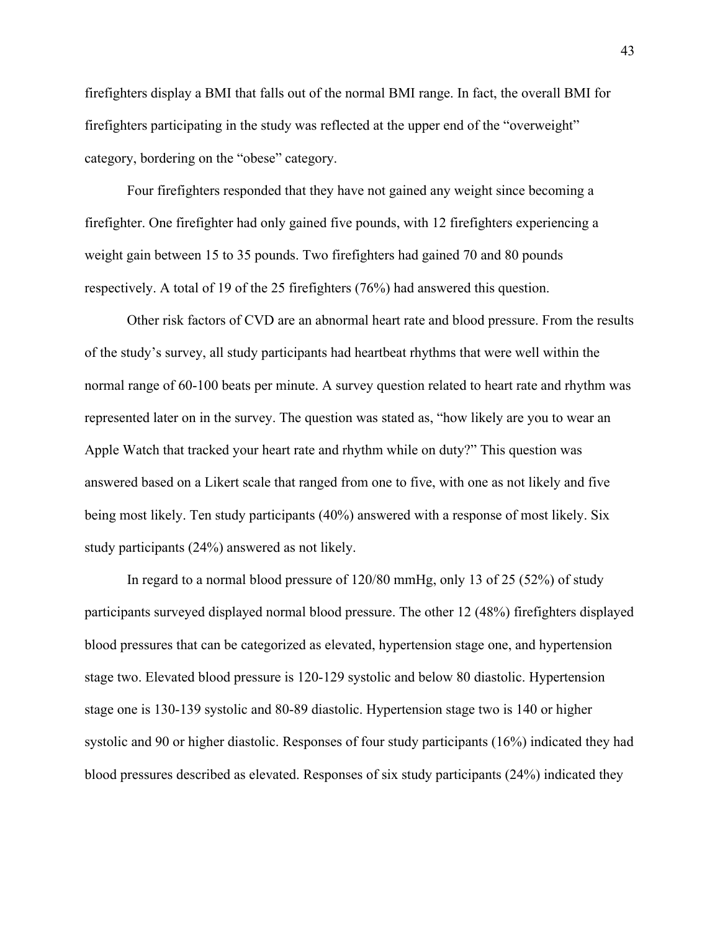firefighters display a BMI that falls out of the normal BMI range. In fact, the overall BMI for firefighters participating in the study was reflected at the upper end of the "overweight" category, bordering on the "obese" category.

Four firefighters responded that they have not gained any weight since becoming a firefighter. One firefighter had only gained five pounds, with 12 firefighters experiencing a weight gain between 15 to 35 pounds. Two firefighters had gained 70 and 80 pounds respectively. A total of 19 of the 25 firefighters (76%) had answered this question.

Other risk factors of CVD are an abnormal heart rate and blood pressure. From the results of the study's survey, all study participants had heartbeat rhythms that were well within the normal range of 60-100 beats per minute. A survey question related to heart rate and rhythm was represented later on in the survey. The question was stated as, "how likely are you to wear an Apple Watch that tracked your heart rate and rhythm while on duty?" This question was answered based on a Likert scale that ranged from one to five, with one as not likely and five being most likely. Ten study participants (40%) answered with a response of most likely. Six study participants (24%) answered as not likely.

In regard to a normal blood pressure of 120/80 mmHg, only 13 of 25 (52%) of study participants surveyed displayed normal blood pressure. The other 12 (48%) firefighters displayed blood pressures that can be categorized as elevated, hypertension stage one, and hypertension stage two. Elevated blood pressure is 120-129 systolic and below 80 diastolic. Hypertension stage one is 130-139 systolic and 80-89 diastolic. Hypertension stage two is 140 or higher systolic and 90 or higher diastolic. Responses of four study participants (16%) indicated they had blood pressures described as elevated. Responses of six study participants (24%) indicated they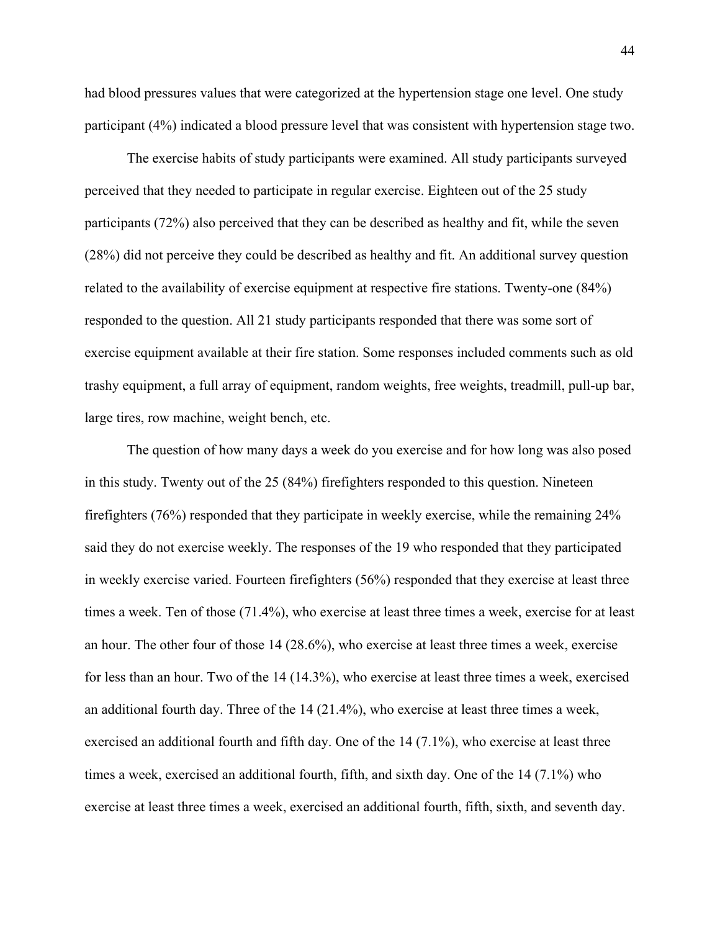had blood pressures values that were categorized at the hypertension stage one level. One study participant (4%) indicated a blood pressure level that was consistent with hypertension stage two.

The exercise habits of study participants were examined. All study participants surveyed perceived that they needed to participate in regular exercise. Eighteen out of the 25 study participants (72%) also perceived that they can be described as healthy and fit, while the seven (28%) did not perceive they could be described as healthy and fit. An additional survey question related to the availability of exercise equipment at respective fire stations. Twenty-one (84%) responded to the question. All 21 study participants responded that there was some sort of exercise equipment available at their fire station. Some responses included comments such as old trashy equipment, a full array of equipment, random weights, free weights, treadmill, pull-up bar, large tires, row machine, weight bench, etc.

The question of how many days a week do you exercise and for how long was also posed in this study. Twenty out of the 25 (84%) firefighters responded to this question. Nineteen firefighters (76%) responded that they participate in weekly exercise, while the remaining 24% said they do not exercise weekly. The responses of the 19 who responded that they participated in weekly exercise varied. Fourteen firefighters (56%) responded that they exercise at least three times a week. Ten of those (71.4%), who exercise at least three times a week, exercise for at least an hour. The other four of those 14 (28.6%), who exercise at least three times a week, exercise for less than an hour. Two of the 14 (14.3%), who exercise at least three times a week, exercised an additional fourth day. Three of the 14 (21.4%), who exercise at least three times a week, exercised an additional fourth and fifth day. One of the 14 (7.1%), who exercise at least three times a week, exercised an additional fourth, fifth, and sixth day. One of the 14 (7.1%) who exercise at least three times a week, exercised an additional fourth, fifth, sixth, and seventh day.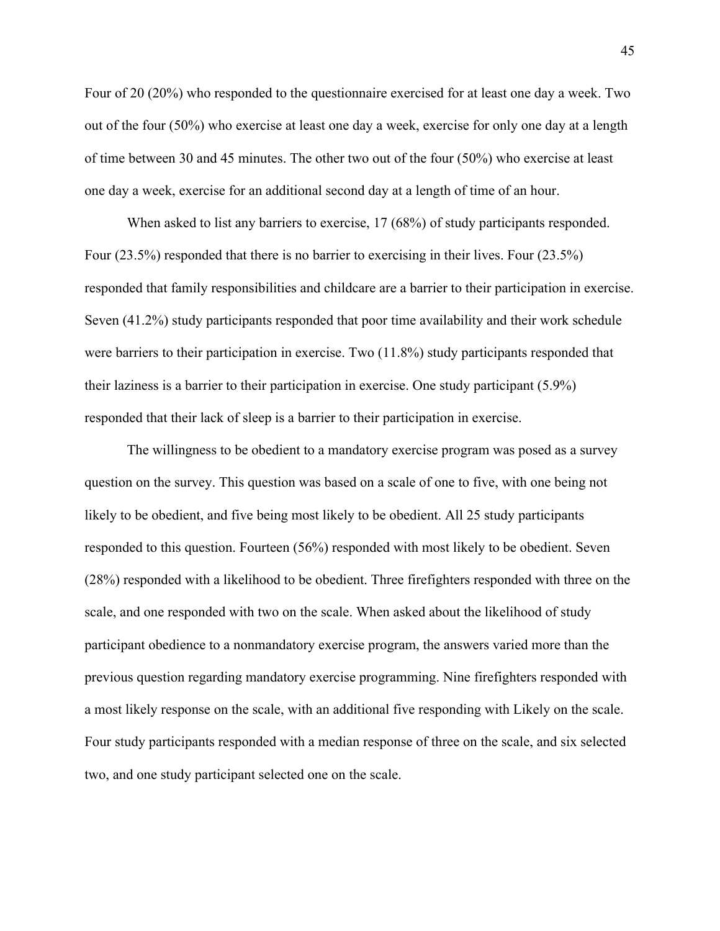Four of 20 (20%) who responded to the questionnaire exercised for at least one day a week. Two out of the four (50%) who exercise at least one day a week, exercise for only one day at a length of time between 30 and 45 minutes. The other two out of the four (50%) who exercise at least one day a week, exercise for an additional second day at a length of time of an hour.

When asked to list any barriers to exercise, 17 (68%) of study participants responded. Four (23.5%) responded that there is no barrier to exercising in their lives. Four (23.5%) responded that family responsibilities and childcare are a barrier to their participation in exercise. Seven (41.2%) study participants responded that poor time availability and their work schedule were barriers to their participation in exercise. Two (11.8%) study participants responded that their laziness is a barrier to their participation in exercise. One study participant (5.9%) responded that their lack of sleep is a barrier to their participation in exercise.

The willingness to be obedient to a mandatory exercise program was posed as a survey question on the survey. This question was based on a scale of one to five, with one being not likely to be obedient, and five being most likely to be obedient. All 25 study participants responded to this question. Fourteen (56%) responded with most likely to be obedient. Seven (28%) responded with a likelihood to be obedient. Three firefighters responded with three on the scale, and one responded with two on the scale. When asked about the likelihood of study participant obedience to a nonmandatory exercise program, the answers varied more than the previous question regarding mandatory exercise programming. Nine firefighters responded with a most likely response on the scale, with an additional five responding with Likely on the scale. Four study participants responded with a median response of three on the scale, and six selected two, and one study participant selected one on the scale.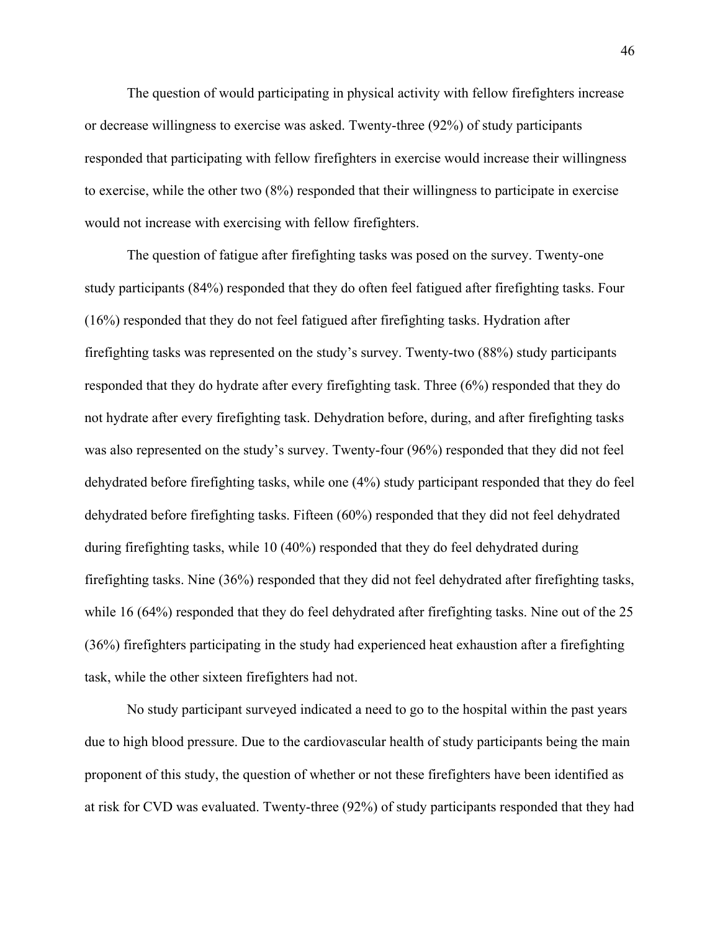The question of would participating in physical activity with fellow firefighters increase or decrease willingness to exercise was asked. Twenty-three (92%) of study participants responded that participating with fellow firefighters in exercise would increase their willingness to exercise, while the other two (8%) responded that their willingness to participate in exercise would not increase with exercising with fellow firefighters.

The question of fatigue after firefighting tasks was posed on the survey. Twenty-one study participants (84%) responded that they do often feel fatigued after firefighting tasks. Four (16%) responded that they do not feel fatigued after firefighting tasks. Hydration after firefighting tasks was represented on the study's survey. Twenty-two (88%) study participants responded that they do hydrate after every firefighting task. Three (6%) responded that they do not hydrate after every firefighting task. Dehydration before, during, and after firefighting tasks was also represented on the study's survey. Twenty-four (96%) responded that they did not feel dehydrated before firefighting tasks, while one (4%) study participant responded that they do feel dehydrated before firefighting tasks. Fifteen (60%) responded that they did not feel dehydrated during firefighting tasks, while 10 (40%) responded that they do feel dehydrated during firefighting tasks. Nine (36%) responded that they did not feel dehydrated after firefighting tasks, while 16 (64%) responded that they do feel dehydrated after firefighting tasks. Nine out of the 25 (36%) firefighters participating in the study had experienced heat exhaustion after a firefighting task, while the other sixteen firefighters had not.

No study participant surveyed indicated a need to go to the hospital within the past years due to high blood pressure. Due to the cardiovascular health of study participants being the main proponent of this study, the question of whether or not these firefighters have been identified as at risk for CVD was evaluated. Twenty-three (92%) of study participants responded that they had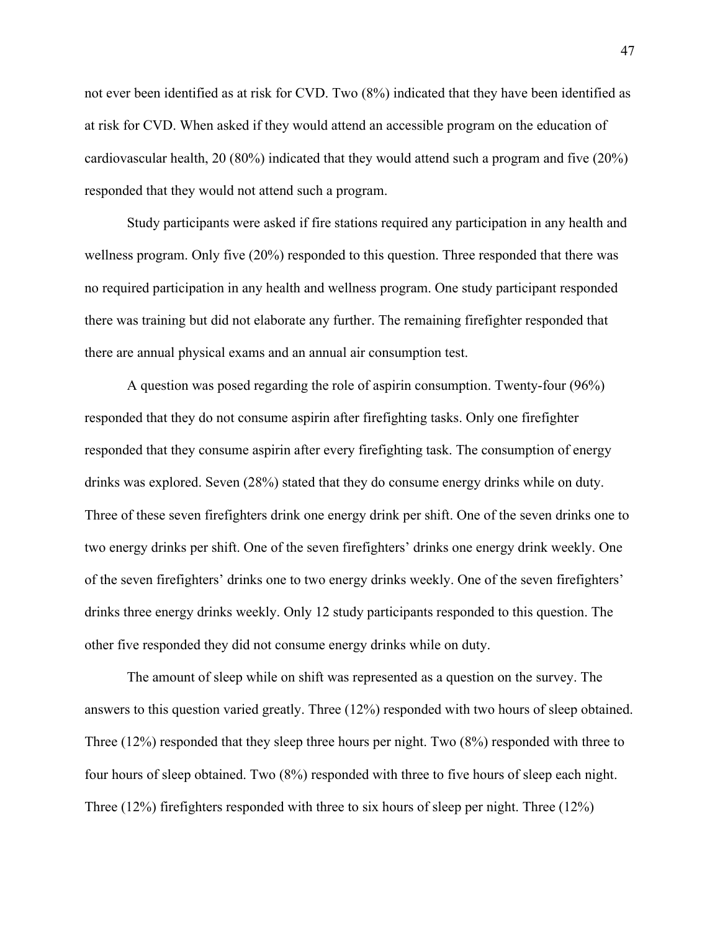not ever been identified as at risk for CVD. Two (8%) indicated that they have been identified as at risk for CVD. When asked if they would attend an accessible program on the education of cardiovascular health, 20 (80%) indicated that they would attend such a program and five (20%) responded that they would not attend such a program.

Study participants were asked if fire stations required any participation in any health and wellness program. Only five (20%) responded to this question. Three responded that there was no required participation in any health and wellness program. One study participant responded there was training but did not elaborate any further. The remaining firefighter responded that there are annual physical exams and an annual air consumption test.

A question was posed regarding the role of aspirin consumption. Twenty-four (96%) responded that they do not consume aspirin after firefighting tasks. Only one firefighter responded that they consume aspirin after every firefighting task. The consumption of energy drinks was explored. Seven (28%) stated that they do consume energy drinks while on duty. Three of these seven firefighters drink one energy drink per shift. One of the seven drinks one to two energy drinks per shift. One of the seven firefighters' drinks one energy drink weekly. One of the seven firefighters' drinks one to two energy drinks weekly. One of the seven firefighters' drinks three energy drinks weekly. Only 12 study participants responded to this question. The other five responded they did not consume energy drinks while on duty.

The amount of sleep while on shift was represented as a question on the survey. The answers to this question varied greatly. Three (12%) responded with two hours of sleep obtained. Three (12%) responded that they sleep three hours per night. Two (8%) responded with three to four hours of sleep obtained. Two (8%) responded with three to five hours of sleep each night. Three (12%) firefighters responded with three to six hours of sleep per night. Three (12%)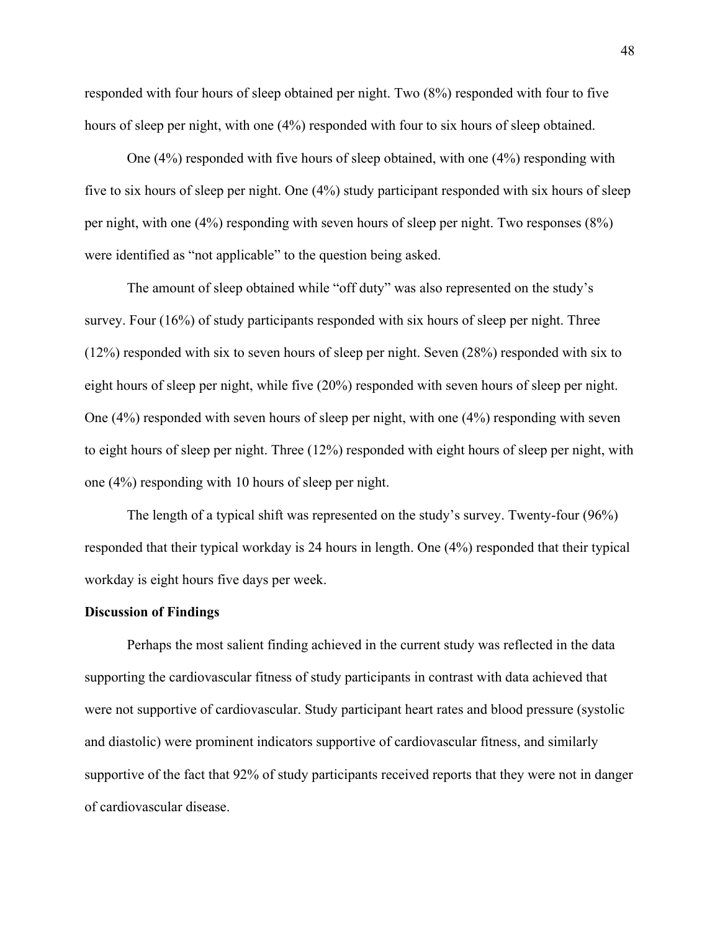responded with four hours of sleep obtained per night. Two (8%) responded with four to five hours of sleep per night, with one  $(4%)$  responded with four to six hours of sleep obtained.

One (4%) responded with five hours of sleep obtained, with one (4%) responding with five to six hours of sleep per night. One (4%) study participant responded with six hours of sleep per night, with one (4%) responding with seven hours of sleep per night. Two responses (8%) were identified as "not applicable" to the question being asked.

The amount of sleep obtained while "off duty" was also represented on the study's survey. Four (16%) of study participants responded with six hours of sleep per night. Three (12%) responded with six to seven hours of sleep per night. Seven (28%) responded with six to eight hours of sleep per night, while five (20%) responded with seven hours of sleep per night. One (4%) responded with seven hours of sleep per night, with one (4%) responding with seven to eight hours of sleep per night. Three (12%) responded with eight hours of sleep per night, with one (4%) responding with 10 hours of sleep per night.

The length of a typical shift was represented on the study's survey. Twenty-four (96%) responded that their typical workday is 24 hours in length. One (4%) responded that their typical workday is eight hours five days per week.

#### **Discussion of Findings**

Perhaps the most salient finding achieved in the current study was reflected in the data supporting the cardiovascular fitness of study participants in contrast with data achieved that were not supportive of cardiovascular. Study participant heart rates and blood pressure (systolic and diastolic) were prominent indicators supportive of cardiovascular fitness, and similarly supportive of the fact that 92% of study participants received reports that they were not in danger of cardiovascular disease.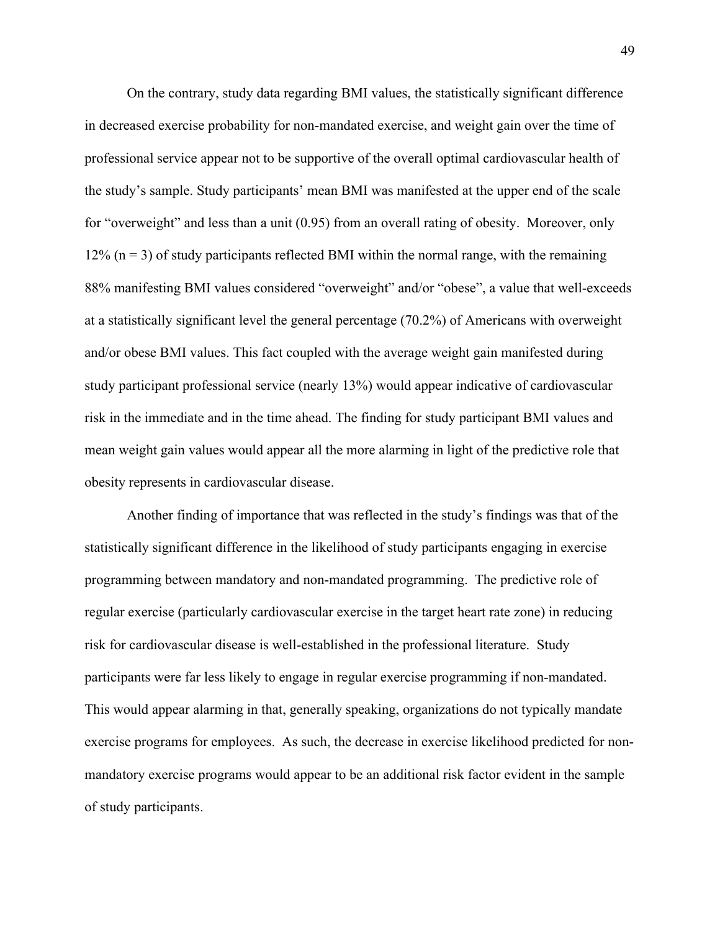On the contrary, study data regarding BMI values, the statistically significant difference in decreased exercise probability for non-mandated exercise, and weight gain over the time of professional service appear not to be supportive of the overall optimal cardiovascular health of the study's sample. Study participants' mean BMI was manifested at the upper end of the scale for "overweight" and less than a unit (0.95) from an overall rating of obesity. Moreover, only  $12\%$  (n = 3) of study participants reflected BMI within the normal range, with the remaining 88% manifesting BMI values considered "overweight" and/or "obese", a value that well-exceeds at a statistically significant level the general percentage (70.2%) of Americans with overweight and/or obese BMI values. This fact coupled with the average weight gain manifested during study participant professional service (nearly 13%) would appear indicative of cardiovascular risk in the immediate and in the time ahead. The finding for study participant BMI values and mean weight gain values would appear all the more alarming in light of the predictive role that obesity represents in cardiovascular disease.

Another finding of importance that was reflected in the study's findings was that of the statistically significant difference in the likelihood of study participants engaging in exercise programming between mandatory and non-mandated programming. The predictive role of regular exercise (particularly cardiovascular exercise in the target heart rate zone) in reducing risk for cardiovascular disease is well-established in the professional literature. Study participants were far less likely to engage in regular exercise programming if non-mandated. This would appear alarming in that, generally speaking, organizations do not typically mandate exercise programs for employees. As such, the decrease in exercise likelihood predicted for nonmandatory exercise programs would appear to be an additional risk factor evident in the sample of study participants.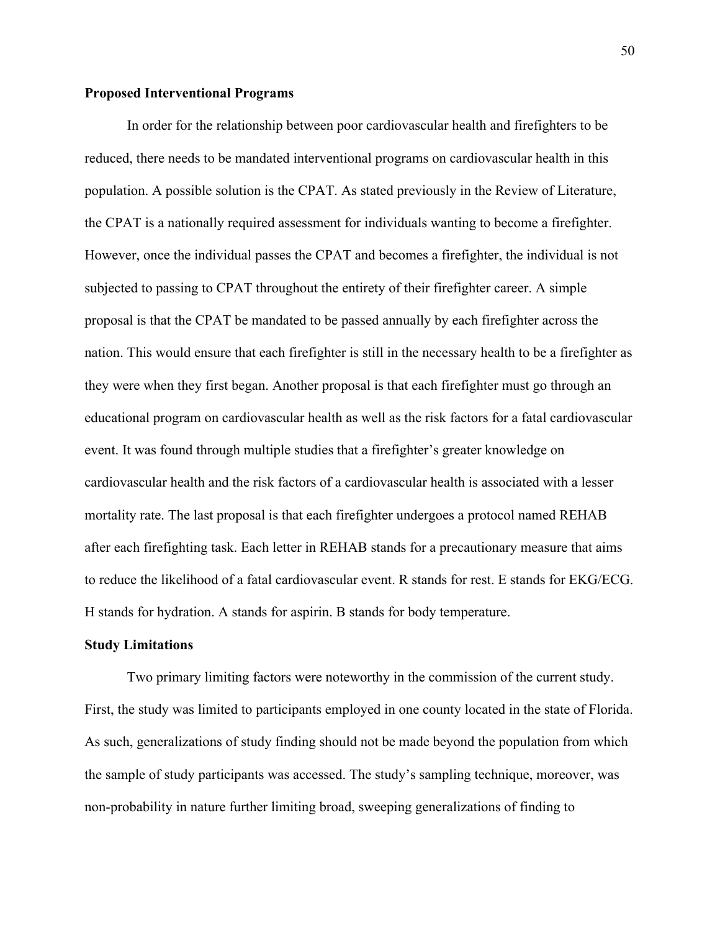#### **Proposed Interventional Programs**

In order for the relationship between poor cardiovascular health and firefighters to be reduced, there needs to be mandated interventional programs on cardiovascular health in this population. A possible solution is the CPAT. As stated previously in the Review of Literature, the CPAT is a nationally required assessment for individuals wanting to become a firefighter. However, once the individual passes the CPAT and becomes a firefighter, the individual is not subjected to passing to CPAT throughout the entirety of their firefighter career. A simple proposal is that the CPAT be mandated to be passed annually by each firefighter across the nation. This would ensure that each firefighter is still in the necessary health to be a firefighter as they were when they first began. Another proposal is that each firefighter must go through an educational program on cardiovascular health as well as the risk factors for a fatal cardiovascular event. It was found through multiple studies that a firefighter's greater knowledge on cardiovascular health and the risk factors of a cardiovascular health is associated with a lesser mortality rate. The last proposal is that each firefighter undergoes a protocol named REHAB after each firefighting task. Each letter in REHAB stands for a precautionary measure that aims to reduce the likelihood of a fatal cardiovascular event. R stands for rest. E stands for EKG/ECG. H stands for hydration. A stands for aspirin. B stands for body temperature.

#### **Study Limitations**

Two primary limiting factors were noteworthy in the commission of the current study. First, the study was limited to participants employed in one county located in the state of Florida. As such, generalizations of study finding should not be made beyond the population from which the sample of study participants was accessed. The study's sampling technique, moreover, was non-probability in nature further limiting broad, sweeping generalizations of finding to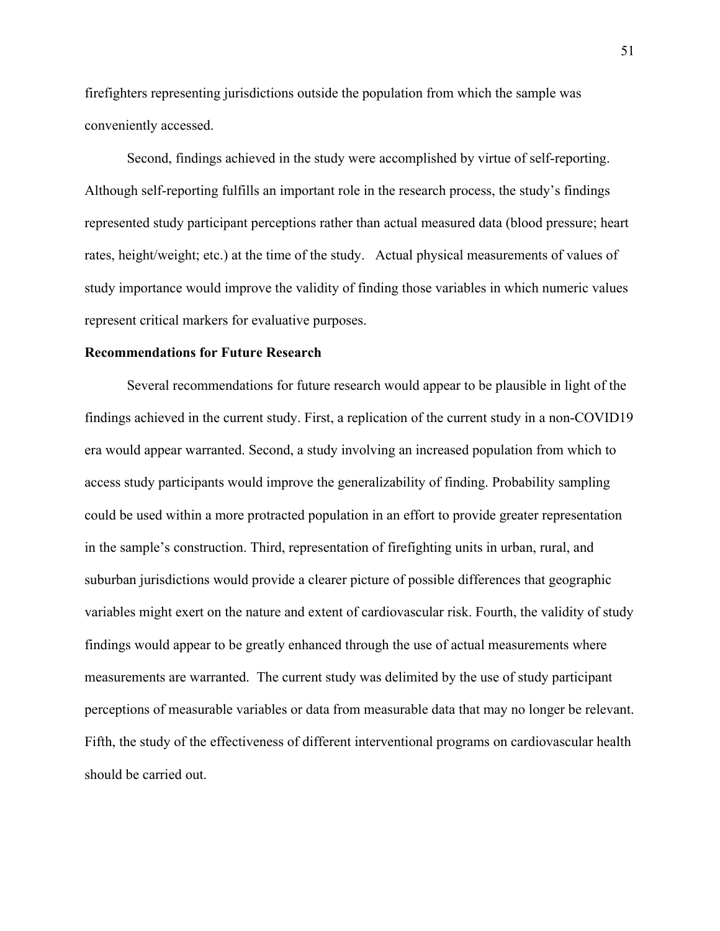firefighters representing jurisdictions outside the population from which the sample was conveniently accessed.

Second, findings achieved in the study were accomplished by virtue of self-reporting. Although self-reporting fulfills an important role in the research process, the study's findings represented study participant perceptions rather than actual measured data (blood pressure; heart rates, height/weight; etc.) at the time of the study. Actual physical measurements of values of study importance would improve the validity of finding those variables in which numeric values represent critical markers for evaluative purposes.

#### **Recommendations for Future Research**

Several recommendations for future research would appear to be plausible in light of the findings achieved in the current study. First, a replication of the current study in a non-COVID19 era would appear warranted. Second, a study involving an increased population from which to access study participants would improve the generalizability of finding. Probability sampling could be used within a more protracted population in an effort to provide greater representation in the sample's construction. Third, representation of firefighting units in urban, rural, and suburban jurisdictions would provide a clearer picture of possible differences that geographic variables might exert on the nature and extent of cardiovascular risk. Fourth, the validity of study findings would appear to be greatly enhanced through the use of actual measurements where measurements are warranted. The current study was delimited by the use of study participant perceptions of measurable variables or data from measurable data that may no longer be relevant. Fifth, the study of the effectiveness of different interventional programs on cardiovascular health should be carried out.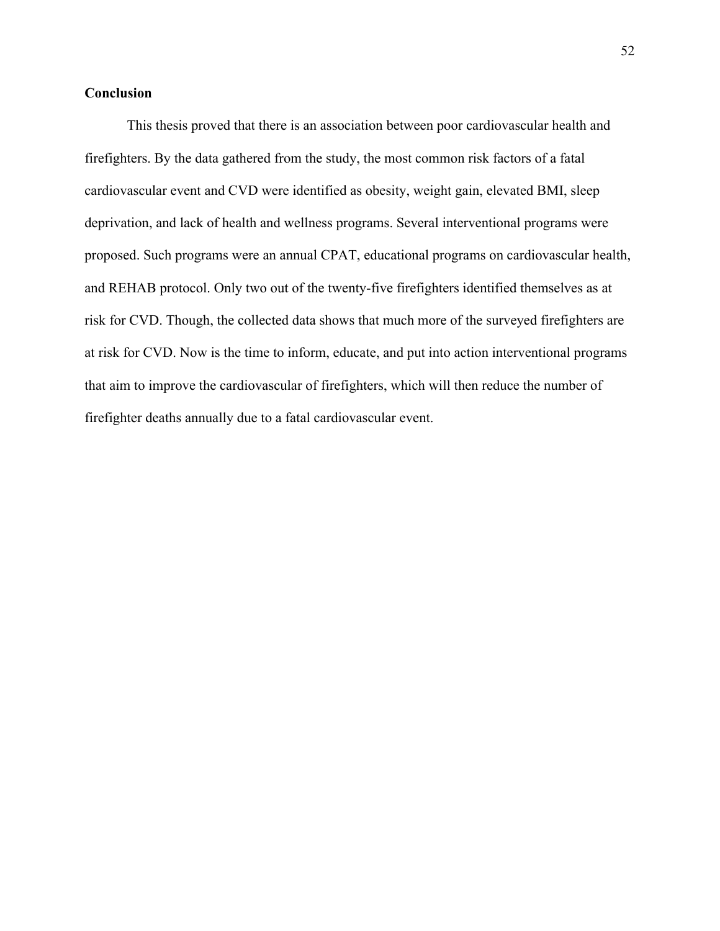## **Conclusion**

This thesis proved that there is an association between poor cardiovascular health and firefighters. By the data gathered from the study, the most common risk factors of a fatal cardiovascular event and CVD were identified as obesity, weight gain, elevated BMI, sleep deprivation, and lack of health and wellness programs. Several interventional programs were proposed. Such programs were an annual CPAT, educational programs on cardiovascular health, and REHAB protocol. Only two out of the twenty-five firefighters identified themselves as at risk for CVD. Though, the collected data shows that much more of the surveyed firefighters are at risk for CVD. Now is the time to inform, educate, and put into action interventional programs that aim to improve the cardiovascular of firefighters, which will then reduce the number of firefighter deaths annually due to a fatal cardiovascular event.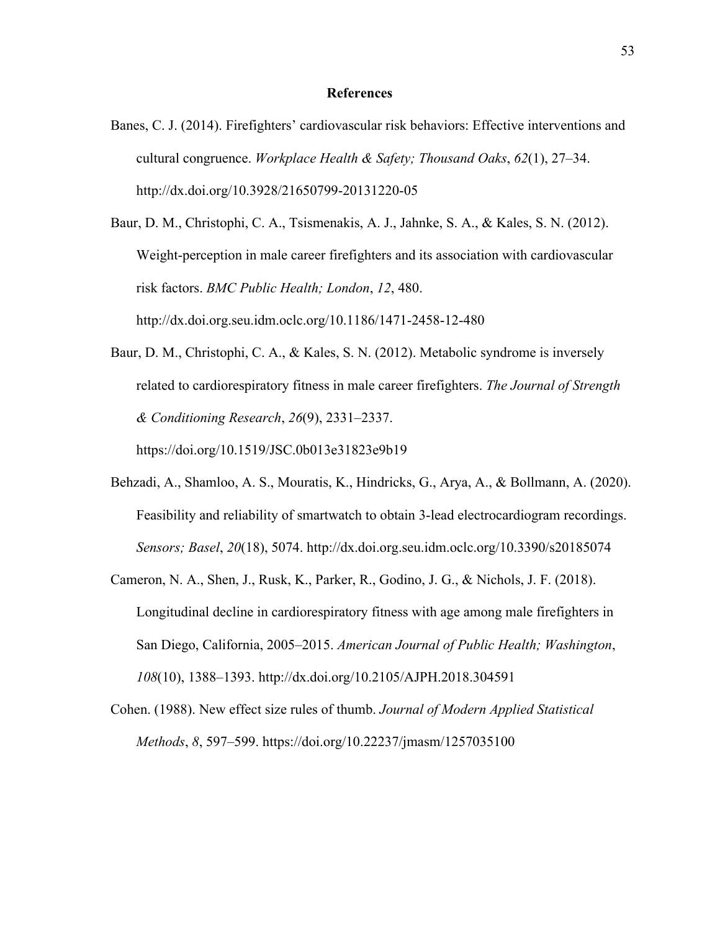#### **References**

Banes, C. J. (2014). Firefighters' cardiovascular risk behaviors: Effective interventions and cultural congruence. *Workplace Health & Safety; Thousand Oaks*, *62*(1), 27–34[.](http://dx.doi.org/10.3928/21650799-20131220-05) <http://dx.doi.org/10.3928/21650799-20131220-05>

Baur, D. M., Christophi, C. A., Tsismenakis, A. J., Jahnke, S. A., & Kales, S. N. (2012). Weight-perception in male career firefighters and its association with cardiovascular risk factors. *BMC Public Health; London*, *12*, 480. http://dx.doi.org.seu.idm.oclc.org/10.1186/1471-2458-12-480

Baur, D. M., Christophi, C. A., & Kales, S. N. (2012). Metabolic syndrome is inversely related to cardiorespiratory fitness in male career firefighters. *The Journal of Strength & Conditioning Research*, *26*(9), 2331–2337.

https://doi.org/10.1519/JSC.0b013e31823e9b19

- Behzadi, A., Shamloo, A. S., Mouratis, K., Hindricks, G., Arya, A., & Bollmann, A. (2020). Feasibility and reliability of smartwatch to obtain 3-lead electrocardiogram recordings. *Sensors; Basel*, *20*(18), 5074. http://dx.doi.org.seu.idm.oclc.org/10.3390/s20185074
- Cameron, N. A., Shen, J., Rusk, K., Parker, R., Godino, J. G., & Nichols, J. F. (2018). Longitudinal decline in cardiorespiratory fitness with age among male firefighters in San Diego, California, 2005–2015. *American Journal of Public Health; Washington*, *108*(10), 1388–1393. <http://dx.doi.org/10.2105/AJPH.2018.304591>
- Cohen. (1988). New effect size rules of thumb. *Journal of Modern Applied Statistical Methods*, *8*, 597–599. https://doi.org/10.22237/jmasm/1257035100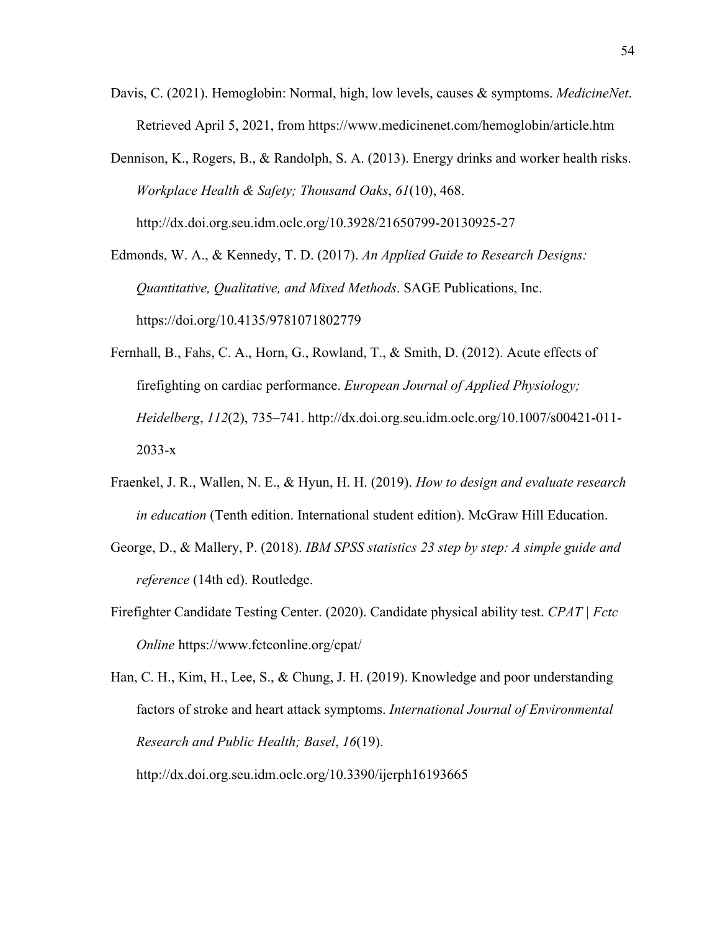- Davis, C. (2021). Hemoglobin: Normal, high, low levels, causes & symptoms. *MedicineNet*. Retrieved April 5, 2021, from https://www.medicinenet.com/hemoglobin/article.htm
- Dennison, K., Rogers, B., & Randolph, S. A. (2013). Energy drinks and worker health risks. *Workplace Health & Safety; Thousand Oaks*, *61*(10), 468. http://dx.doi.org.seu.idm.oclc.org/10.3928/21650799-20130925-27

Edmonds, W. A., & Kennedy, T. D. (2017). *An Applied Guide to Research Designs: Quantitative, Qualitative, and Mixed Methods*. SAGE Publications, Inc. https://doi.org/10.4135/9781071802779

- Fernhall, B., Fahs, C. A., Horn, G., Rowland, T., & Smith, D. (2012). Acute effects of firefighting on cardiac performance. *European Journal of Applied Physiology; Heidelberg*, *112*(2), 735–741. http://dx.doi.org.seu.idm.oclc.org/10.1007/s00421-011- 2033-x
- Fraenkel, J. R., Wallen, N. E., & Hyun, H. H. (2019). *How to design and evaluate research in education* (Tenth edition. International student edition). McGraw Hill Education.
- George, D., & Mallery, P. (2018). *IBM SPSS statistics 23 step by step: A simple guide and reference* (14th ed). Routledge.
- Firefighter Candidate Testing Center. (2020). Candidate physical ability test. *CPAT | Fctc Online* https://www.fctconline.org/cpat/

http://dx.doi.org.seu.idm.oclc.org/10.3390/ijerph16193665

Han, C. H., Kim, H., Lee, S., & Chung, J. H. (2019). Knowledge and poor understanding factors of stroke and heart attack symptoms. *International Journal of Environmental Research and Public Health; Basel*, *16*(19).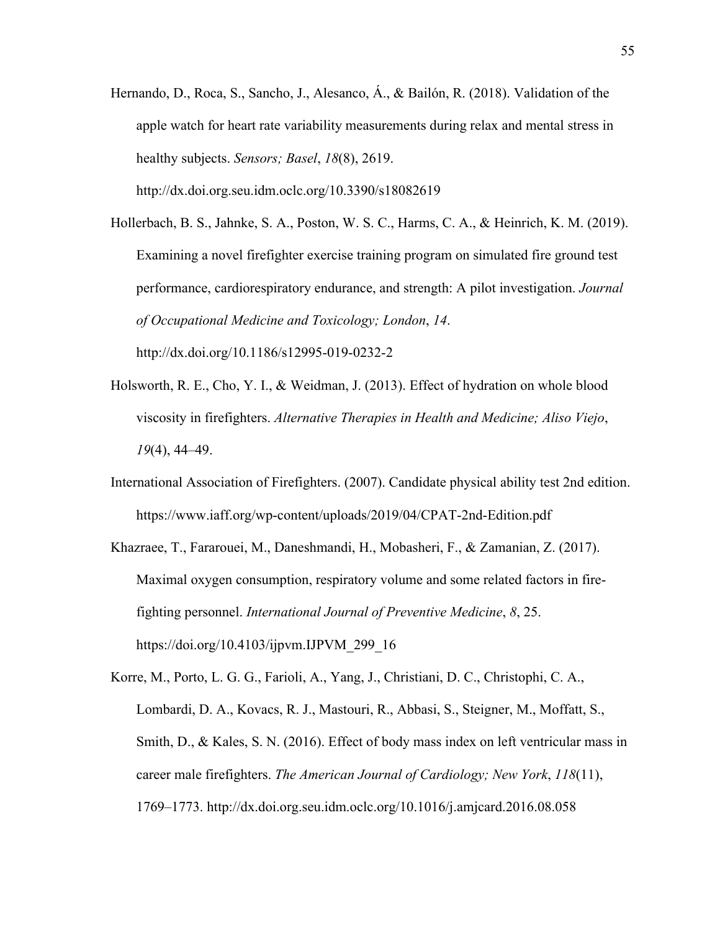- Hernando, D., Roca, S., Sancho, J., Alesanco, Á., & Bailón, R. (2018). Validation of the apple watch for heart rate variability measurements during relax and mental stress in healthy subjects. *Sensors; Basel*, *18*(8), 2619. http://dx.doi.org.seu.idm.oclc.org/10.3390/s18082619
- Hollerbach, B. S., Jahnke, S. A., Poston, W. S. C., Harms, C. A., & Heinrich, K. M. (2019). Examining a novel firefighter exercise training program on simulated fire ground test performance, cardiorespiratory endurance, and strength: A pilot investigation. *Journal of Occupational Medicine and Toxicology; London*, *14*[.](http://dx.doi.org/10.1186/s12995-019-0232-2) <http://dx.doi.org/10.1186/s12995-019-0232-2>
- Holsworth, R. E., Cho, Y. I., & Weidman, J. (2013). Effect of hydration on whole blood viscosity in firefighters. *Alternative Therapies in Health and Medicine; Aliso Viejo*, *19*(4), 44–49.
- International Association of Firefighters. (2007). Candidate physical ability test 2nd edition. https://www.iaff.org/wp-content/uploads/2019/04/CPAT-2nd-Edition.pdf
- Khazraee, T., Fararouei, M., Daneshmandi, H., Mobasheri, F., & Zamanian, Z. (2017). Maximal oxygen consumption, respiratory volume and some related factors in firefighting personnel. *International Journal of Preventive Medicine*, *8*, 25. https://doi.org/10.4103/ijpvm.IJPVM\_299\_16

Korre, M., Porto, L. G. G., Farioli, A., Yang, J., Christiani, D. C., Christophi, C. A., Lombardi, D. A., Kovacs, R. J., Mastouri, R., Abbasi, S., Steigner, M., Moffatt, S., Smith, D., & Kales, S. N. (2016). Effect of body mass index on left ventricular mass in career male firefighters. *The American Journal of Cardiology; New York*, *118*(11), 1769–1773. http://dx.doi.org.seu.idm.oclc.org/10.1016/j.amjcard.2016.08.058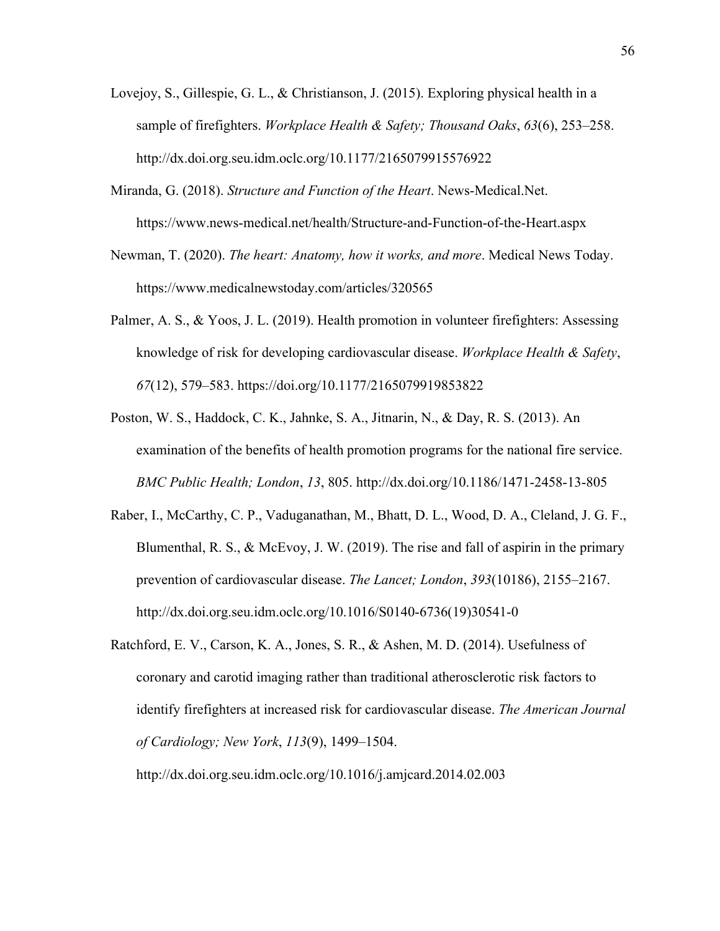- Lovejoy, S., Gillespie, G. L., & Christianson, J. (2015). Exploring physical health in a sample of firefighters. *Workplace Health & Safety; Thousand Oaks*, *63*(6), 253–258[.](http://dx.doi.org.seu.idm.oclc.org/10.1177/2165079915576922) <http://dx.doi.org.seu.idm.oclc.org/10.1177/2165079915576922>
- Miranda, G. (2018). *Structure and Function of the Heart*. News-Medical.Net. https://www.news-medical.net/health/Structure-and-Function-of-the-Heart.aspx
- Newman, T. (2020). *The heart: Anatomy, how it works, and more*. Medical News Today. https://www.medicalnewstoday.com/articles/320565
- Palmer, A. S., & Yoos, J. L. (2019). Health promotion in volunteer firefighters: Assessing knowledge of risk for developing cardiovascular disease. *Workplace Health & Safety*, *67*(12), 579–583. <https://doi.org/10.1177/2165079919853822>
- Poston, W. S., Haddock, C. K., Jahnke, S. A., Jitnarin, N., & Day, R. S. (2013). An examination of the benefits of health promotion programs for the national fire service. *BMC Public Health; London*, *13*, 805. <http://dx.doi.org/10.1186/1471-2458-13-805>
- Raber, I., McCarthy, C. P., Vaduganathan, M., Bhatt, D. L., Wood, D. A., Cleland, J. G. F., Blumenthal, R. S., & McEvoy, J. W. (2019). The rise and fall of aspirin in the primary prevention of cardiovascular disease. *The Lancet; London*, *393*(10186), 2155–2167. http://dx.doi.org.seu.idm.oclc.org/10.1016/S0140-6736(19)30541-0
- Ratchford, E. V., Carson, K. A., Jones, S. R., & Ashen, M. D. (2014). Usefulness of coronary and carotid imaging rather than traditional atherosclerotic risk factors to identify firefighters at increased risk for cardiovascular disease. *The American Journal of Cardiology; New York*, *113*(9), 1499–1504.

http://dx.doi.org.seu.idm.oclc.org/10.1016/j.amjcard.2014.02.003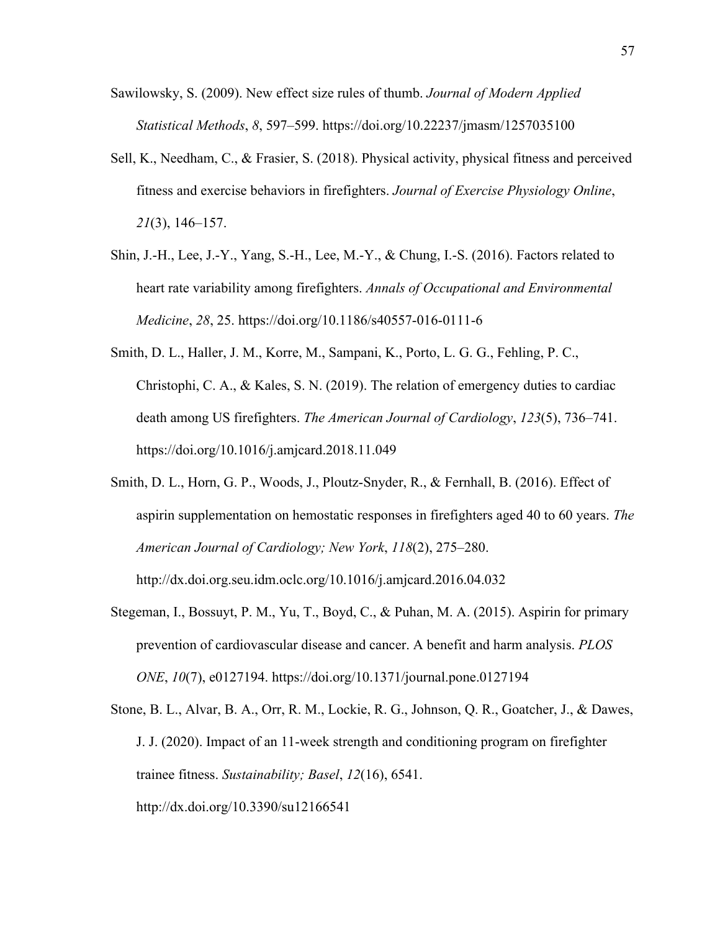- Sawilowsky, S. (2009). New effect size rules of thumb. *Journal of Modern Applied Statistical Methods*, *8*, 597–599. https://doi.org/10.22237/jmasm/1257035100
- Sell, K., Needham, C., & Frasier, S. (2018). Physical activity, physical fitness and perceived fitness and exercise behaviors in firefighters. *Journal of Exercise Physiology Online*, *21*(3), 146–157.
- Shin, J.-H., Lee, J.-Y., Yang, S.-H., Lee, M.-Y., & Chung, I.-S. (2016). Factors related to heart rate variability among firefighters. *Annals of Occupational and Environmental Medicine*, *28*, 25. https://doi.org/10.1186/s40557-016-0111-6
- Smith, D. L., Haller, J. M., Korre, M., Sampani, K., Porto, L. G. G., Fehling, P. C., Christophi, C. A., & Kales, S. N. (2019). The relation of emergency duties to cardiac death among US firefighters. *The American Journal of Cardiology*, *123*(5), 736–741. https://doi.org/10.1016/j.amjcard.2018.11.049
- Smith, D. L., Horn, G. P., Woods, J., Ploutz-Snyder, R., & Fernhall, B. (2016). Effect of aspirin supplementation on hemostatic responses in firefighters aged 40 to 60 years. *The American Journal of Cardiology; New York*, *118*(2), 275–280.

http://dx.doi.org.seu.idm.oclc.org/10.1016/j.amjcard.2016.04.032

- Stegeman, I., Bossuyt, P. M., Yu, T., Boyd, C., & Puhan, M. A. (2015). Aspirin for primary prevention of cardiovascular disease and cancer. A benefit and harm analysis. *PLOS ONE*, *10*(7), e0127194. https://doi.org/10.1371/journal.pone.0127194
- Stone, B. L., Alvar, B. A., Orr, R. M., Lockie, R. G., Johnson, Q. R., Goatcher, J., & Dawes, J. J. (2020). Impact of an 11-week strength and conditioning program on firefighter trainee fitness. *Sustainability; Basel*, *12*(16), 6541[.](http://dx.doi.org/10.3390/su12166541) <http://dx.doi.org/10.3390/su12166541>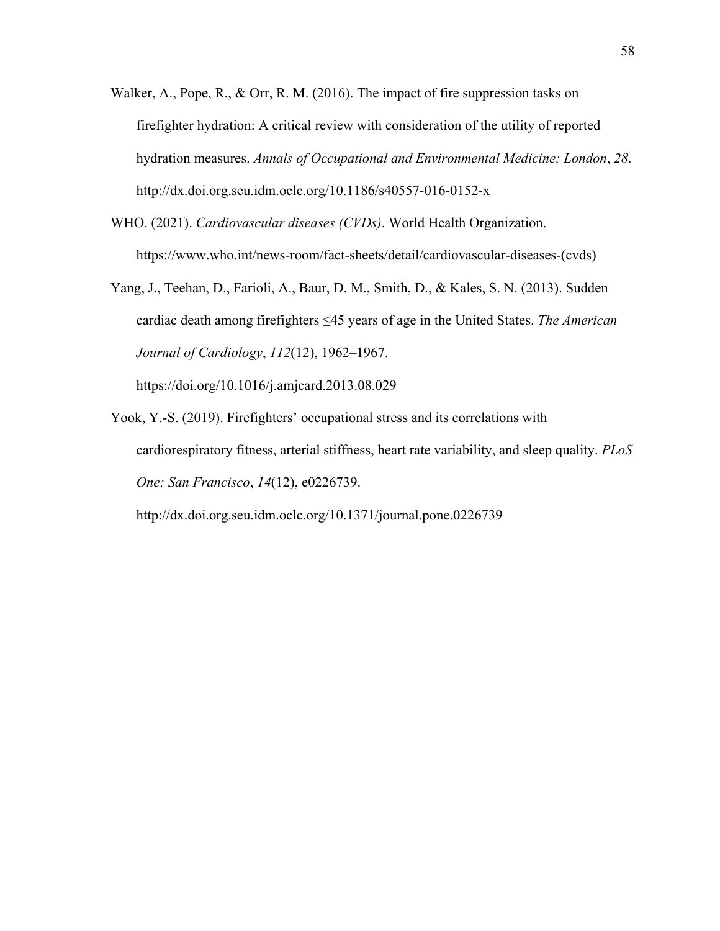- Walker, A., Pope, R., & Orr, R. M. (2016). The impact of fire suppression tasks on firefighter hydration: A critical review with consideration of the utility of reported hydration measures. *Annals of Occupational and Environmental Medicine; London*, *28*. http://dx.doi.org.seu.idm.oclc.org/10.1186/s40557-016-0152-x
- WHO. (2021). *Cardiovascular diseases (CVDs)*. World Health Organization. https://www.who.int/news-room/fact-sheets/detail/cardiovascular-diseases-(cvds)
- Yang, J., Teehan, D., Farioli, A., Baur, D. M., Smith, D., & Kales, S. N. (2013). Sudden cardiac death among firefighters ≤45 years of age in the United States. *The American Journal of Cardiology*, *112*(12), 1962–1967.

https://doi.org/10.1016/j.amjcard.2013.08.029

Yook, Y.-S. (2019). Firefighters' occupational stress and its correlations with cardiorespiratory fitness, arterial stiffness, heart rate variability, and sleep quality. *PLoS One; San Francisco*, *14*(12), e0226739[.](http://dx.doi.org.seu.idm.oclc.org/10.1371/journal.pone.0226739)

<http://dx.doi.org.seu.idm.oclc.org/10.1371/journal.pone.0226739>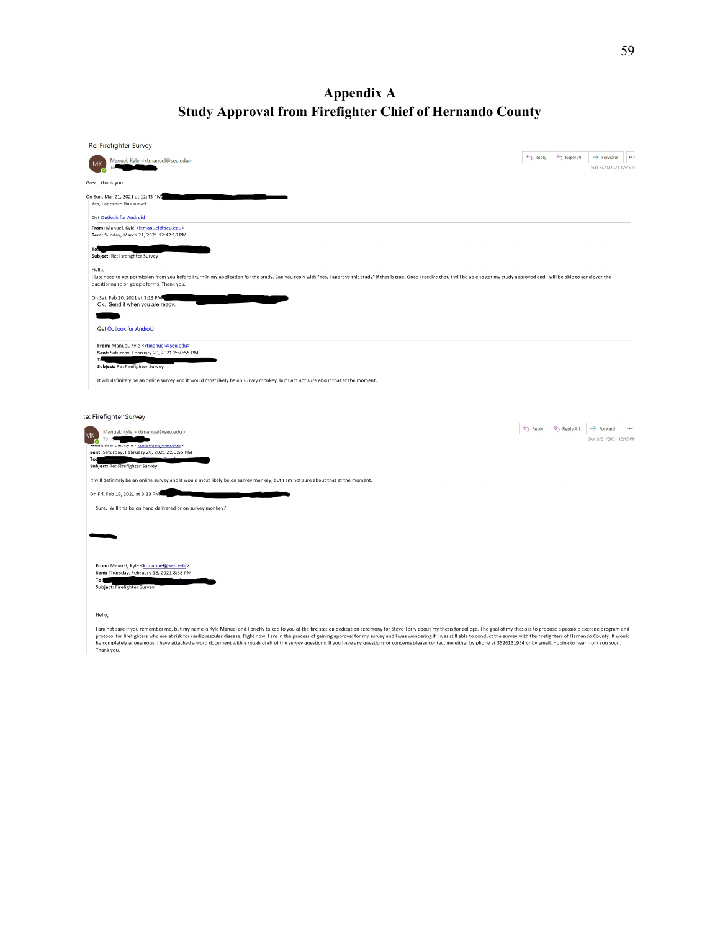# **Appendix A Study Approval from Firefighter Chief of Hernando County**

| Re: Firefighter Survey                                                                                                                                                                                                                                                                    |       |               |                                                             |
|-------------------------------------------------------------------------------------------------------------------------------------------------------------------------------------------------------------------------------------------------------------------------------------------|-------|---------------|-------------------------------------------------------------|
| Manuel, Kyle <ktmanuel@seu.edu></ktmanuel@seu.edu>                                                                                                                                                                                                                                        | Reply | <br>Reply All | $\rightarrow$ Forward<br>$\cdots$<br>Sun 3/21/2021 12:45 PI |
| Great, thank you.                                                                                                                                                                                                                                                                         |       |               |                                                             |
| On Sun, Mar 21, 2021 at 12:43 PM                                                                                                                                                                                                                                                          |       |               |                                                             |
| Yes, I approve this survet                                                                                                                                                                                                                                                                |       |               |                                                             |
| <b>Get Outlook for Android</b><br>From: Manuel, Kyle <ktmanuel@seu.edu></ktmanuel@seu.edu>                                                                                                                                                                                                |       |               |                                                             |
| Sent: Sunday, March 21, 2021 12:42:18 PM                                                                                                                                                                                                                                                  |       |               |                                                             |
| To <sup>1</sup><br>Subject: Re: Firefighter Survey                                                                                                                                                                                                                                        |       |               |                                                             |
| Hello,<br>I just need to get permission from you before I turn in my application for the study. Can you reply with "Yes, I approve this study" if that is true. Once I receive that, I will be able to get my study approved and I will<br>questionnaire on google forms. Thank you.      |       |               |                                                             |
| On Sat, Feb 20, 2021 at 3:13 PM<br>Ok. Send it when you are ready.                                                                                                                                                                                                                        |       |               |                                                             |
|                                                                                                                                                                                                                                                                                           |       |               |                                                             |
| <b>Get Outlook for Android</b>                                                                                                                                                                                                                                                            |       |               |                                                             |
| From: Manuel, Kyle <ktmanuel@seu.edu><br/>Sent: Saturday, February 20, 2021 2:50:55 PM<br/>тε<br/>Subject: Re: Firefighter Survey<br/>It will definitely be an online survey and it would most likely be on survey monkey, but I am not sure about that at the moment.</ktmanuel@seu.edu> |       |               |                                                             |
| le: Firefighter Survey                                                                                                                                                                                                                                                                    |       |               |                                                             |
| Manuel, Kyle <ktmanuel@seu.edu><br/>МK<br/>To</ktmanuel@seu.edu>                                                                                                                                                                                                                          | Reply | Reply All     | $\rightarrow$ Forward<br>$\cdots$<br>Sun 3/21/2021 12:45 PM |
| O<br>From: manuer, куте чкипаниет wseu.euu/<br>Sent: Saturday, February 20, 2021 2:50:55 PM                                                                                                                                                                                               |       |               |                                                             |
| To:<br>Subject: Re: Firefighter Survey                                                                                                                                                                                                                                                    |       |               |                                                             |
| It will definitely be an online survey and it would most likely be on survey monkey, but I am not sure about that at the moment.                                                                                                                                                          |       |               |                                                             |
| On Fri, Feb 19, 2021 at 3:23 PM                                                                                                                                                                                                                                                           |       |               |                                                             |
| Sure. Will this be on hand delivered or on survey monkey?                                                                                                                                                                                                                                 |       |               |                                                             |
|                                                                                                                                                                                                                                                                                           |       |               |                                                             |
|                                                                                                                                                                                                                                                                                           |       |               |                                                             |
| From: Manuel, Kyle <ktmanuel@seu.edu></ktmanuel@seu.edu>                                                                                                                                                                                                                                  |       |               |                                                             |
| Sent: Thursday, February 18, 2021 8:38 PM<br>To:<br>Subject: Firefighter Survey                                                                                                                                                                                                           |       |               |                                                             |
| Hello,                                                                                                                                                                                                                                                                                    |       |               |                                                             |
| I am not sure if you remember me, but my name is Kyle Manuel and I briefly talked to you at the fire station dedication ceremony for Steve Terry about my thesis for college. The goal of my thesis is to propose a possible e                                                            |       |               |                                                             |

ran into sure in you. Hence they have a this for cardiovascular disease. Right now, I am in the process of gaining approval for my survey and I was wondering if I was sill able to conduct the survey with the freefighters o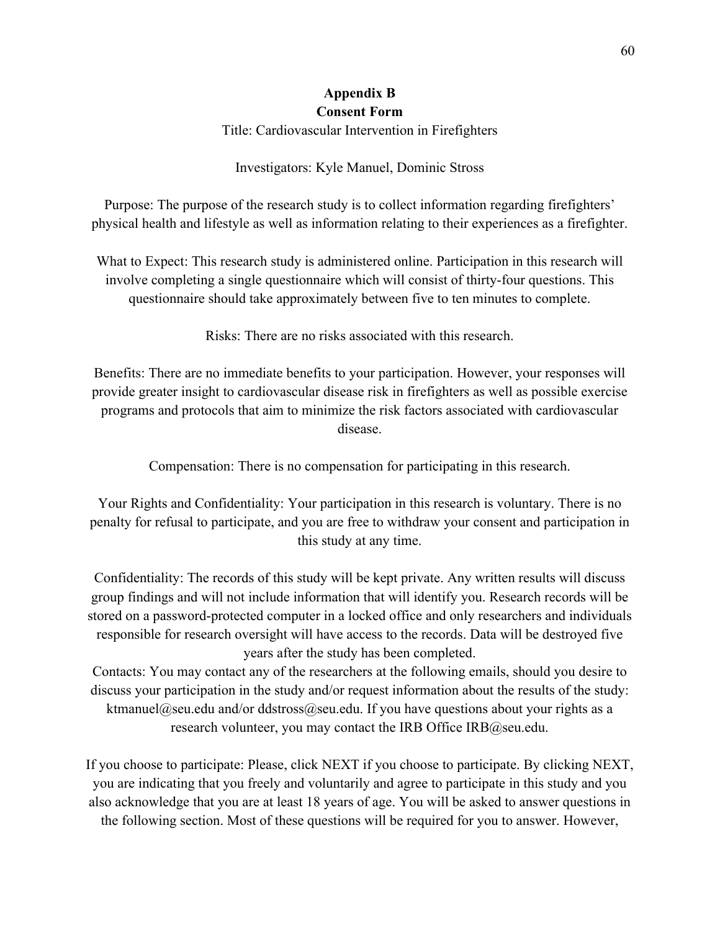## **Appendix B Consent Form**

Title: Cardiovascular Intervention in Firefighters

Investigators: Kyle Manuel, Dominic Stross

Purpose: The purpose of the research study is to collect information regarding firefighters' physical health and lifestyle as well as information relating to their experiences as a firefighter.

What to Expect: This research study is administered online. Participation in this research will involve completing a single questionnaire which will consist of thirty-four questions. This questionnaire should take approximately between five to ten minutes to complete.

Risks: There are no risks associated with this research.

Benefits: There are no immediate benefits to your participation. However, your responses will provide greater insight to cardiovascular disease risk in firefighters as well as possible exercise programs and protocols that aim to minimize the risk factors associated with cardiovascular disease.

Compensation: There is no compensation for participating in this research.

Your Rights and Confidentiality: Your participation in this research is voluntary. There is no penalty for refusal to participate, and you are free to withdraw your consent and participation in this study at any time.

Confidentiality: The records of this study will be kept private. Any written results will discuss group findings and will not include information that will identify you. Research records will be stored on a password-protected computer in a locked office and only researchers and individuals responsible for research oversight will have access to the records. Data will be destroyed five years after the study has been completed.

Contacts: You may contact any of the researchers at the following emails, should you desire to discuss your participation in the study and/or request information about the results of the study: ktmanuel@seu.edu and/or ddstross@seu.edu. If you have questions about your rights as a research volunteer, you may contact the IRB Office  $IRB@$ seu.edu.

If you choose to participate: Please, click NEXT if you choose to participate. By clicking NEXT, you are indicating that you freely and voluntarily and agree to participate in this study and you also acknowledge that you are at least 18 years of age. You will be asked to answer questions in the following section. Most of these questions will be required for you to answer. However,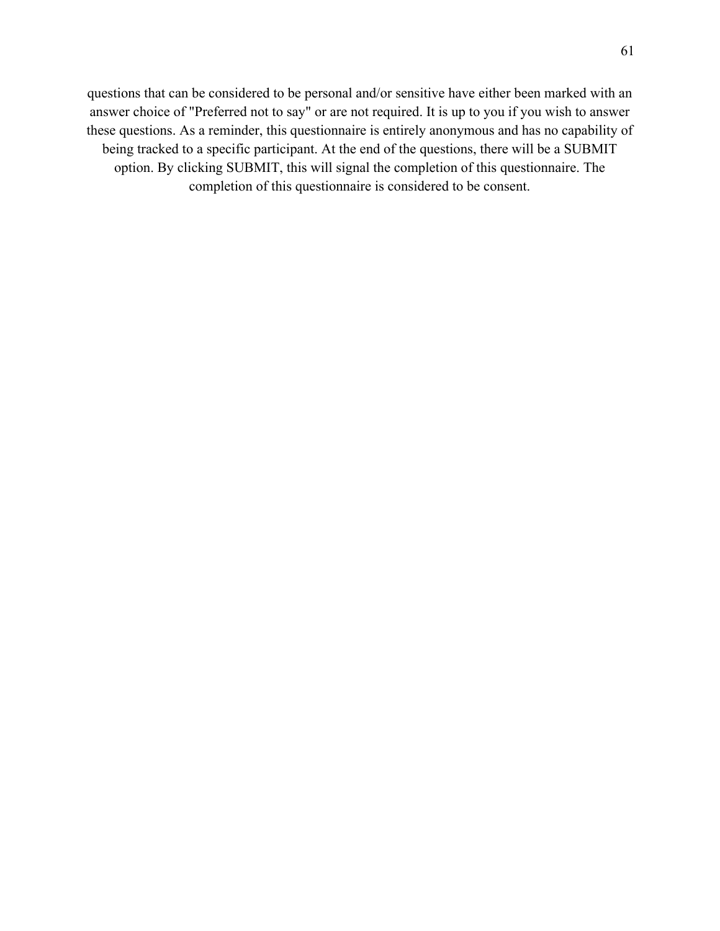questions that can be considered to be personal and/or sensitive have either been marked with an answer choice of "Preferred not to say" or are not required. It is up to you if you wish to answer these questions. As a reminder, this questionnaire is entirely anonymous and has no capability of being tracked to a specific participant. At the end of the questions, there will be a SUBMIT option. By clicking SUBMIT, this will signal the completion of this questionnaire. The completion of this questionnaire is considered to be consent.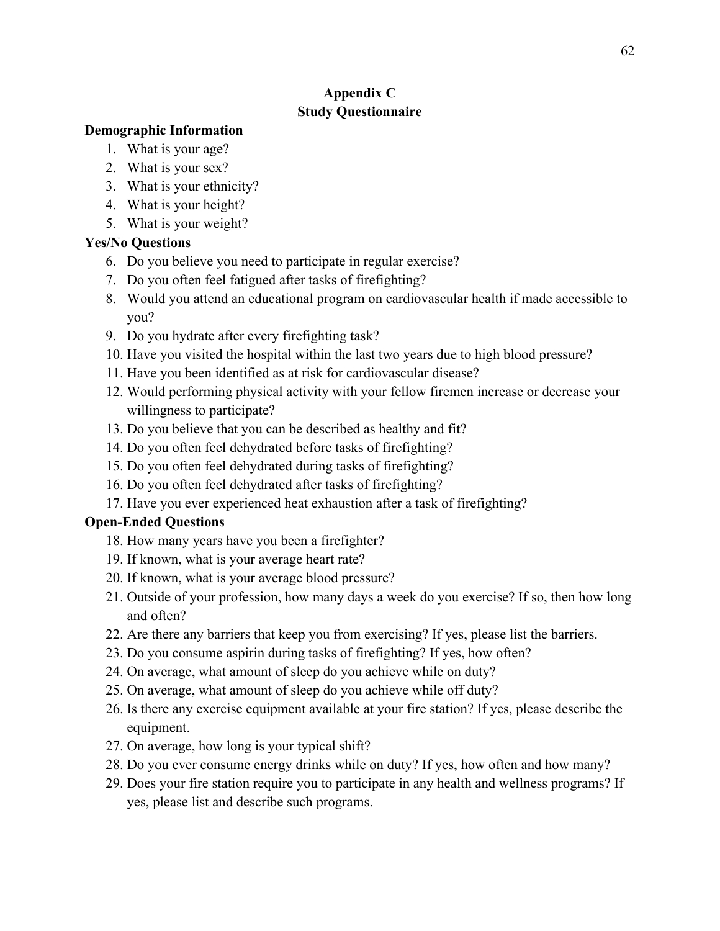# **Appendix C Study Questionnaire**

## **Demographic Information**

- 1. What is your age?
- 2. What is your sex?
- 3. What is your ethnicity?
- 4. What is your height?
- 5. What is your weight?

## **Yes/No Questions**

- 6. Do you believe you need to participate in regular exercise?
- 7. Do you often feel fatigued after tasks of firefighting?
- 8. Would you attend an educational program on cardiovascular health if made accessible to you?
- 9. Do you hydrate after every firefighting task?
- 10. Have you visited the hospital within the last two years due to high blood pressure?
- 11. Have you been identified as at risk for cardiovascular disease?
- 12. Would performing physical activity with your fellow firemen increase or decrease your willingness to participate?
- 13. Do you believe that you can be described as healthy and fit?
- 14. Do you often feel dehydrated before tasks of firefighting?
- 15. Do you often feel dehydrated during tasks of firefighting?
- 16. Do you often feel dehydrated after tasks of firefighting?
- 17. Have you ever experienced heat exhaustion after a task of firefighting?

## **Open-Ended Questions**

- 18. How many years have you been a firefighter?
- 19. If known, what is your average heart rate?
- 20. If known, what is your average blood pressure?
- 21. Outside of your profession, how many days a week do you exercise? If so, then how long and often?
- 22. Are there any barriers that keep you from exercising? If yes, please list the barriers.
- 23. Do you consume aspirin during tasks of firefighting? If yes, how often?
- 24. On average, what amount of sleep do you achieve while on duty?
- 25. On average, what amount of sleep do you achieve while off duty?
- 26. Is there any exercise equipment available at your fire station? If yes, please describe the equipment.
- 27. On average, how long is your typical shift?
- 28. Do you ever consume energy drinks while on duty? If yes, how often and how many?
- 29. Does your fire station require you to participate in any health and wellness programs? If yes, please list and describe such programs.